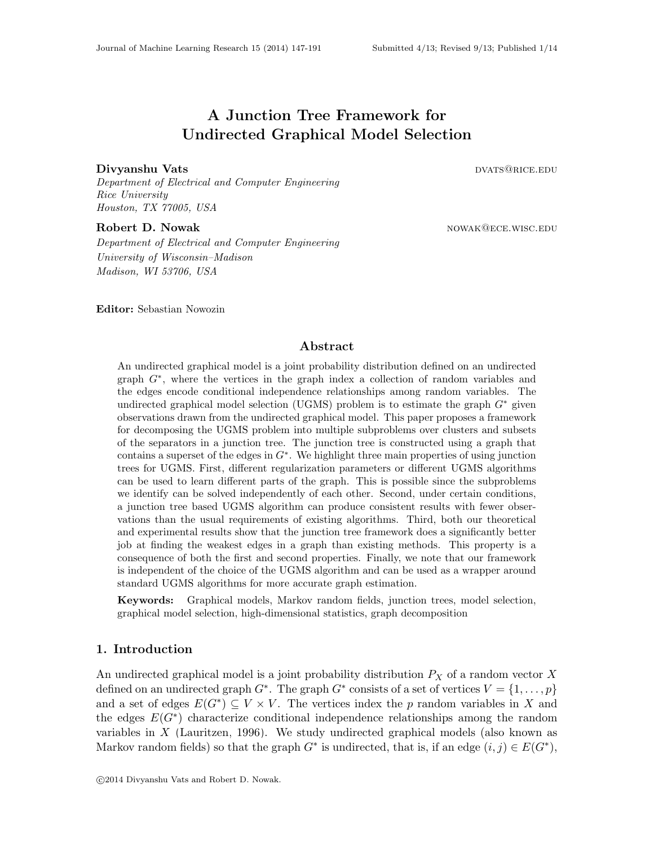# A Junction Tree Framework for Undirected Graphical Model Selection

#### Divyanshu Vats dvats and the contract of the contract of the contract of the contract of the contract of the contract of the contract of the contract of the contract of the contract of the contract of the contract of the c

Department of Electrical and Computer Engineering Rice University Houston, TX 77005, USA

Robert D. Nowak nowak nowakelece.wisc.edu Department of Electrical and Computer Engineering University of Wisconsin–Madison Madison, WI 53706, USA

Editor: Sebastian Nowozin

# Abstract

An undirected graphical model is a joint probability distribution defined on an undirected graph G<sup>∗</sup> , where the vertices in the graph index a collection of random variables and the edges encode conditional independence relationships among random variables. The undirected graphical model selection (UGMS) problem is to estimate the graph  $G^*$  given observations drawn from the undirected graphical model. This paper proposes a framework for decomposing the UGMS problem into multiple subproblems over clusters and subsets of the separators in a junction tree. The junction tree is constructed using a graph that contains a superset of the edges in  $G^*$ . We highlight three main properties of using junction trees for UGMS. First, different regularization parameters or different UGMS algorithms can be used to learn different parts of the graph. This is possible since the subproblems we identify can be solved independently of each other. Second, under certain conditions, a junction tree based UGMS algorithm can produce consistent results with fewer observations than the usual requirements of existing algorithms. Third, both our theoretical and experimental results show that the junction tree framework does a significantly better job at finding the weakest edges in a graph than existing methods. This property is a consequence of both the first and second properties. Finally, we note that our framework is independent of the choice of the UGMS algorithm and can be used as a wrapper around standard UGMS algorithms for more accurate graph estimation.

Keywords: Graphical models, Markov random fields, junction trees, model selection, graphical model selection, high-dimensional statistics, graph decomposition

### <span id="page-0-0"></span>1. Introduction

An undirected graphical model is a joint probability distribution  $P_X$  of a random vector X defined on an undirected graph  $G^*$ . The graph  $G^*$  consists of a set of vertices  $V = \{1, \ldots, p\}$ and a set of edges  $E(G^*) \subseteq V \times V$ . The vertices index the p random variables in X and the edges  $E(G^*)$  characterize conditional independence relationships among the random variables in  $X$  [\(Lauritzen, 1996\)](#page-41-0). We study undirected graphical models (also known as Markov random fields) so that the graph  $G^*$  is undirected, that is, if an edge  $(i, j) \in E(G^*)$ ,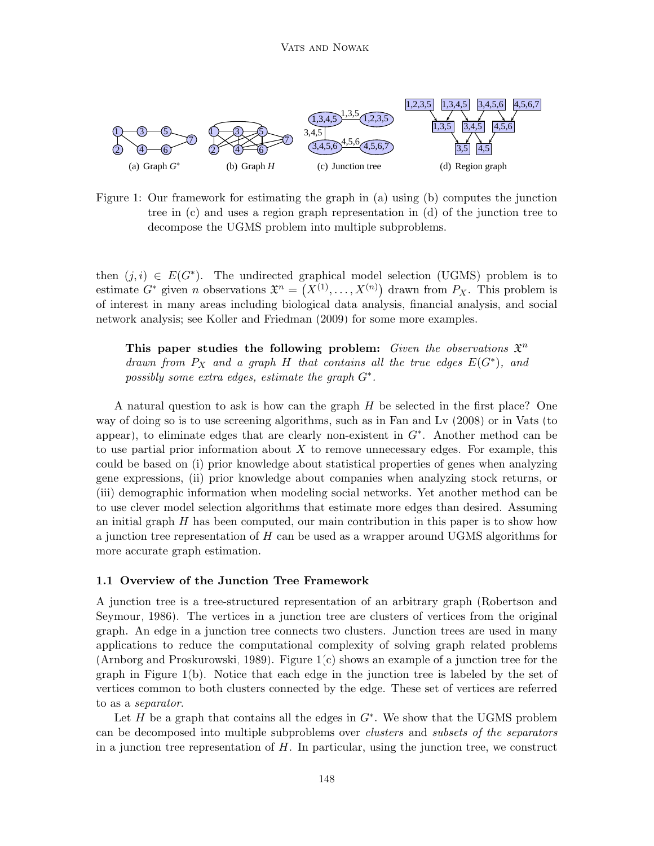

<span id="page-1-0"></span>Figure 1: Our framework for estimating the graph in (a) using (b) computes the junction tree in (c) and uses a region graph representation in (d) of the junction tree to decompose the UGMS problem into multiple subproblems.

then  $(j, i) \in E(G^*)$ . The undirected graphical model selection (UGMS) problem is to estimate  $G^*$  given *n* observations  $\mathfrak{X}^n = (X^{(1)}, \ldots, X^{(n)})$  drawn from  $P_X$ . This problem is of interest in many areas including biological data analysis, financial analysis, and social network analysis; see [Koller and Friedman](#page-41-1) [\(2009\)](#page-41-1) for some more examples.

This paper studies the following problem: Given the observations  $\mathfrak{X}^n$ drawn from  $P_X$  and a graph H that contains all the true edges  $E(G^*)$ , and possibly some extra edges, estimate the graph  $G^*$ .

(iii) demographic information when modeling social networks. Yet another method can be A natural question to ask is how can the graph H be selected in the first place? One way of doing so is to use screening algorithms, such as in [Fan and Lv](#page-40-0) [\(2008\)](#page-40-0) or in [Vats](#page-43-0) [\(to](#page-43-0) [appear\)](#page-43-0), to eliminate edges that are clearly non-existent in  $G^*$ . Another method can be to use partial prior information about  $X$  to remove unnecessary edges. For example, this could be based on (i) prior knowledge about statistical properties of genes when analyzing gene expressions, (ii) prior knowledge about companies when analyzing stock returns, or to use clever model selection algorithms that estimate more edges than desired. Assuming an initial graph  $H$  has been computed, our main contribution in this paper is to show how a junction tree representation of H can be used as a wrapper around UGMS algorithms for more accurate graph estimation.

### 1.1 Overview of the Junction Tree Framework

A junction tree is a tree-structured representation of an arbitrary graph [\(Robertson and](#page-43-1) [Seymour, 1986\)](#page-43-1). The vertices in a junction tree are clusters of vertices from the original graph. An edge in a junction tree connects two clusters. Junction trees are used in many applications to reduce the computational complexity of solving graph related problems [\(Arnborg and Proskurowski, 1989\)](#page-39-0). Figure [1\(](#page-1-0)c) shows an example of a junction tree for the graph in Figure [1\(](#page-1-0)b). Notice that each edge in the junction tree is labeled by the set of vertices common to both clusters connected by the edge. These set of vertices are referred to as a separator.

Let  $H$  be a graph that contains all the edges in  $G^*$ . We show that the UGMS problem can be decomposed into multiple subproblems over clusters and subsets of the separators in a junction tree representation of  $H$ . In particular, using the junction tree, we construct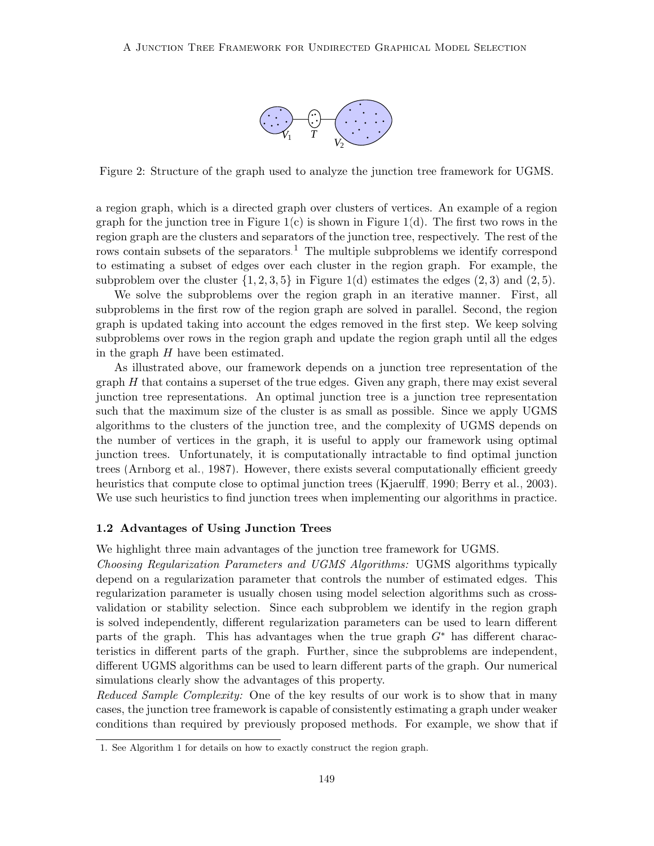

<span id="page-2-1"></span>Figure 2: Structure of the graph used to analyze the junction tree framework for UGMS.

a region graph, which is a directed graph over clusters of vertices. An example of a region graph for the junction tree in Figure [1\(](#page-1-0)c) is shown in Figure 1(d). The first two rows in the region graph are the clusters and separators of the junction tree, respectively. The rest of the rows contain subsets of the separators.<sup>[1](#page-2-0)</sup> The multiple subproblems we identify correspond to estimating a subset of edges over each cluster in the region graph. For example, the subproblem over the cluster  $\{1, 2, 3, 5\}$  in Figure [1\(](#page-1-0)d) estimates the edges  $(2, 3)$  and  $(2, 5)$ .

We solve the subproblems over the region graph in an iterative manner. First, all subproblems in the first row of the region graph are solved in parallel. Second, the region graph is updated taking into account the edges removed in the first step. We keep solving subproblems over rows in the region graph and update the region graph until all the edges in the graph  $H$  have been estimated.

heuristics that compute close to optimal junction trees [\(Kjaerulff, 1990;](#page-41-2) [Berry et al., 2003\)](#page-40-1). As illustrated above, our framework depends on a junction tree representation of the graph  $H$  that contains a superset of the true edges. Given any graph, there may exist several junction tree representations. An optimal junction tree is a junction tree representation such that the maximum size of the cluster is as small as possible. Since we apply UGMS algorithms to the clusters of the junction tree, and the complexity of UGMS depends on the number of vertices in the graph, it is useful to apply our framework using optimal junction trees. Unfortunately, it is computationally intractable to find optimal junction trees [\(Arnborg et al., 1987\)](#page-39-1). However, there exists several computationally efficient greedy We use such heuristics to find junction trees when implementing our algorithms in practice.

### <span id="page-2-2"></span>1.2 Advantages of Using Junction Trees

We highlight three main advantages of the junction tree framework for UGMS.

Choosing Regularization Parameters and UGMS Algorithms: UGMS algorithms typically depend on a regularization parameter that controls the number of estimated edges. This regularization parameter is usually chosen using model selection algorithms such as crossvalidation or stability selection. Since each subproblem we identify in the region graph is solved independently, different regularization parameters can be used to learn different parts of the graph. This has advantages when the true graph  $G^*$  has different characteristics in different parts of the graph. Further, since the subproblems are independent, different UGMS algorithms can be used to learn different parts of the graph. Our numerical simulations clearly show the advantages of this property.

Reduced Sample Complexity: One of the key results of our work is to show that in many cases, the junction tree framework is capable of consistently estimating a graph under weaker conditions than required by previously proposed methods. For example, we show that if

<span id="page-2-0"></span><sup>1.</sup> See Algorithm [1](#page-8-0) for details on how to exactly construct the region graph.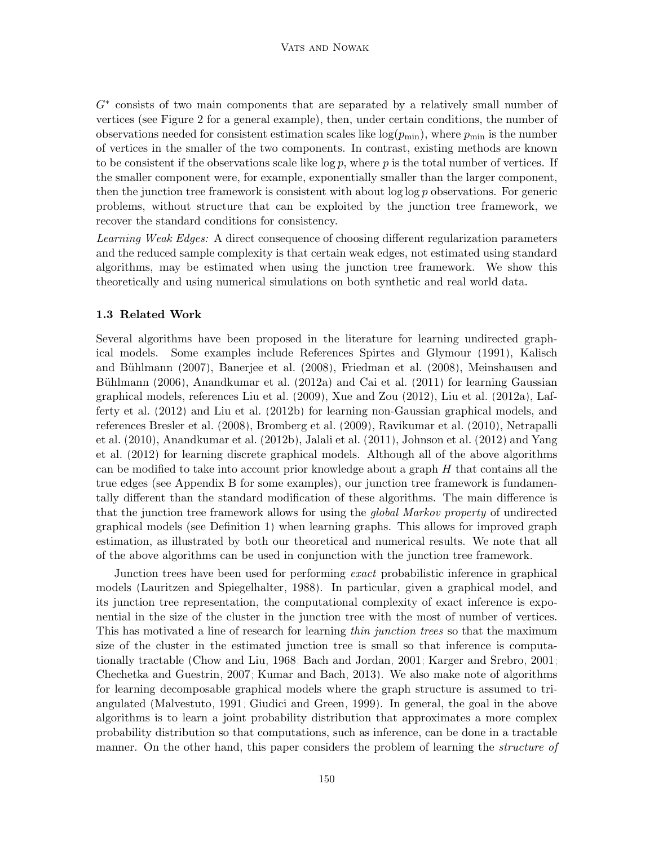G<sup>\*</sup> consists of two main components that are separated by a relatively small number of vertices (see Figure [2](#page-2-1) for a general example), then, under certain conditions, the number of observations needed for consistent estimation scales like  $log(p_{min})$ , where  $p_{min}$  is the number of vertices in the smaller of the two components. In contrast, existing methods are known to be consistent if the observations scale like  $\log p$ , where p is the total number of vertices. If the smaller component were, for example, exponentially smaller than the larger component, then the junction tree framework is consistent with about  $\log \log p$  observations. For generic problems, without structure that can be exploited by the junction tree framework, we recover the standard conditions for consistency.

Learning Weak Edges: A direct consequence of choosing different regularization parameters and the reduced sample complexity is that certain weak edges, not estimated using standard algorithms, may be estimated when using the junction tree framework. We show this theoretically and using numerical simulations on both synthetic and real world data.

### 1.3 Related Work

Several algorithms have been proposed in the literature for learning undirected graphical models. Some examples include References [Spirtes and Glymour](#page-43-2) [\(1991\)](#page-43-2), [Kalisch](#page-41-3) and Bühlmann [\(2007\)](#page-41-3), [Banerjee et al.](#page-40-2) [\(2008\)](#page-41-4), [Friedman et al.](#page-41-4) (2008), [Meinshausen and](#page-42-0) Bühlmann [\(2006\)](#page-42-0), [Anandkumar et al.](#page-39-2) [\(2012a\)](#page-39-2) and [Cai et al.](#page-40-3) [\(2011\)](#page-40-3) for learning Gaussian graphical models, references [Liu et al.](#page-42-1) [\(2009\)](#page-42-1), [Xue and Zou](#page-44-0) [\(2012\)](#page-44-0), [Liu et al.](#page-42-2) [\(2012a\)](#page-42-2), [Laf](#page-41-5)[ferty et al.](#page-41-5) [\(2012\)](#page-41-5) and [Liu et al.](#page-42-3) [\(2012b\)](#page-42-3) for learning non-Gaussian graphical models, and references [Bresler et al.](#page-40-4) [\(2008\)](#page-40-4), [Bromberg et al.](#page-40-5) [\(2009\)](#page-40-5), [Ravikumar et al.](#page-43-3) [\(2010\)](#page-43-3), [Netrapalli](#page-42-4) [et al.](#page-42-4) [\(2010\)](#page-42-4), [Anandkumar et al.](#page-39-3) [\(2012b\)](#page-39-3), [Jalali et al.](#page-41-6) [\(2011\)](#page-41-6), [Johnson et al.](#page-41-7) [\(2012\)](#page-41-7) and [Yang](#page-44-1) [et al.](#page-44-1) [\(2012\)](#page-44-1) for learning discrete graphical models. Although all of the above algorithms can be modified to take into account prior knowledge about a graph  $H$  that contains all the true edges (see Appendix [B](#page-5-0) for some examples), our junction tree framework is fundamentally different than the standard modification of these algorithms. The main difference is that the junction tree framework allows for using the global Markov property of undirected graphical models (see Definition [1\)](#page-6-0) when learning graphs. This allows for improved graph estimation, as illustrated by both our theoretical and numerical results. We note that all of the above algorithms can be used in conjunction with the junction tree framework.

Junction trees have been used for performing exact probabilistic inference in graphical models [\(Lauritzen and Spiegelhalter, 1988\)](#page-41-8). In particular, given a graphical model, and its junction tree representation, the computational complexity of exact inference is exponential in the size of the cluster in the junction tree with the most of number of vertices. This has motivated a line of research for learning *thin junction trees* so that the maximum size of the cluster in the estimated junction tree is small so that inference is computationally tractable [\(Chow and Liu, 1968;](#page-40-6) [Bach and Jordan, 2001;](#page-40-7) [Karger and Srebro, 2001;](#page-41-9) [Chechetka and Guestrin, 2007;](#page-40-8) [Kumar and Bach, 2013\)](#page-41-10). We also make note of algorithms for learning decomposable graphical models where the graph structure is assumed to triangulated [\(Malvestuto, 1991;](#page-42-5) [Giudici and Green, 1999\)](#page-41-11). In general, the goal in the above algorithms is to learn a joint probability distribution that approximates a more complex probability distribution so that computations, such as inference, can be done in a tractable manner. On the other hand, this paper considers the problem of learning the *structure of*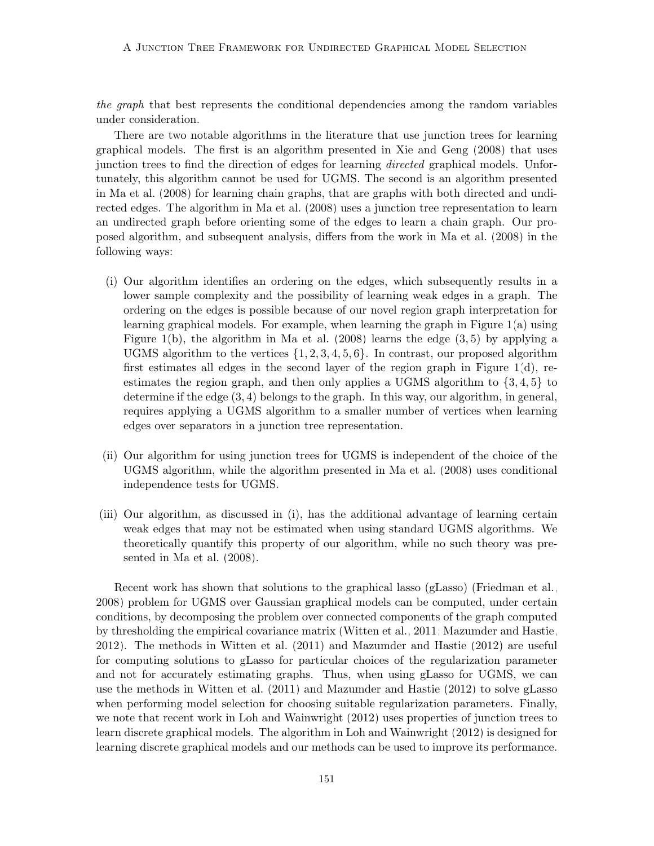the graph that best represents the conditional dependencies among the random variables under consideration.

There are two notable algorithms in the literature that use junction trees for learning graphical models. The first is an algorithm presented in [Xie and Geng](#page-44-2) [\(2008\)](#page-44-2) that uses junction trees to find the direction of edges for learning *directed* graphical models. Unfortunately, this algorithm cannot be used for UGMS. The second is an algorithm presented in [Ma et al.](#page-42-6) [\(2008\)](#page-42-6) for learning chain graphs, that are graphs with both directed and undirected edges. The algorithm in [Ma et al.](#page-42-6) [\(2008\)](#page-42-6) uses a junction tree representation to learn an undirected graph before orienting some of the edges to learn a chain graph. Our proposed algorithm, and subsequent analysis, differs from the work in [Ma et al.](#page-42-6) [\(2008\)](#page-42-6) in the following ways:

- (i) Our algorithm identifies an ordering on the edges, which subsequently results in a lower sample complexity and the possibility of learning weak edges in a graph. The ordering on the edges is possible because of our novel region graph interpretation for learning graphical models. For example, when learning the graph in Figure [1\(](#page-1-0)a) using Figure [1\(](#page-1-0)b), the algorithm in [Ma et al.](#page-42-6)  $(2008)$  learns the edge  $(3,5)$  by applying a UGMS algorithm to the vertices  $\{1, 2, 3, 4, 5, 6\}$ . In contrast, our proposed algorithm first estimates all edges in the second layer of the region graph in Figure  $1(d)$ , reestimates the region graph, and then only applies a UGMS algorithm to  $\{3, 4, 5\}$  to determine if the edge (3, 4) belongs to the graph. In this way, our algorithm, in general, requires applying a UGMS algorithm to a smaller number of vertices when learning edges over separators in a junction tree representation.
- (ii) Our algorithm for using junction trees for UGMS is independent of the choice of the UGMS algorithm, while the algorithm presented in [Ma et al.](#page-42-6) [\(2008\)](#page-42-6) uses conditional independence tests for UGMS.
- (iii) Our algorithm, as discussed in (i), has the additional advantage of learning certain weak edges that may not be estimated when using standard UGMS algorithms. We theoretically quantify this property of our algorithm, while no such theory was presented in [Ma et al.](#page-42-6) [\(2008\)](#page-42-6).

Recent work has shown that solutions to the graphical lasso (gLasso) [\(Friedman et al.,](#page-41-4) [2008\)](#page-41-4) problem for UGMS over Gaussian graphical models can be computed, under certain conditions, by decomposing the problem over connected components of the graph computed by thresholding the empirical covariance matrix [\(Witten et al., 2011;](#page-44-3) [Mazumder and Hastie,](#page-42-7) [2012\)](#page-42-7). The methods in [Witten et al.](#page-44-3) [\(2011\)](#page-44-3) and [Mazumder and Hastie](#page-42-7) [\(2012\)](#page-42-7) are useful for computing solutions to gLasso for particular choices of the regularization parameter and not for accurately estimating graphs. Thus, when using gLasso for UGMS, we can use the methods in [Witten et al.](#page-44-3) [\(2011\)](#page-44-3) and [Mazumder and Hastie](#page-42-7) [\(2012\)](#page-42-7) to solve gLasso when performing model selection for choosing suitable regularization parameters. Finally, we note that recent work in [Loh and Wainwright](#page-42-8) [\(2012\)](#page-42-8) uses properties of junction trees to learn discrete graphical models. The algorithm in [Loh and Wainwright](#page-42-8) [\(2012\)](#page-42-8) is designed for learning discrete graphical models and our methods can be used to improve its performance.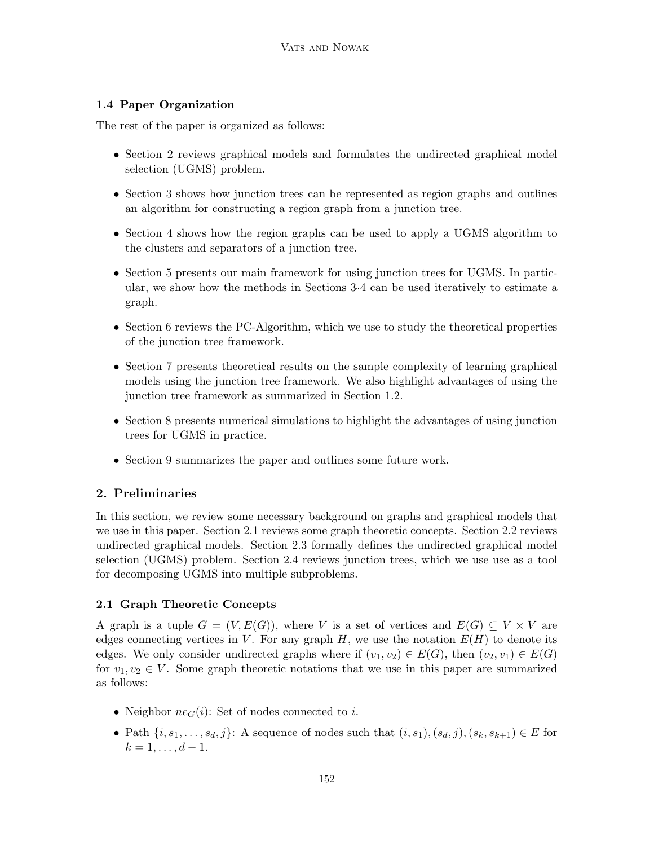# 1.4 Paper Organization

The rest of the paper is organized as follows:

- Section [2](#page-5-0) reviews graphical models and formulates the undirected graphical model selection (UGMS) problem.
- Section [3](#page-8-1) shows how junction trees can be represented as region graphs and outlines an algorithm for constructing a region graph from a junction tree.
- Section [4](#page-10-0) shows how the region graphs can be used to apply a UGMS algorithm to the clusters and separators of a junction tree.
- Section [5](#page-12-0) presents our main framework for using junction trees for UGMS. In particular, we show how the methods in Sections [3-](#page-8-1)[4](#page-10-0) can be used iteratively to estimate a graph.
- Section [6](#page-16-0) reviews the PC-Algorithm, which we use to study the theoretical properties of the junction tree framework.
- Section [7](#page-18-0) presents theoretical results on the sample complexity of learning graphical models using the junction tree framework. We also highlight advantages of using the junction tree framework as summarized in Section [1.2.](#page-2-2)
- Section [8](#page-23-0) presents numerical simulations to highlight the advantages of using junction trees for UGMS in practice.
- Section [9](#page-31-0) summarizes the paper and outlines some future work.

# <span id="page-5-0"></span>2. Preliminaries

In this section, we review some necessary background on graphs and graphical models that we use in this paper. Section [2.1](#page-5-1) reviews some graph theoretic concepts. Section [2.2](#page-6-1) reviews undirected graphical models. Section [2.3](#page-6-2) formally defines the undirected graphical model selection (UGMS) problem. Section [2.4](#page-7-0) reviews junction trees, which we use use as a tool for decomposing UGMS into multiple subproblems.

## <span id="page-5-1"></span>2.1 Graph Theoretic Concepts

A graph is a tuple  $G = (V, E(G))$ , where V is a set of vertices and  $E(G) \subseteq V \times V$  are edges connecting vertices in V. For any graph  $H$ , we use the notation  $E(H)$  to denote its edges. We only consider undirected graphs where if  $(v_1, v_2) \in E(G)$ , then  $(v_2, v_1) \in E(G)$ for  $v_1, v_2 \in V$ . Some graph theoretic notations that we use in this paper are summarized as follows:

- Neighbor  $ne_G(i)$ : Set of nodes connected to i.
- Path  $\{i, s_1, \ldots, s_d, j\}$ : A sequence of nodes such that  $(i, s_1), (s_d, j), (s_k, s_{k+1}) \in E$  for  $k = 1, \ldots, d - 1.$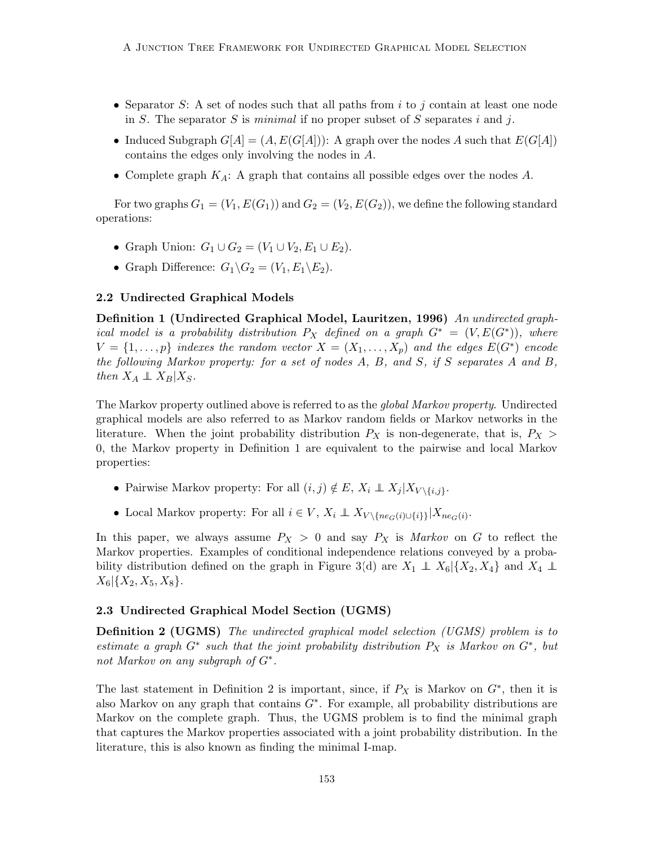- Separator S: A set of nodes such that all paths from  $i$  to  $j$  contain at least one node in S. The separator S is minimal if no proper subset of S separates i and j.
- Induced Subgraph  $G[A] = (A, E(G[A]))$ : A graph over the nodes A such that  $E(G[A])$ contains the edges only involving the nodes in A.
- Complete graph  $K_A$ : A graph that contains all possible edges over the nodes  $A$ .

For two graphs  $G_1 = (V_1, E(G_1))$  and  $G_2 = (V_2, E(G_2))$ , we define the following standard operations:

- Graph Union:  $G_1 \cup G_2 = (V_1 \cup V_2, E_1 \cup E_2)$ .
- Graph Difference:  $G_1 \backslash G_2 = (V_1, E_1 \backslash E_2)$ .

### <span id="page-6-1"></span>2.2 Undirected Graphical Models

<span id="page-6-0"></span>Definition 1 (Undirected Graphical Model, [Lauritzen, 1996\)](#page-41-0) An undirected graphical model is a probability distribution  $P_X$  defined on a graph  $G^* = (V, E(G^*))$ , where  $V = \{1, \ldots, p\}$  indexes the random vector  $X = (X_1, \ldots, X_p)$  and the edges  $E(G^*)$  encode the following Markov property: for a set of nodes A, B, and S, if S separates A and B, then  $X_A \perp\!\!\!\perp X_B | X_S$ .

The Markov property outlined above is referred to as the *global Markov property*. Undirected graphical models are also referred to as Markov random fields or Markov networks in the literature. When the joint probability distribution  $P_X$  is non-degenerate, that is,  $P_X$  > 0, the Markov property in Definition [1](#page-6-0) are equivalent to the pairwise and local Markov properties:

- Pairwise Markov property: For all  $(i, j) \notin E$ ,  $X_i \perp \!\!\!\! \perp X_j | X_{V \setminus \{i, j\}}$ .
- Local Markov property: For all  $i \in V$ ,  $X_i \perp\!\!\!\perp X_{V \setminus \{n e_G(i) \cup \{i\}\}} | X_{n e_G(i)}$ .

In this paper, we always assume  $P_X > 0$  and say  $P_X$  is Markov on G to reflect the Markov properties. Examples of conditional independence relations conveyed by a proba-bility distribution defined on the graph in Figure [3\(](#page-8-2)d) are  $X_1 \perp \!\!\!\perp X_6$  { $X_2, X_4$ } and  $X_4 \perp \!\!\!\perp$  $X_6$ {{ $X_2, X_5, X_8$ }.

### <span id="page-6-2"></span>2.3 Undirected Graphical Model Section (UGMS)

<span id="page-6-3"></span>**Definition 2 (UGMS)** The undirected graphical model selection (UGMS) problem is to estimate a graph  $G^*$  such that the joint probability distribution  $P_X$  is Markov on  $G^*$ , but not Markov on any subgraph of  $G^*$ .

The last statement in Definition [2](#page-6-3) is important, since, if  $P_X$  is Markov on  $G^*$ , then it is also Markov on any graph that contains  $G^*$ . For example, all probability distributions are Markov on the complete graph. Thus, the UGMS problem is to find the minimal graph that captures the Markov properties associated with a joint probability distribution. In the literature, this is also known as finding the minimal I-map.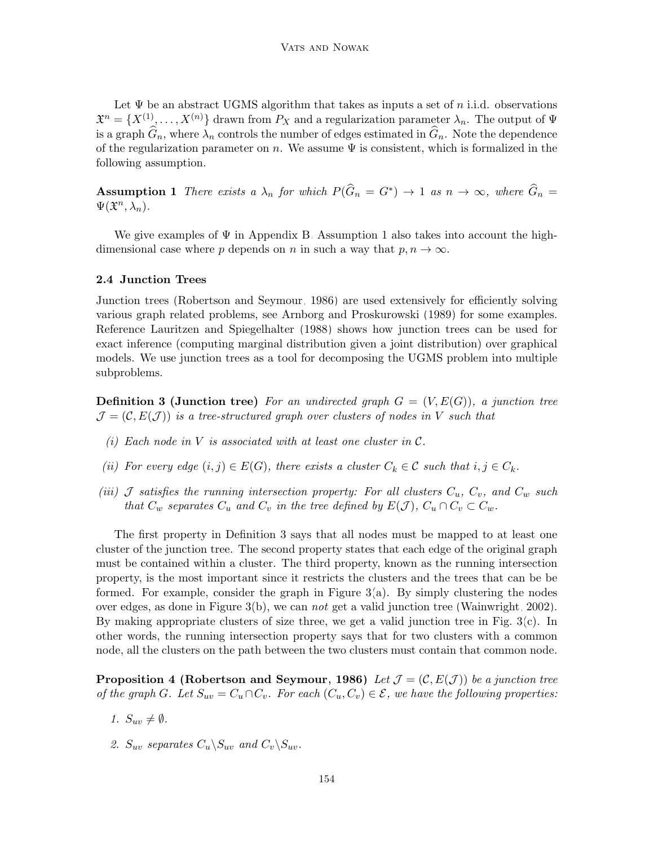Let  $\Psi$  be an abstract UGMS algorithm that takes as inputs a set of n i.i.d. observations  $\mathfrak{X}^n = \{X^{(1)}, \ldots, X^{(n)}\}$  drawn from  $P_X$  and a regularization parameter  $\lambda_n$ . The output of  $\Psi$ is a graph  $\widehat{G}_n$ , where  $\lambda_n$  controls the number of edges estimated in  $\widehat{G}_n$ . Note the dependence of the regularization parameter on n. We assume  $\Psi$  is consistent, which is formalized in the following assumption.

<span id="page-7-1"></span>**Assumption 1** There exists a  $\lambda_n$  for which  $P(\widehat{G}_n = G^*) \to 1$  as  $n \to \infty$ , where  $\widehat{G}_n =$  $\Psi(\mathfrak{X}^n, \lambda_n)$ .

We give examples of  $\Psi$  in Appendix [B.](#page-5-0) Assumption [1](#page-7-1) also takes into account the highdimensional case where p depends on n in such a way that  $p, n \to \infty$ .

#### <span id="page-7-0"></span>2.4 Junction Trees

Junction trees [\(Robertson and Seymour, 1986\)](#page-43-1) are used extensively for efficiently solving various graph related problems, see [Arnborg and Proskurowski](#page-39-0) [\(1989\)](#page-39-0) for some examples. Reference [Lauritzen and Spiegelhalter](#page-41-8) [\(1988\)](#page-41-8) shows how junction trees can be used for exact inference (computing marginal distribution given a joint distribution) over graphical models. We use junction trees as a tool for decomposing the UGMS problem into multiple subproblems.

<span id="page-7-2"></span>**Definition 3 (Junction tree)** For an undirected graph  $G = (V, E(G))$ , a junction tree  $\mathcal{J} = (\mathcal{C}, E(\mathcal{J}))$  is a tree-structured graph over clusters of nodes in V such that

- (i) Each node in  $V$  is associated with at least one cluster in  $\mathcal{C}$ .
- (ii) For every edge  $(i, j) \in E(G)$ , there exists a cluster  $C_k \in \mathcal{C}$  such that  $i, j \in C_k$ .
- (iii) J satisfies the running intersection property: For all clusters  $C_u$ ,  $C_v$ , and  $C_w$  such that  $C_w$  separates  $C_u$  and  $C_v$  in the tree defined by  $E(\mathcal{J})$ ,  $C_u \cap C_v \subset C_w$ .

The first property in Definition [3](#page-7-2) says that all nodes must be mapped to at least one cluster of the junction tree. The second property states that each edge of the original graph must be contained within a cluster. The third property, known as the running intersection property, is the most important since it restricts the clusters and the trees that can be be formed. For example, consider the graph in Figure  $3(a)$ . By simply clustering the nodes over edges, as done in Figure  $3(b)$ , we can not get a valid junction tree [\(Wainwright, 2002\)](#page-43-4). By making appropriate clusters of size three, we get a valid junction tree in Fig. [3\(](#page-8-2)c). In other words, the running intersection property says that for two clusters with a common node, all the clusters on the path between the two clusters must contain that common node.

<span id="page-7-3"></span>**Proposition 4 [\(Robertson and Seymour, 1986\)](#page-43-1)** Let  $\mathcal{J} = (\mathcal{C}, E(\mathcal{J}))$  be a junction tree of the graph G. Let  $S_{uv} = C_u \cap C_v$ . For each  $(C_u, C_v) \in \mathcal{E}$ , we have the following properties:

- 1.  $S_{uv} \neq \emptyset$ .
- 2.  $S_{uv}$  separates  $C_u \backslash S_{uv}$  and  $C_v \backslash S_{uv}$ .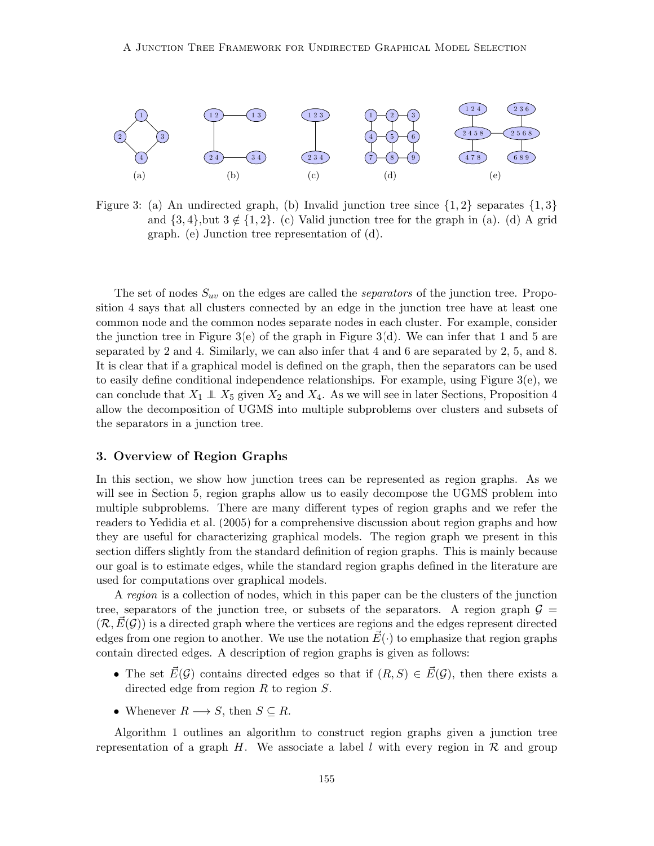

<span id="page-8-2"></span>Figure 3: (a) An undirected graph, (b) Invalid junction tree since  $\{1,2\}$  separates  $\{1,3\}$ and  $\{3,4\}$ ,but  $3 \notin \{1,2\}$ . (c) Valid junction tree for the graph in (a). (d) A grid graph. (e) Junction tree representation of (d).

The set of nodes  $S_{uv}$  on the edges are called the *separators* of the junction tree. Proposition [4](#page-7-3) says that all clusters connected by an edge in the junction tree have at least one common node and the common nodes separate nodes in each cluster. For example, consider the junction tree in Figure [3\(](#page-8-2)e) of the graph in Figure 3(d). We can infer that 1 and 5 are separated by 2 and 4. Similarly, we can also infer that 4 and 6 are separated by 2, 5, and 8. It is clear that if a graphical model is defined on the graph, then the separators can be used to easily define conditional independence relationships. For example, using Figure [3\(](#page-8-2)e), we can conclude that  $X_1 \perp X_5$  given  $X_2$  and  $X_4$ . As we will see in later Sections, Proposition [4](#page-7-3) allow the decomposition of UGMS into multiple subproblems over clusters and subsets of the separators in a junction tree.

### <span id="page-8-1"></span>3. Overview of Region Graphs

In this section, we show how junction trees can be represented as region graphs. As we will see in Section [5,](#page-12-0) region graphs allow us to easily decompose the UGMS problem into multiple subproblems. There are many different types of region graphs and we refer the readers to [Yedidia et al.](#page-44-4) [\(2005\)](#page-44-4) for a comprehensive discussion about region graphs and how they are useful for characterizing graphical models. The region graph we present in this section differs slightly from the standard definition of region graphs. This is mainly because our goal is to estimate edges, while the standard region graphs defined in the literature are used for computations over graphical models.

<span id="page-8-0"></span>A region is a collection of nodes, which in this paper can be the clusters of the junction tree, separators of the junction tree, or subsets of the separators. A region graph  $\mathcal{G} =$  $(\mathcal{R}, E(\mathcal{G}))$  is a directed graph where the vertices are regions and the edges represent directed edges from one region to another. We use the notation  $\vec{E}(\cdot)$  to emphasize that region graphs contain directed edges. A description of region graphs is given as follows:

- The set  $\vec{E}(\mathcal{G})$  contains directed edges so that if  $(R, S) \in \vec{E}(\mathcal{G})$ , then there exists a directed edge from region  $R$  to region  $S$ .
- Whenever  $R \longrightarrow S$ , then  $S \subseteq R$ .

Algorithm [1](#page-8-0) outlines an algorithm to construct region graphs given a junction tree representation of a graph H. We associate a label l with every region in  $\mathcal{R}$  and group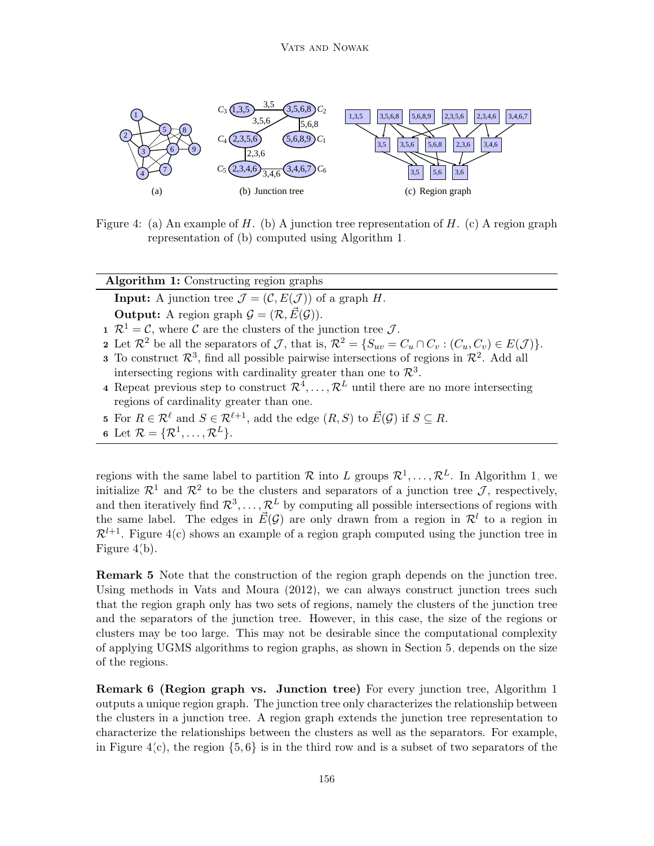

<span id="page-9-0"></span>Figure 4: (a) An example of H. (b) A junction tree representation of H. (c) A region graph representation of (b) computed using Algorithm [1.](#page-8-0)

| <b>Algorithm 1:</b> Constructing region graphs                                                                                                       |
|------------------------------------------------------------------------------------------------------------------------------------------------------|
| <b>Input:</b> A junction tree $\mathcal{J} = (\mathcal{C}, E(\mathcal{J}))$ of a graph H.                                                            |
| <b>Output:</b> A region graph $\mathcal{G} = (\mathcal{R}, \vec{E}(\mathcal{G}))$ .                                                                  |
| $\mathcal{R}^1 = \mathcal{C}$ , where $\mathcal{C}$ are the clusters of the junction tree $\mathcal{J}$ .                                            |
| 2 Let $\mathcal{R}^2$ be all the separators of $\mathcal{J}$ , that is, $\mathcal{R}^2 = \{S_{uv} = C_u \cap C_v : (C_u, C_v) \in E(\mathcal{J})\}.$ |
| <b>3</b> To construct $\mathbb{R}^3$ , find all possible pairwise intersections of regions in $\mathbb{R}^2$ . Add all                               |
| intersecting regions with cardinality greater than one to $\mathcal{R}^3$ .                                                                          |
| 4 Repeat previous step to construct $\mathcal{R}^4, \ldots, \mathcal{R}^L$ until there are no more intersecting                                      |
| regions of cardinality greater than one.                                                                                                             |
| 5 For $R \in \mathcal{R}^{\ell}$ and $S \in \mathcal{R}^{\ell+1}$ , add the edge $(R, S)$ to $\vec{E}(\mathcal{G})$ if $S \subseteq R$ .             |
| 6 Let $\mathcal{R} = {\mathcal{R}^1, \ldots, \mathcal{R}^L}$ .                                                                                       |
|                                                                                                                                                      |

and then iteratively find  $\mathcal{R}^3, \ldots, \mathcal{R}^L$  by computing all possible intersections of regions with regions with the same label to partition R into L groups  $\mathcal{R}^1, \ldots, \mathcal{R}^L$ . In Algorithm [1,](#page-8-0) we initialize  $\mathcal{R}^1$  and  $\mathcal{R}^2$  to be the clusters and separators of a junction tree  $\mathcal{J}$ , respectively, the same label. The edges in  $\vec{E}(\mathcal{G})$  are only drawn from a region in  $\mathcal{R}^l$  to a region in  $\mathcal{R}^{l+1}$ . Figure [4\(](#page-9-0)c) shows an example of a region graph computed using the junction tree in Figure [4\(](#page-9-0)b).

Remark 5 Note that the construction of the region graph depends on the junction tree. Using methods in [Vats and Moura](#page-43-5) [\(2012\)](#page-43-5), we can always construct junction trees such that the region graph only has two sets of regions, namely the clusters of the junction tree and the separators of the junction tree. However, in this case, the size of the regions or clusters may be too large. This may not be desirable since the computational complexity of applying UGMS algorithms to region graphs, as shown in Section [5,](#page-12-0) depends on the size of the regions.

Remark 6 (Region graph vs. Junction tree) For every junction tree, Algorithm [1](#page-8-0) outputs a unique region graph. The junction tree only characterizes the relationship between the clusters in a junction tree. A region graph extends the junction tree representation to characterize the relationships between the clusters as well as the separators. For example, in Figure [4\(](#page-9-0)c), the region  $\{5, 6\}$  is in the third row and is a subset of two separators of the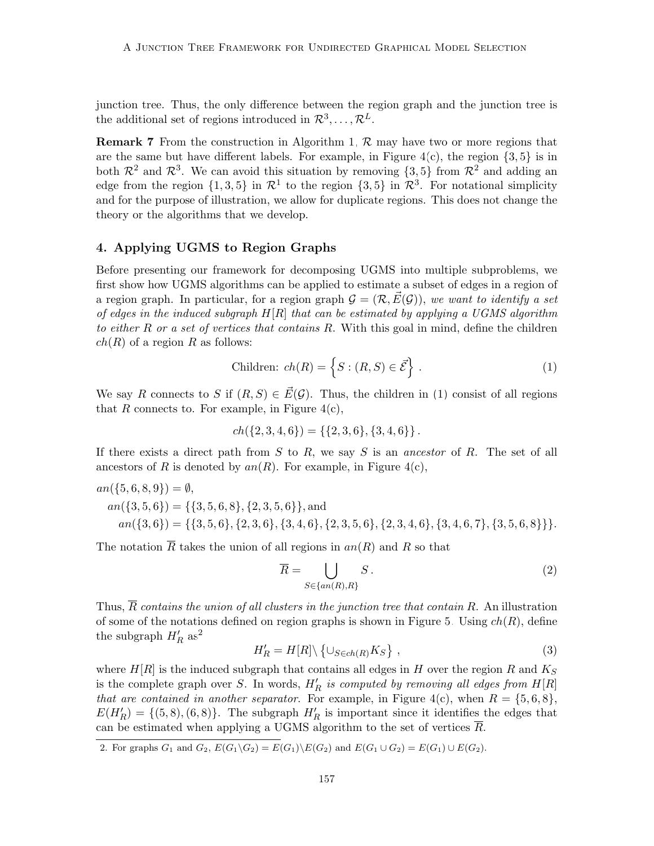junction tree. Thus, the only difference between the region graph and the junction tree is the additional set of regions introduced in  $\mathcal{R}^3, \ldots, \mathcal{R}^L$ .

**Remark 7** From the construction in Algorithm [1,](#page-8-0)  $\mathcal{R}$  may have two or more regions that are the same but have different labels. For example, in Figure  $4(c)$ , the region  $\{3, 5\}$  is in both  $\mathcal{R}^2$  and  $\mathcal{R}^3$ . We can avoid this situation by removing  $\{3,5\}$  from  $\mathcal{R}^2$  and adding an edge from the region  $\{1,3,5\}$  in  $\mathcal{R}^1$  to the region  $\{3,5\}$  in  $\mathcal{R}^3$ . For notational simplicity and for the purpose of illustration, we allow for duplicate regions. This does not change the theory or the algorithms that we develop.

## <span id="page-10-0"></span>4. Applying UGMS to Region Graphs

Before presenting our framework for decomposing UGMS into multiple subproblems, we first show how UGMS algorithms can be applied to estimate a subset of edges in a region of a region graph. In particular, for a region graph  $\mathcal{G} = (\mathcal{R}, \vec{E}(\mathcal{G}))$ , we want to identify a set of edges in the induced subgraph  $H[R]$  that can be estimated by applying a UGMS algorithm to either R or a set of vertices that contains R. With this goal in mind, define the children  $ch(R)$  of a region R as follows:

<span id="page-10-1"></span>
$$
Children: ch(R) = \left\{ S : (R, S) \in \vec{\mathcal{E}} \right\}.
$$
\n(1)

We say R connects to S if  $(R, S) \in \vec{E}(\mathcal{G})$ . Thus, the children in [\(1\)](#page-10-1) consist of all regions that  $R$  connects to. For example, in Figure [4\(](#page-9-0)c),

$$
ch({2,3,4,6}) = {\{2,3,6\}, {3,4,6\}}.
$$

If there exists a direct path from  $S$  to  $R$ , we say  $S$  is an ancestor of  $R$ . The set of all ancestors of R is denoted by  $an(R)$ . For example, in Figure [4\(](#page-9-0)c),

$$
an({5, 6, 8, 9}) = \emptyset,
$$
  
\n
$$
an({3, 5, 6}) = ({3, 5, 6, 8}, {2, 3, 5, 6}, and
$$
  
\n
$$
an({3, 6}) = ({3, 5, 6}, {2, 3, 6}, {3, 4, 6}, {2, 3, 5, 6}, {2, 3, 4, 6}, {3, 4, 6, 7}, {3, 5, 6, 8}}.
$$

The notation  $\overline{R}$  takes the union of all regions in  $an(R)$  and R so that

<span id="page-10-4"></span>
$$
\overline{R} = \bigcup_{S \in \{an(R), R\}} S. \tag{2}
$$

Thus,  $\overline{R}$  contains the union of all clusters in the junction tree that contain R. An illustration of some of the notations defined on region graphs is shown in Figure [5.](#page-11-0) Using  $ch(R)$ , define the subgraph  $H'_R$  as<sup>[2](#page-10-2)</sup>

<span id="page-10-3"></span>
$$
H_R' = H[R] \setminus \left\{ \cup_{S \in ch(R)} K_S \right\},\tag{3}
$$

where  $H[R]$  is the induced subgraph that contains all edges in H over the region R and  $K_S$ is the complete graph over S. In words,  $H'_R$  is computed by removing all edges from  $H[R]$ that are contained in another separator. For example, in Figure [4\(](#page-9-0)c), when  $R = \{5, 6, 8\}$ ,  $E(H'_R) = \{(5, 8), (6, 8)\}.$  The subgraph  $H'_R$  is important since it identifies the edges that can be estimated when applying a UGMS algorithm to the set of vertices R.

<span id="page-10-5"></span><span id="page-10-2"></span>2. For graphs  $G_1$  and  $G_2$ ,  $E(G_1\backslash G_2) = E(G_1)\backslash E(G_2)$  and  $E(G_1\cup G_2) = E(G_1)\cup E(G_2)$ .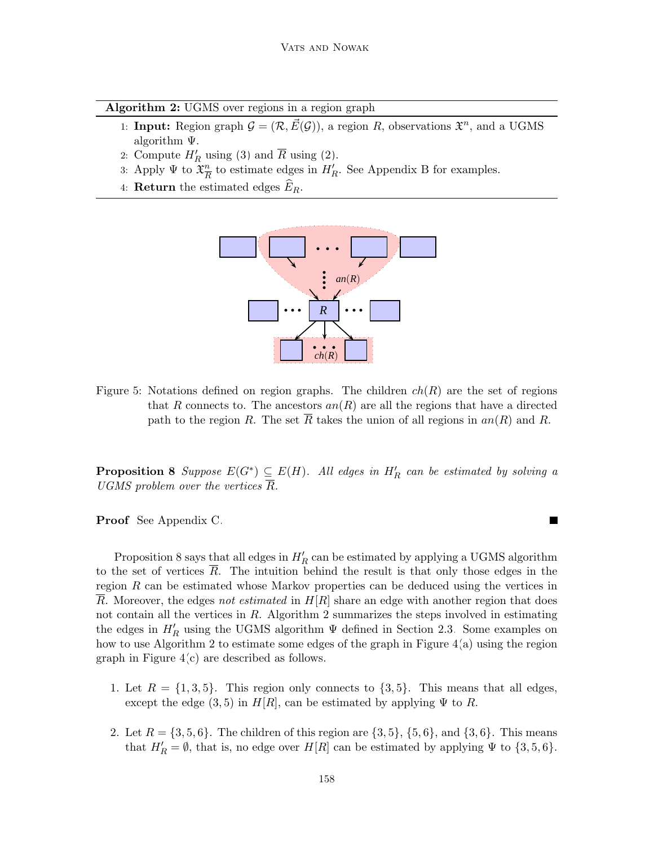| Algorithm 2: UGMS over regions in a region graph |  |  |  |  |
|--------------------------------------------------|--|--|--|--|
|                                                  |  |  |  |  |

- <span id="page-11-1"></span>1: **Input:** Region graph  $G = (\mathcal{R}, \vec{E}(\mathcal{G}))$ , a region R, observations  $\mathfrak{X}^n$ , and a UGMS algorithm Ψ.
- 2: Compute  $H'_R$  using [\(3\)](#page-10-3) and  $\overline{R}$  using [\(2\)](#page-10-4).
- 3: Apply  $\Psi$  to  $\mathfrak{X}^n_{\overline{R}}$  $\frac{n}{R}$  to estimate edges in  $H'_R$ . See Appendix [B](#page-5-0) for examples.
- 4: **Return** the estimated edges  $E_R$ .



<span id="page-11-0"></span>Figure 5: Notations defined on region graphs. The children  $ch(R)$  are the set of regions that R connects to. The ancestors  $an(R)$  are all the regions that have a directed path to the region R. The set R takes the union of all regions in  $an(R)$  and R.

**Proposition 8** Suppose  $E(G^*) \subseteq E(H)$ . All edges in  $H'_R$  can be estimated by solving a UGMS problem over the vertices  $\overline{R}$ .

Proof See Appendix [C.](#page-8-1)

-graph in Figure [4\(](#page-9-0)c) are described as follows. how to use Algorithm [2](#page-11-1) to estimate some edges of the graph in Figure  $4(a)$  using the region Proposition [8](#page-10-5) says that all edges in  $H'_R$  can be estimated by applying a UGMS algorithm to the set of vertices  $R$ . The intuition behind the result is that only those edges in the region  $R$  can be estimated whose Markov properties can be deduced using the vertices in R. Moreover, the edges not estimated in  $H[R]$  share an edge with another region that does not contain all the vertices in  $R$ . Algorithm [2](#page-11-1) summarizes the steps involved in estimating the edges in  $H'_R$  using the UGMS algorithm  $\Psi$  defined in Section [2.3.](#page-6-2) Some examples on

- 1. Let  $R = \{1, 3, 5\}$ . This region only connects to  $\{3, 5\}$ . This means that all edges, except the edge  $(3, 5)$  in  $H[R]$ , can be estimated by applying  $\Psi$  to R.
- 2. Let  $R = \{3, 5, 6\}$ . The children of this region are  $\{3, 5\}$ ,  $\{5, 6\}$ , and  $\{3, 6\}$ . This means that  $H'_R = \emptyset$ , that is, no edge over  $H[R]$  can be estimated by applying  $\Psi$  to  $\{3, 5, 6\}$ .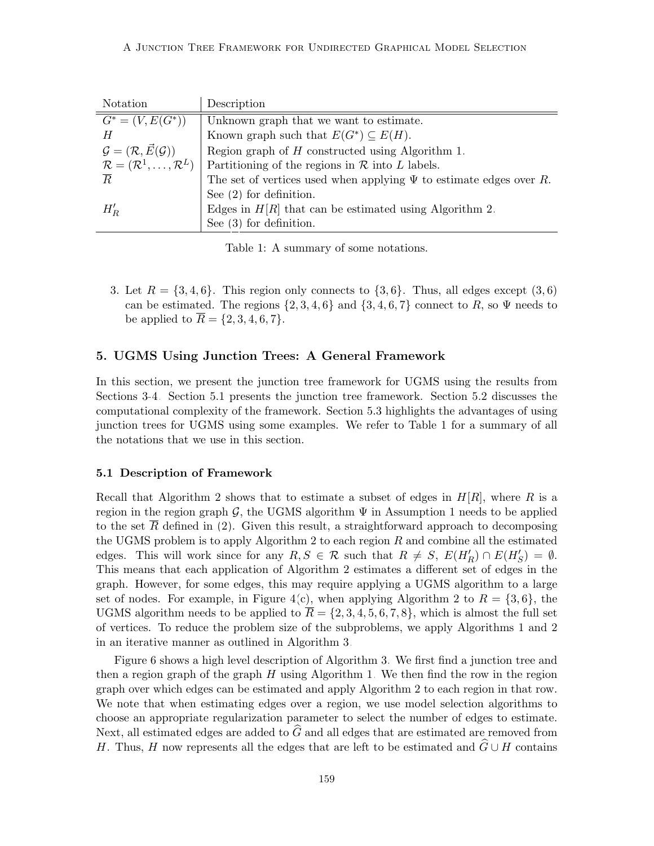| Notation                                               | Description                                                             |
|--------------------------------------------------------|-------------------------------------------------------------------------|
| $G^* = (V, E(G^*))$                                    | Unknown graph that we want to estimate.                                 |
| H                                                      | Known graph such that $E(G^*) \subseteq E(H)$ .                         |
| $\mathcal{G} = (\mathcal{R}, \vec{E}(\mathcal{G}))$    | Region graph of $H$ constructed using Algorithm 1.                      |
| $\mathcal{R} = (\mathcal{R}^1, \ldots, \mathcal{R}^L)$ | Partitioning of the regions in $R$ into L labels.                       |
| $\overline{R}$                                         | The set of vertices used when applying $\Psi$ to estimate edges over R. |
|                                                        | See $(2)$ for definition.                                               |
| $H'_R$                                                 | Edges in $H[R]$ that can be estimated using Algorithm 2.                |
|                                                        | See $(3)$ for definition.                                               |

<span id="page-12-2"></span>Table 1: A summary of some notations.

3. Let  $R = \{3, 4, 6\}$ . This region only connects to  $\{3, 6\}$ . Thus, all edges except  $(3, 6)$ can be estimated. The regions  $\{2, 3, 4, 6\}$  and  $\{3, 4, 6, 7\}$  connect to R, so  $\Psi$  needs to be applied to  $\bar{R} = \{2, 3, 4, 6, 7\}.$ 

### <span id="page-12-0"></span>5. UGMS Using Junction Trees: A General Framework

In this section, we present the junction tree framework for UGMS using the results from Sections [3-](#page-8-1)[4.](#page-10-0) Section [5.1](#page-12-1) presents the junction tree framework. Section [5.2](#page-14-0) discusses the computational complexity of the framework. Section [5.3](#page-15-0) highlights the advantages of using junction trees for UGMS using some examples. We refer to Table [1](#page-12-2) for a summary of all the notations that we use in this section.

#### <span id="page-12-1"></span>5.1 Description of Framework

Recall that Algorithm [2](#page-11-1) shows that to estimate a subset of edges in  $H[R]$ , where R is a region in the region graph G, the UGMS algorithm  $\Psi$  in Assumption [1](#page-7-1) needs to be applied to the set R defined in  $(2)$ . Given this result, a straightforward approach to decomposing the UGMS problem is to apply Algorithm [2](#page-11-1) to each region  $R$  and combine all the estimated edges. This will work since for any  $R, S \in \mathcal{R}$  such that  $R \neq S$ ,  $E(H_R') \cap E(H_S') = \emptyset$ . This means that each application of Algorithm [2](#page-11-1) estimates a different set of edges in the graph. However, for some edges, this may require applying a UGMS algorithm to a large set of nodes. For example, in Figure [4\(](#page-9-0)c), when applying Algorithm [2](#page-11-1) to  $R = \{3, 6\}$ , the UGMS algorithm needs to be applied to  $\overline{R} = \{2, 3, 4, 5, 6, 7, 8\}$ , which is almost the full set of vertices. To reduce the problem size of the subproblems, we apply Algorithms [1](#page-8-0) and [2](#page-11-1) in an iterative manner as outlined in Algorithm [3.](#page-12-3)

<span id="page-12-3"></span>Figure [6](#page-13-0) shows a high level description of Algorithm [3.](#page-12-3) We first find a junction tree and then a region graph of the graph  $H$  using Algorithm [1.](#page-8-0) We then find the row in the region graph over which edges can be estimated and apply Algorithm [2](#page-11-1) to each region in that row. We note that when estimating edges over a region, we use model selection algorithms to choose an appropriate regularization parameter to select the number of edges to estimate. Next, all estimated edges are added to  $\hat{G}$  and all edges that are estimated are removed from H. Thus, H now represents all the edges that are left to be estimated and  $\widehat{G} \cup H$  contains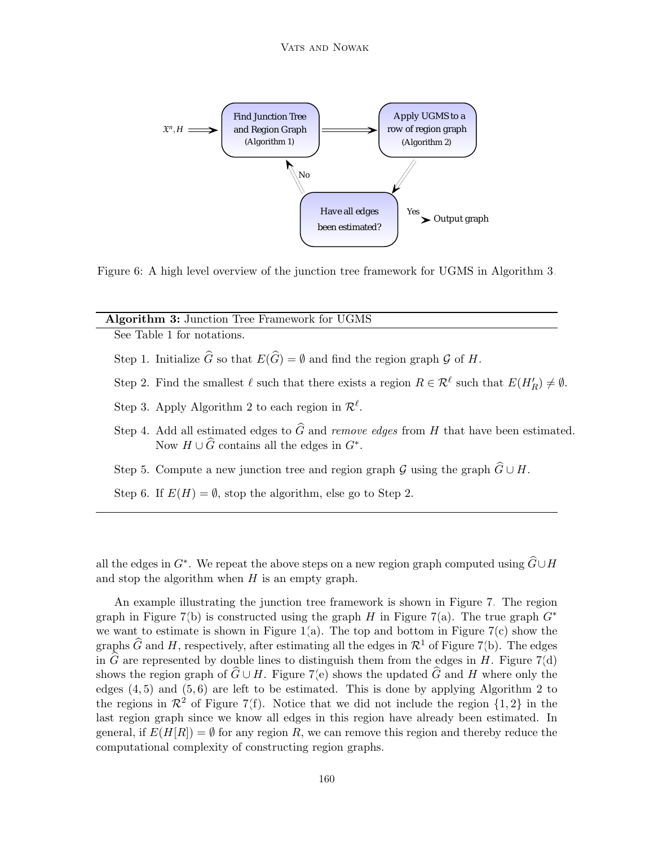

<span id="page-13-0"></span>Figure 6: A high level overview of the junction tree framework for UGMS in Algorithm [3.](#page-12-3)

#### Algorithm 3: Junction Tree Framework for UGMS

See Table [1](#page-12-2) for notations.

- Step 1. Initialize  $\widehat{G}$  so that  $E(\widehat{G}) = \emptyset$  and find the region graph G of H.
- Step 2. Find the smallest  $\ell$  such that there exists a region  $R \in \mathcal{R}^{\ell}$  such that  $E(H_R') \neq \emptyset$ .
- Step 3. Apply Algorithm [2](#page-11-1) to each region in  $\mathcal{R}^{\ell}$ .
- Step 4. Add all estimated edges to  $\widehat{G}$  and *remove edges* from H that have been estimated. Now  $H \cup \widehat{G}$  contains all the edges in  $G^*$ .
- Step 5. Compute a new junction tree and region graph G using the graph  $\widehat{G} \cup H$ .
- Step 6. If  $E(H) = \emptyset$ , stop the algorithm, else go to Step 2.

all the edges in  $G^*$ . We repeat the above steps on a new region graph computed using  $\widehat{G} \cup H$ and stop the algorithm when  $H$  is an empty graph.

An example illustrating the junction tree framework is shown in Figure [7.](#page-14-1) The region graph in Figure [7\(](#page-14-1)b) is constructed using the graph H in Figure 7(a). The true graph  $G^*$ we want to estimate is shown in Figure [1\(](#page-1-0)a). The top and bottom in Figure [7\(](#page-14-1)c) show the graphs  $\widehat{G}$  and H, respectively, after estimating all the edges in  $\mathcal{R}^1$  of Figure [7\(](#page-14-1)b). The edges in  $\widehat{G}$  are represented by double lines to distinguish them from the edges in H. Figure [7\(](#page-14-1)d) shows the region graph of  $\hat{G} \cup H$ . Figure [7\(](#page-14-1)e) shows the updated  $\hat{G}$  and H where only the edges  $(4, 5)$  and  $(5, 6)$  are left to be estimated. This is done by applying Algorithm [2](#page-11-1) to the regions in  $\mathcal{R}^2$  of Figure [7\(](#page-14-1)f). Notice that we did not include the region  $\{1, 2\}$  in the last region graph since we know all edges in this region have already been estimated. In general, if  $E(H|R) = \emptyset$  for any region R, we can remove this region and thereby reduce the computational complexity of constructing region graphs.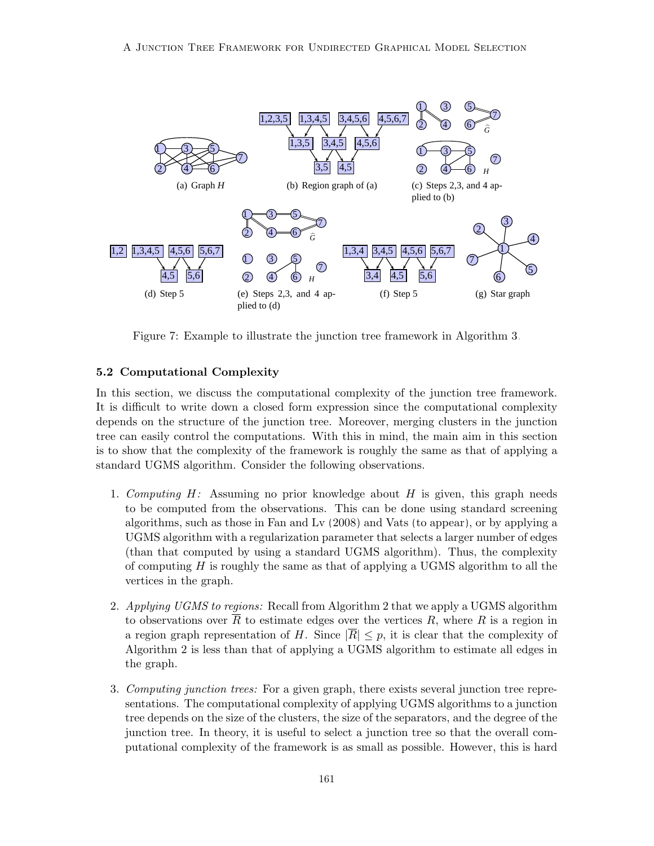

<span id="page-14-1"></span>Figure 7: Example to illustrate the junction tree framework in Algorithm [3.](#page-12-3)

## <span id="page-14-0"></span>5.2 Computational Complexity

In this section, we discuss the computational complexity of the junction tree framework. It is difficult to write down a closed form expression since the computational complexity depends on the structure of the junction tree. Moreover, merging clusters in the junction tree can easily control the computations. With this in mind, the main aim in this section is to show that the complexity of the framework is roughly the same as that of applying a standard UGMS algorithm. Consider the following observations.

- of computing  $H$  is roughly the same as that of applying a UGMS algorithm to all the 1. Computing  $H$ : Assuming no prior knowledge about  $H$  is given, this graph needs to be computed from the observations. This can be done using standard screening algorithms, such as those in [Fan and Lv](#page-40-0) [\(2008\)](#page-40-0) and [Vats](#page-43-0) [\(to appear\)](#page-43-0), or by applying a UGMS algorithm with a regularization parameter that selects a larger number of edges (than that computed by using a standard UGMS algorithm). Thus, the complexity vertices in the graph.
	- 2. Applying UGMS to regions: Recall from Algorithm [2](#page-11-1) that we apply a UGMS algorithm to observations over  $\overline{R}$  to estimate edges over the vertices  $R$ , where  $R$  is a region in a region graph representation of H. Since  $|\overline{R}| \leq p$ , it is clear that the complexity of Algorithm [2](#page-11-1) is less than that of applying a UGMS algorithm to estimate all edges in the graph.
	- 3. Computing junction trees: For a given graph, there exists several junction tree representations. The computational complexity of applying UGMS algorithms to a junction tree depends on the size of the clusters, the size of the separators, and the degree of the junction tree. In theory, it is useful to select a junction tree so that the overall computational complexity of the framework is as small as possible. However, this is hard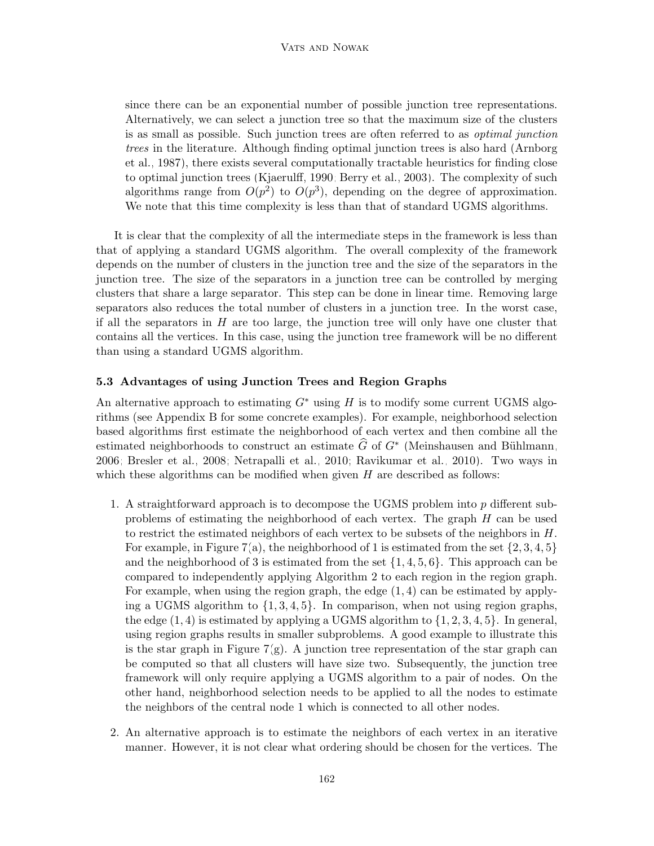since there can be an exponential number of possible junction tree representations. Alternatively, we can select a junction tree so that the maximum size of the clusters is as small as possible. Such junction trees are often referred to as optimal junction trees in the literature. Although finding optimal junction trees is also hard [\(Arnborg](#page-39-1) [et al., 1987\)](#page-39-1), there exists several computationally tractable heuristics for finding close to optimal junction trees [\(Kjaerulff, 1990;](#page-41-2) [Berry et al., 2003\)](#page-40-1). The complexity of such algorithms range from  $O(p^2)$  to  $O(p^3)$ , depending on the degree of approximation. We note that this time complexity is less than that of standard UGMS algorithms.

It is clear that the complexity of all the intermediate steps in the framework is less than that of applying a standard UGMS algorithm. The overall complexity of the framework depends on the number of clusters in the junction tree and the size of the separators in the junction tree. The size of the separators in a junction tree can be controlled by merging clusters that share a large separator. This step can be done in linear time. Removing large separators also reduces the total number of clusters in a junction tree. In the worst case, if all the separators in  $H$  are too large, the junction tree will only have one cluster that contains all the vertices. In this case, using the junction tree framework will be no different than using a standard UGMS algorithm.

## <span id="page-15-0"></span>5.3 Advantages of using Junction Trees and Region Graphs

An alternative approach to estimating  $G^*$  using H is to modify some current UGMS algorithms (see Appendix [B](#page-5-0) for some concrete examples). For example, neighborhood selection based algorithms first estimate the neighborhood of each vertex and then combine all the estimated neighborhoods to construct an estimate  $\widehat{G}$  of  $G^*$  (Meinshausen and Bühlmann, [2006;](#page-42-0) [Bresler et al., 2008;](#page-40-4) [Netrapalli et al., 2010;](#page-42-4) [Ravikumar et al., 2010\)](#page-43-3). Two ways in which these algorithms can be modified when given  $H$  are described as follows:

- 1. A straightforward approach is to decompose the UGMS problem into  $p$  different subproblems of estimating the neighborhood of each vertex. The graph H can be used to restrict the estimated neighbors of each vertex to be subsets of the neighbors in  $H$ . For example, in Figure [7\(](#page-14-1)a), the neighborhood of 1 is estimated from the set  $\{2, 3, 4, 5\}$ and the neighborhood of 3 is estimated from the set  $\{1, 4, 5, 6\}$ . This approach can be compared to independently applying Algorithm [2](#page-11-1) to each region in the region graph. For example, when using the region graph, the edge  $(1, 4)$  can be estimated by applying a UGMS algorithm to  $\{1, 3, 4, 5\}$ . In comparison, when not using region graphs, the edge  $(1, 4)$  is estimated by applying a UGMS algorithm to  $\{1, 2, 3, 4, 5\}$ . In general, using region graphs results in smaller subproblems. A good example to illustrate this is the star graph in Figure [7\(](#page-14-1)g). A junction tree representation of the star graph can be computed so that all clusters will have size two. Subsequently, the junction tree framework will only require applying a UGMS algorithm to a pair of nodes. On the other hand, neighborhood selection needs to be applied to all the nodes to estimate the neighbors of the central node 1 which is connected to all other nodes.
- 2. An alternative approach is to estimate the neighbors of each vertex in an iterative manner. However, it is not clear what ordering should be chosen for the vertices. The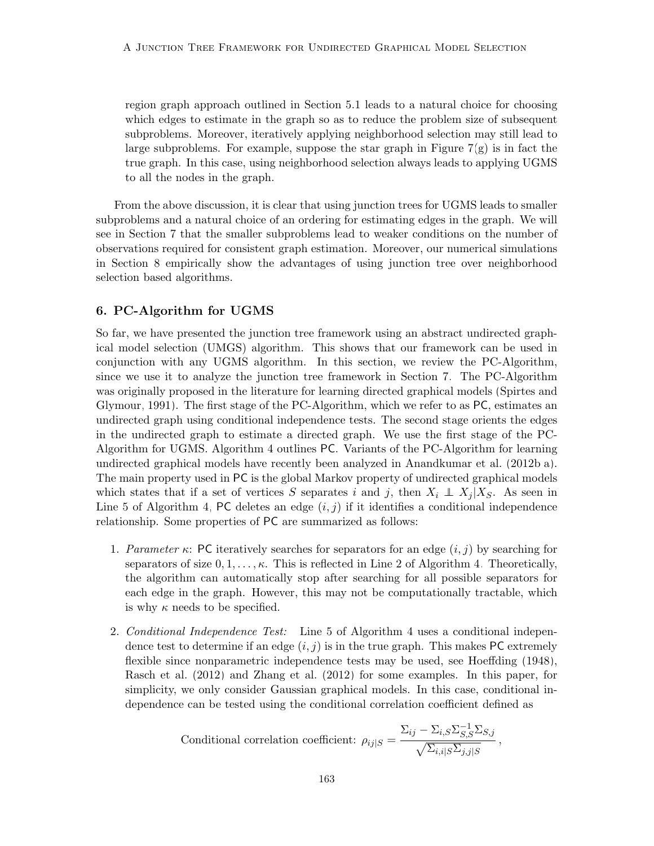region graph approach outlined in Section [5.1](#page-12-1) leads to a natural choice for choosing which edges to estimate in the graph so as to reduce the problem size of subsequent subproblems. Moreover, iteratively applying neighborhood selection may still lead to large subproblems. For example, suppose the star graph in Figure  $7(g)$  is in fact the true graph. In this case, using neighborhood selection always leads to applying UGMS to all the nodes in the graph.

From the above discussion, it is clear that using junction trees for UGMS leads to smaller subproblems and a natural choice of an ordering for estimating edges in the graph. We will see in Section [7](#page-18-0) that the smaller subproblems lead to weaker conditions on the number of observations required for consistent graph estimation. Moreover, our numerical simulations in Section [8](#page-23-0) empirically show the advantages of using junction tree over neighborhood selection based algorithms.

### <span id="page-16-0"></span>6. PC-Algorithm for UGMS

So far, we have presented the junction tree framework using an abstract undirected graphical model selection (UMGS) algorithm. This shows that our framework can be used in conjunction with any UGMS algorithm. In this section, we review the PC-Algorithm, since we use it to analyze the junction tree framework in Section [7.](#page-18-0) The PC-Algorithm was originally proposed in the literature for learning directed graphical models [\(Spirtes and](#page-43-2) [Glymour, 1991\)](#page-43-2). The first stage of the PC-Algorithm, which we refer to as PC, estimates an undirected graph using conditional independence tests. The second stage orients the edges in the undirected graph to estimate a directed graph. We use the first stage of the PC-Algorithm for UGMS. Algorithm [4](#page-16-1) outlines PC. Variants of the PC-Algorithm for learning undirected graphical models have recently been analyzed in [Anandkumar et al.](#page-39-3) [\(2012b,](#page-39-3)[a\)](#page-39-2). The main property used in PC is the global Markov property of undirected graphical models which states that if a set of vertices S separates i and j, then  $X_i \perp X_j | X_S$ . As seen in Line 5 of Algorithm [4,](#page-16-1) PC deletes an edge  $(i, j)$  if it identifies a conditional independence relationship. Some properties of PC are summarized as follows:

- <span id="page-16-1"></span>1. Parameter κ: PC iteratively searches for separators for an edge  $(i, j)$  by searching for separators of size  $0, 1, \ldots, \kappa$ . This is reflected in Line 2 of Algorithm [4.](#page-16-1) Theoretically, the algorithm can automatically stop after searching for all possible separators for each edge in the graph. However, this may not be computationally tractable, which is why  $\kappa$  needs to be specified.
- 2. Conditional Independence Test: Line 5 of Algorithm [4](#page-16-1) uses a conditional independence test to determine if an edge  $(i, j)$  is in the true graph. This makes PC extremely flexible since nonparametric independence tests may be used, see [Hoeffding](#page-41-12) [\(1948\)](#page-41-12), [Rasch et al.](#page-42-9) [\(2012\)](#page-42-9) and [Zhang et al.](#page-44-5) [\(2012\)](#page-44-5) for some examples. In this paper, for simplicity, we only consider Gaussian graphical models. In this case, conditional independence can be tested using the conditional correlation coefficient defined as

Conditional correlation coefficient: 
$$
\rho_{ij|S} = \frac{\Sigma_{ij} - \Sigma_{i,S} \Sigma_{S,S}^{-1} \Sigma_{S,j}}{\sqrt{\Sigma_{i,i|S} \Sigma_{j,j|S}}},
$$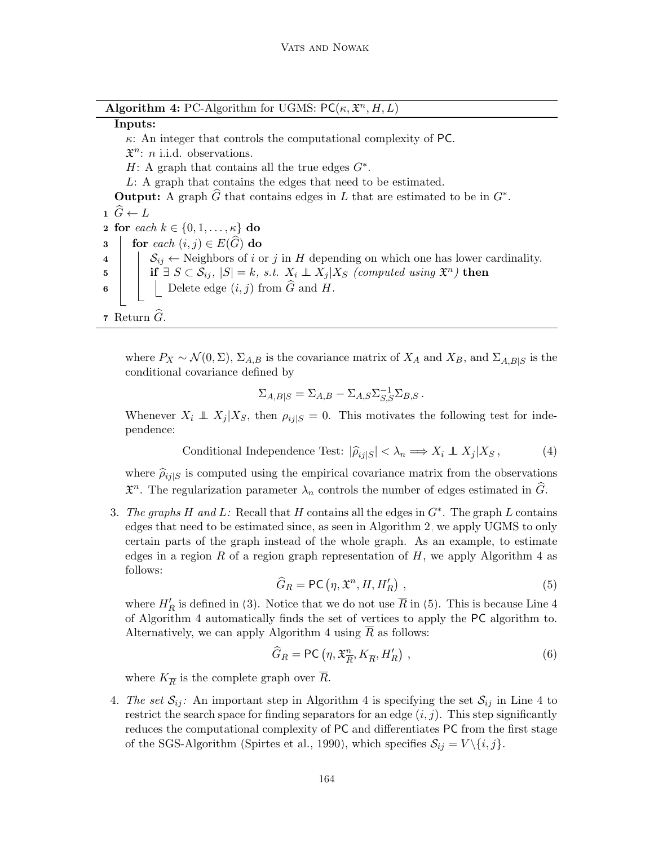|  | <b>Algorithm 4:</b> PC-Algorithm for UGMS: $PC(\kappa, \mathfrak{X}^n, H, L)$ |  |  |  |  |  |
|--|-------------------------------------------------------------------------------|--|--|--|--|--|
|--|-------------------------------------------------------------------------------|--|--|--|--|--|

# Inputs:

 $\kappa$ : An integer that controls the computational complexity of PC.

 $\mathfrak{X}^n$ : *n* i.i.d. observations.

H: A graph that contains all the true edges  $G^*$ .

L: A graph that contains the edges that need to be estimated.

**Output:** A graph  $\widehat{G}$  that contains edges in L that are estimated to be in  $G^*$ .

 $\hat{G} \leftarrow L$ 2 for each  $k \in \{0, 1, \ldots, \kappa\}$  do 3 for each  $(i, j) \in E(G)$  do 4  $\left| \right|$   $\mathcal{S}_{ij} \leftarrow$  Neighbors of i or j in H depending on which one has lower cardinality.  $\texttt{is} \quad | \quad \text{if} \; \exists \; S \subset \mathcal{S}_{ij}, \; |S| = k, \; s.t. \; \; X_i \perp\!\!\!\!\perp X_j | X_S \; \textit{(computed using $\mathfrak{X}^n$) then}$ 6  $\Box$  Delete edge  $(i, j)$  from G and H. 7 Return  $\widehat{G}$ .

where  $P_X \sim \mathcal{N}(0, \Sigma)$ ,  $\Sigma_{A,B}$  is the covariance matrix of  $X_A$  and  $X_B$ , and  $\Sigma_{A,B|S}$  is the conditional covariance defined by

$$
\Sigma_{A,B|S} = \Sigma_{A,B} - \Sigma_{A,S} \Sigma_{S,S}^{-1} \Sigma_{B,S}.
$$

Whenever  $X_i \perp \!\!\!\! \perp X_j | X_S$ , then  $\rho_{ij|S} = 0$ . This motivates the following test for independence:

<span id="page-17-1"></span>Conditional Independence Test: 
$$
|\hat{\rho}_{ij}| < \lambda_n \Longrightarrow X_i \perp X_j | X_S,
$$
 (4)

where  $\hat{\rho}_{ij|S}$  is computed using the empirical covariance matrix from the observations  $\mathfrak{X}^n$ . The regularization parameter  $\lambda_n$  controls the number of edges estimated in  $\widehat{G}$ .

3. The graphs H and L: Recall that H contains all the edges in  $G^*$ . The graph L contains edges that need to be estimated since, as seen in Algorithm [2,](#page-11-1) we apply UGMS to only certain parts of the graph instead of the whole graph. As an example, to estimate edges in a region R of a region graph representation of  $H$ , we apply Algorithm [4](#page-16-1) as follows:

<span id="page-17-0"></span>
$$
\widehat{G}_R = \mathsf{PC}\left(\eta, \mathfrak{X}^n, H, H'_R\right) \,,\tag{5}
$$

where  $H'_R$  is defined in [\(3\)](#page-10-3). Notice that we do not use  $\overline{R}$  in [\(5\)](#page-17-0). This is because Line 4 of Algorithm [4](#page-16-1) automatically finds the set of vertices to apply the PC algorithm to. Alternatively, we can apply Algorithm [4](#page-16-1) using  $\overline{R}$  as follows:

$$
\widehat{G}_R = \mathsf{PC}\left(\eta, \mathfrak{X}_{\overline{R}}^n, K_{\overline{R}}, H'_R\right) ,\tag{6}
$$

where  $K_{\overline{R}}$  is the complete graph over R.

4. The set  $S_{ij}$ : An important step in Algorithm [4](#page-16-1) is specifying the set  $S_{ij}$  in Line 4 to restrict the search space for finding separators for an edge  $(i, j)$ . This step significantly reduces the computational complexity of PC and differentiates PC from the first stage of the SGS-Algorithm [\(Spirtes et al., 1990\)](#page-43-6), which specifies  $\mathcal{S}_{ij} = V \setminus \{i, j\}.$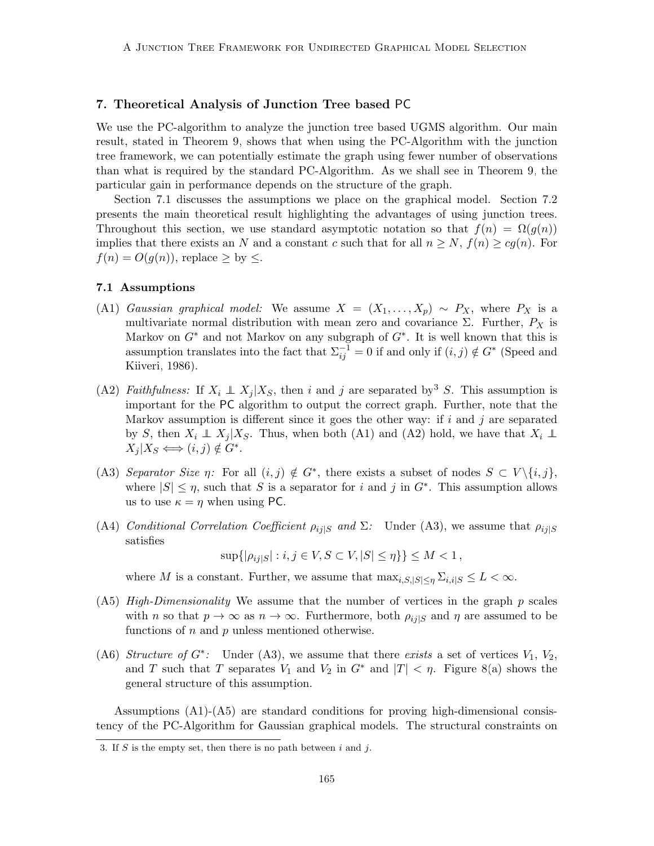### <span id="page-18-0"></span>7. Theoretical Analysis of Junction Tree based PC

We use the PC-algorithm to analyze the junction tree based UGMS algorithm. Our main result, stated in Theorem [9,](#page-20-0) shows that when using the PC-Algorithm with the junction tree framework, we can potentially estimate the graph using fewer number of observations than what is required by the standard PC-Algorithm. As we shall see in Theorem [9,](#page-20-0) the particular gain in performance depends on the structure of the graph.

Section [7.1](#page-18-1) discusses the assumptions we place on the graphical model. Section [7.2](#page-19-0) presents the main theoretical result highlighting the advantages of using junction trees. Throughout this section, we use standard asymptotic notation so that  $f(n) = \Omega(g(n))$ implies that there exists an N and a constant c such that for all  $n \geq N$ ,  $f(n) \geq cg(n)$ . For  $f(n) = O(g(n))$ , replace  $\geq$  by  $\leq$ .

### <span id="page-18-1"></span>7.1 Assumptions

- (A1) Gaussian graphical model: We assume  $X = (X_1, \ldots, X_p) \sim P_X$ , where  $P_X$  is a multivariate normal distribution with mean zero and covariance  $\Sigma$ . Further,  $P_X$  is Markov on  $G^*$  and not Markov on any subgraph of  $G^*$ . It is well known that this is assumption translates into the fact that  $\Sigma_{ij}^{-1} = 0$  if and only if  $(i, j) \notin G^*$  [\(Speed and](#page-43-7) [Kiiveri, 1986\)](#page-43-7).
- (A2) Faithfulness: If  $X_i \perp X_j | X_S$ , then i and j are separated by S. This assumption is important for the PC algorithm to output the correct graph. Further, note that the Markov assumption is different since it goes the other way: if  $i$  and  $j$  are separated by S, then  $X_i \perp\!\!\!\perp X_j | X_S$ . Thus, when both (A1) and (A2) hold, we have that  $X_i \perp\!\!\!\perp$  $X_j | X_S \Longleftrightarrow (i, j) \notin G^*$ .
- (A3) Separator Size  $\eta$ : For all  $(i, j) \notin G^*$ , there exists a subset of nodes  $S \subset V \setminus \{i, j\}$ , where  $|S| \leq \eta$ , such that S is a separator for i and j in  $G^*$ . This assumption allows us to use  $\kappa = \eta$  when using PC.
- (A4) Conditional Correlation Coefficient  $\rho_{ij|S}$  and  $\Sigma$ : Under (A3), we assume that  $\rho_{ij|S}$ satisfies

 $\sup\{|\rho_{ij|S}| : i, j \in V, S \subset V, |S| \leq \eta\}\} \leq M < 1$ ,

where M is a constant. Further, we assume that  $\max_{i,S,|S| \leq \eta} \sum_{i,i|S} \leq L < \infty$ .

- (A5) High-Dimensionality We assume that the number of vertices in the graph  $p$  scales with *n* so that  $p \to \infty$  as  $n \to \infty$ . Furthermore, both  $\rho_{ij|S}$  and  $\eta$  are assumed to be functions of  $n$  and  $p$  unless mentioned otherwise.
- (A6) Structure of  $G^*$ : Under (A3), we assume that there exists a set of vertices  $V_1$ ,  $V_2$ , and T such that T separates  $V_1$  and  $V_2$  in  $G^*$  and  $|T| < \eta$ . Figure [8\(](#page-19-1)a) shows the general structure of this assumption.

Assumptions (A1)-(A5) are standard conditions for proving high-dimensional consistency of the PC-Algorithm for Gaussian graphical models. The structural constraints on

<span id="page-18-2"></span><sup>3.</sup> If S is the empty set, then there is no path between  $i$  and  $j$ .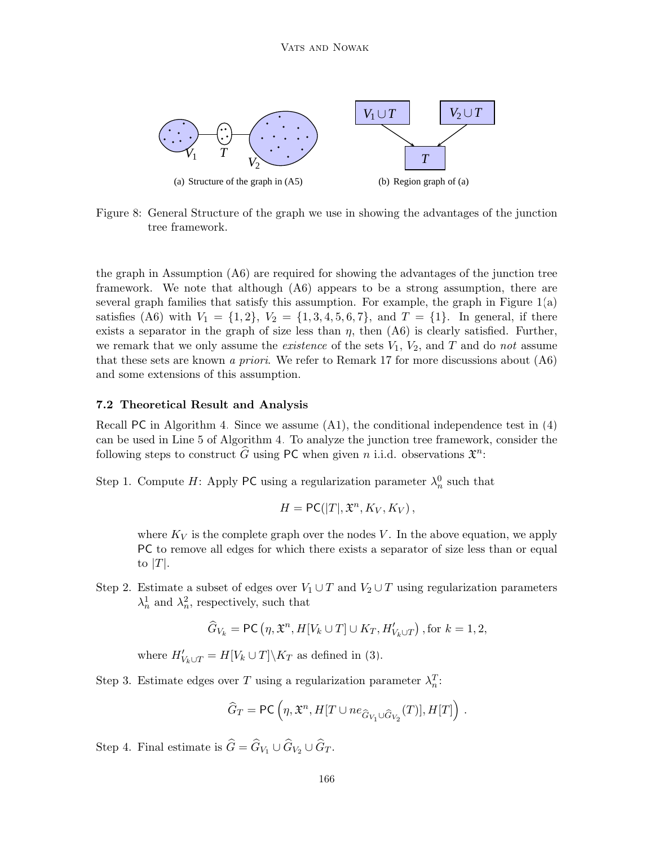

<span id="page-19-1"></span>Figure 8: General Structure of the graph we use in showing the advantages of the junction tree framework.

the graph in Assumption (A6) are required for showing the advantages of the junction tree framework. We note that although (A6) appears to be a strong assumption, there are several graph families that satisfy this assumption. For example, the graph in Figure [1\(](#page-1-0)a) satisfies (A6) with  $V_1 = \{1, 2\}$ ,  $V_2 = \{1, 3, 4, 5, 6, 7\}$ , and  $T = \{1\}$ . In general, if there exists a separator in the graph of size less than  $\eta$ , then  $(AG)$  is clearly satisfied. Further, we remark that we only assume the *existence* of the sets  $V_1$ ,  $V_2$ , and  $T$  and do not assume that these sets are known a priori. We refer to Remark [17](#page-22-0) for more discussions about  $(46)$ and some extensions of this assumption.

### <span id="page-19-0"></span>7.2 Theoretical Result and Analysis

Recall PC in Algorithm [4.](#page-16-1) Since we assume (A1), the conditional independence test in [\(4\)](#page-17-1) can be used in Line 5 of Algorithm [4.](#page-16-1) To analyze the junction tree framework, consider the following steps to construct  $\widehat{G}$  using PC when given n i.i.d. observations  $\mathfrak{X}^n$ :

Step 1. Compute H: Apply PC using a regularization parameter  $\lambda_n^0$  such that

$$
H = \mathsf{PC}(|T|, \mathfrak{X}^n, K_V, K_V),
$$

where  $K_V$  is the complete graph over the nodes V. In the above equation, we apply PC to remove all edges for which there exists a separator of size less than or equal to  $|T|$ .

Step 2. Estimate a subset of edges over  $V_1 \cup T$  and  $V_2 \cup T$  using regularization parameters  $\lambda_n^1$  and  $\lambda_n^2$ , respectively, such that

$$
\widehat{G}_{V_k} = \textsf{PC}\left(\eta, \mathfrak{X}^n, H[V_k \cup T] \cup K_T, H'_{V_k \cup T}\right), \text{for } k = 1, 2,
$$

where  $H'_{V_k \cup T} = H[V_k \cup T] \backslash K_T$  as defined in [\(3\)](#page-10-3).

Step 3. Estimate edges over T using a regularization parameter  $\lambda_n^T$ :

$$
\widehat{G}_T = \mathsf{PC}\left(\eta, \mathfrak{X}^n, H[T \cup ne_{\widehat{G}_{V_1} \cup \widehat{G}_{V_2}}(T)], H[T]\right) .
$$

Step 4. Final estimate is  $\hat{G} = \hat{G}_{V_1} \cup \hat{G}_{V_2} \cup \hat{G}_T$ .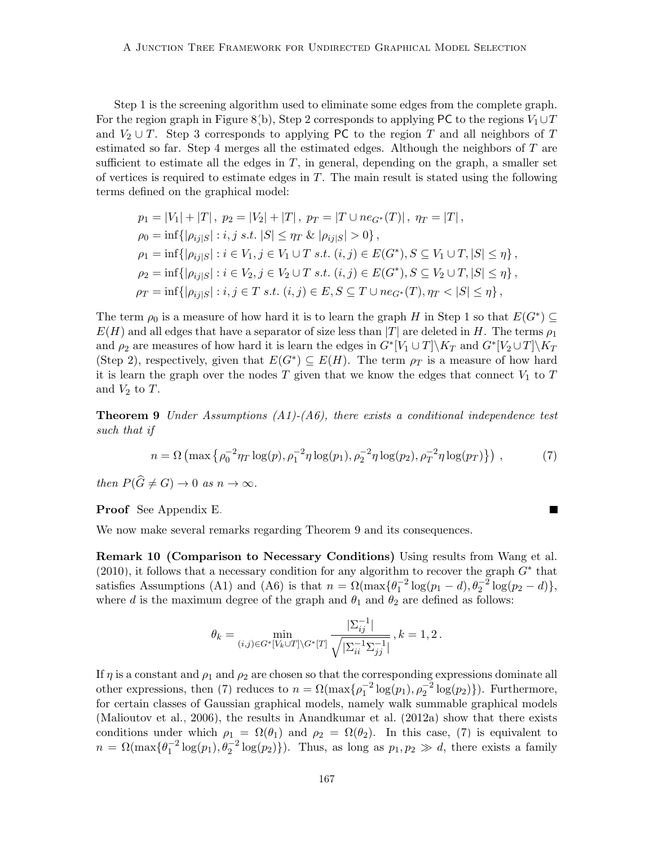Step 1 is the screening algorithm used to eliminate some edges from the complete graph. For the region graph in Figure [8\(](#page-19-1)b), Step 2 corresponds to applying PC to the regions  $V_1 \cup T$ and  $V_2 \cup T$ . Step 3 corresponds to applying PC to the region T and all neighbors of T estimated so far. Step 4 merges all the estimated edges. Although the neighbors of T are sufficient to estimate all the edges in  $T$ , in general, depending on the graph, a smaller set of vertices is required to estimate edges in  $T$ . The main result is stated using the following terms defined on the graphical model:

$$
p_1 = |V_1| + |T|, \ p_2 = |V_2| + |T|, \ p_T = |T \cup ne_{G^*}(T)|, \ \eta_T = |T|,
$$
  
\n
$$
\rho_0 = \inf\{|\rho_{ij}|s| : i, j \ s.t. |S| \leq \eta_T \& |\rho_{ij}|s| > 0\},
$$
  
\n
$$
\rho_1 = \inf\{|\rho_{ij}|s| : i \in V_1, j \in V_1 \cup T \ s.t. \ (i, j) \in E(G^*), S \subseteq V_1 \cup T, |S| \leq \eta\},
$$
  
\n
$$
\rho_2 = \inf\{|\rho_{ij}|s| : i \in V_2, j \in V_2 \cup T \ s.t. \ (i, j) \in E(G^*), S \subseteq V_2 \cup T, |S| \leq \eta\},
$$
  
\n
$$
\rho_T = \inf\{|\rho_{ij}|s| : i, j \in T \ s.t. \ (i, j) \in E, S \subseteq T \cup ne_{G^*}(T), \eta_T < |S| \leq \eta\},
$$

The term  $\rho_0$  is a measure of how hard it is to learn the graph H in Step 1 so that  $E(G^*) \subseteq$  $E(H)$  and all edges that have a separator of size less than |T| are deleted in H. The terms  $\rho_1$ and  $\rho_2$  are measures of how hard it is learn the edges in  $G^*[V_1 \cup T] \setminus K_T$  and  $G^*[V_2 \cup T] \setminus K_T$ (Step 2), respectively, given that  $E(G^*) \subseteq E(H)$ . The term  $\rho_T$  is a measure of how hard it is learn the graph over the nodes  $T$  given that we know the edges that connect  $V_1$  to  $T$ and  $V_2$  to  $T$ .

<span id="page-20-0"></span>**Theorem 9** Under Assumptions  $(A1)$ - $(A6)$ , there exists a conditional independence test such that if

$$
n = \Omega\left(\max\left\{\rho_0^{-2}\eta_T\log(p), \rho_1^{-2}\eta\log(p_1), \rho_2^{-2}\eta\log(p_2), \rho_T^{-2}\eta\log(p_T)\right\}\right),\tag{7}
$$

then  $P(\widehat{G} \neq G) \to 0$  as  $n \to \infty$ .

Proof See Appendix [E.](#page-12-0)

We now make several remarks regarding Theorem [9](#page-20-0) and its consequences.

Remark 10 (Comparison to Necessary Conditions) Using results from [Wang et al.](#page-43-8) [\(2010\)](#page-43-8), it follows that a necessary condition for any algorithm to recover the graph  $G^*$  that satisfies Assumptions (A1) and (A6) is that  $n = \Omega(\max{\{\theta_1^{-2}\log(p_1 - d), \theta_2^{-2}\log(p_2 - d)\}}$ , where d is the maximum degree of the graph and  $\theta_1$  and  $\theta_2$  are defined as follows:

<span id="page-20-1"></span>
$$
\theta_k = \min_{(i,j) \in G^*[V_k \cup T] \backslash G^*[T]} \frac{|\Sigma_{ij}^{-1}|}{\sqrt{|\Sigma_{ii}^{-1} \Sigma_{jj}^{-1}|}} \,, k=1,2 \,.
$$

If  $\eta$  is a constant and  $\rho_1$  and  $\rho_2$  are chosen so that the corresponding expressions dominate all other expressions, then [\(7\)](#page-20-1) reduces to  $n = \Omega(\max{\{\rho_1^{-2}\log(p_1), \rho_2^{-2}\log(p_2)\}})$ . Furthermore, for certain classes of Gaussian graphical models, namely walk summable graphical models [\(Malioutov et al., 2006\)](#page-42-10), the results in [Anandkumar et al.](#page-39-2) [\(2012a\)](#page-39-2) show that there exists conditions under which  $\rho_1 = \Omega(\theta_1)$  and  $\rho_2 = \Omega(\theta_2)$ . In this case, [\(7\)](#page-20-1) is equivalent to  $n = \Omega(\max{\{\theta_1^{-2}\log(p_1), \theta_2^{-2}\log(p_2)\}})$ . Thus, as long as  $p_1, p_2 \gg d$ , there exists a family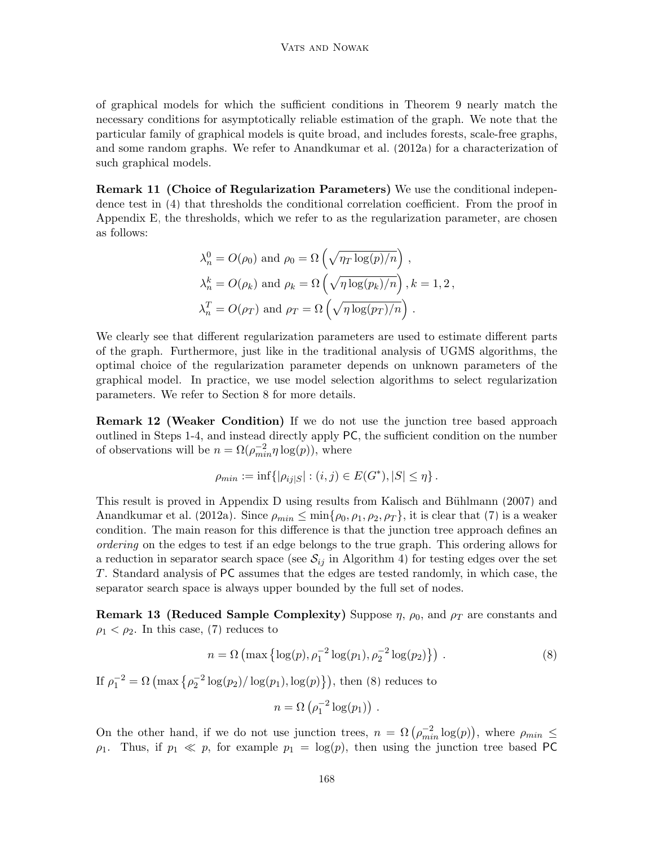of graphical models for which the sufficient conditions in Theorem [9](#page-20-0) nearly match the necessary conditions for asymptotically reliable estimation of the graph. We note that the particular family of graphical models is quite broad, and includes forests, scale-free graphs, and some random graphs. We refer to [Anandkumar et al.](#page-39-2) [\(2012a\)](#page-39-2) for a characterization of such graphical models.

Remark 11 (Choice of Regularization Parameters) We use the conditional independence test in [\(4\)](#page-17-1) that thresholds the conditional correlation coefficient. From the proof in Appendix [E,](#page-12-0) the thresholds, which we refer to as the regularization parameter, are chosen as follows:

$$
\lambda_n^0 = O(\rho_0) \text{ and } \rho_0 = \Omega\left(\sqrt{\eta_T \log(p)/n}\right),
$$
  
\n
$$
\lambda_n^k = O(\rho_k) \text{ and } \rho_k = \Omega\left(\sqrt{\eta \log(p_k)/n}\right), k = 1, 2,
$$
  
\n
$$
\lambda_n^T = O(\rho_T) \text{ and } \rho_T = \Omega\left(\sqrt{\eta \log(p_T)/n}\right).
$$

We clearly see that different regularization parameters are used to estimate different parts of the graph. Furthermore, just like in the traditional analysis of UGMS algorithms, the optimal choice of the regularization parameter depends on unknown parameters of the graphical model. In practice, we use model selection algorithms to select regularization parameters. We refer to Section [8](#page-23-0) for more details.

Remark 12 (Weaker Condition) If we do not use the junction tree based approach outlined in Steps 1-4, and instead directly apply PC, the sufficient condition on the number of observations will be  $n = \Omega(\rho_{min}^{-2} \eta \log(p))$ , where

$$
\rho_{min} := \inf \{ |\rho_{ij|S}| : (i,j) \in E(G^*), |S| \leq \eta \}.
$$

This result is proved in Appendix [D](#page-10-0) using results from Kalisch and Bühlmann [\(2007\)](#page-41-3) and [Anandkumar et al.](#page-39-2) [\(2012a\)](#page-39-2). Since  $\rho_{min} \leq \min\{\rho_0, \rho_1, \rho_2, \rho_T\}$ , it is clear that [\(7\)](#page-20-1) is a weaker condition. The main reason for this difference is that the junction tree approach defines an ordering on the edges to test if an edge belongs to the true graph. This ordering allows for a reduction in separator search space (see  $S_{ij}$  in Algorithm [4\)](#page-16-1) for testing edges over the set T. Standard analysis of PC assumes that the edges are tested randomly, in which case, the separator search space is always upper bounded by the full set of nodes.

<span id="page-21-1"></span>**Remark 13 (Reduced Sample Complexity)** Suppose  $\eta$ ,  $\rho_0$ , and  $\rho_T$  are constants and  $\rho_1 < \rho_2$ . In this case, [\(7\)](#page-20-1) reduces to

<span id="page-21-0"></span>
$$
n = \Omega\left(\max\left\{\log(p), \rho_1^{-2}\log(p_1), \rho_2^{-2}\log(p_2)\right\}\right). \tag{8}
$$

If 
$$
\rho_1^{-2} = \Omega \left( \max \left\{ \rho_2^{-2} \log(p_2) / \log(p_1), \log(p) \right\} \right)
$$
, then (8) reduces to  
\n
$$
n = \Omega \left( \rho_1^{-2} \log(p_1) \right).
$$

On the other hand, if we do not use junction trees,  $n = \Omega(\rho_{min}^{-2} \log(p))$ , where  $\rho_{min} \le$  $\rho_1$ . Thus, if  $p_1 \ll p$ , for example  $p_1 = \log(p)$ , then using the junction tree based PC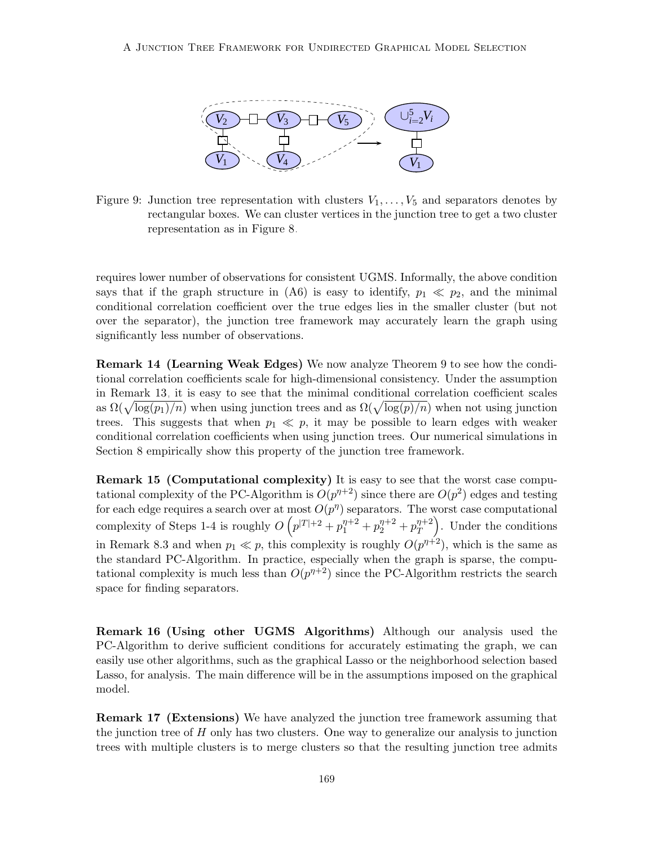

<span id="page-22-1"></span>Figure 9: Junction tree representation with clusters  $V_1, \ldots, V_5$  and separators denotes by rectangular boxes. We can cluster vertices in the junction tree to get a two cluster representation as in Figure [8.](#page-19-1)

requires lower number of observations for consistent UGMS. Informally, the above condition says that if the graph structure in (A6) is easy to identify,  $p_1 \ll p_2$ , and the minimal conditional correlation coefficient over the true edges lies in the smaller cluster (but not over the separator), the junction tree framework may accurately learn the graph using significantly less number of observations.

Remark 14 (Learning Weak Edges) We now analyze Theorem [9](#page-20-0) to see how the conditional correlation coefficients scale for high-dimensional consistency. Under the assumption in Remark [13,](#page-21-1) it is easy to see that the minimal conditional correlation coefficient scales as  $\Omega(\sqrt{\log(p_1)/n})$  when using junction trees and as  $\Omega(\sqrt{\log(p)/n})$  when not using junction trees. This suggests that when  $p_1 \ll p$ , it may be possible to learn edges with weaker conditional correlation coefficients when using junction trees. Our numerical simulations in Section [8](#page-23-0) empirically show this property of the junction tree framework.

tational complexity of the PC-Algorithm is  $O(p^{n+2})$  since there are  $O(p^2)$  edges and testing Remark 15 (Computational complexity) It is easy to see that the worst case compufor each edge requires a search over at most  $O(p^{n})$  separators. The worst case computational complexity of Steps 1-4 is roughly  $O(p^{|T|+2} + p_1^{\eta+2} + p_2^{\eta+2} + p_T^{\eta+2})$ T . Under the conditions in Remark 8.3 and when  $p_1 \ll p$ , this complexity is roughly  $O(p^{n+2})$ , which is the same as the standard PC-Algorithm. In practice, especially when the graph is sparse, the computational complexity is much less than  $O(p^{n+2})$  since the PC-Algorithm restricts the search space for finding separators.

Remark 16 (Using other UGMS Algorithms) Although our analysis used the PC-Algorithm to derive sufficient conditions for accurately estimating the graph, we can easily use other algorithms, such as the graphical Lasso or the neighborhood selection based Lasso, for analysis. The main difference will be in the assumptions imposed on the graphical model.

<span id="page-22-0"></span>Remark 17 (Extensions) We have analyzed the junction tree framework assuming that the junction tree of  $H$  only has two clusters. One way to generalize our analysis to junction trees with multiple clusters is to merge clusters so that the resulting junction tree admits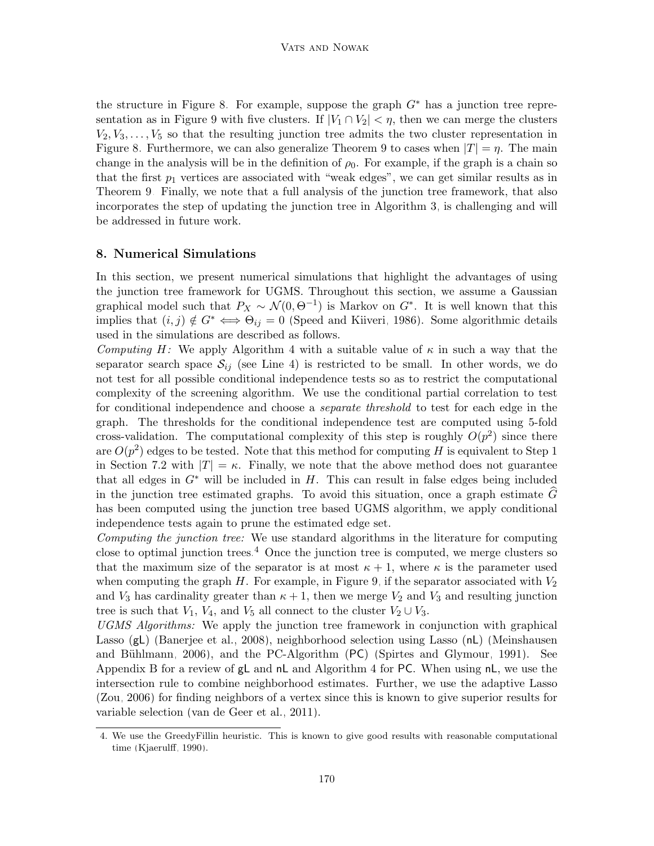the structure in Figure [8.](#page-19-1) For example, suppose the graph  $G^*$  has a junction tree repre-sentation as in Figure [9](#page-22-1) with five clusters. If  $|V_1 \cap V_2| < \eta$ , then we can merge the clusters  $V_2, V_3, \ldots, V_5$  so that the resulting junction tree admits the two cluster representation in Figure [8.](#page-19-1) Furthermore, we can also generalize Theorem [9](#page-20-0) to cases when  $|T| = \eta$ . The main change in the analysis will be in the definition of  $\rho_0$ . For example, if the graph is a chain so that the first  $p_1$  vertices are associated with "weak edges", we can get similar results as in Theorem [9.](#page-20-0) Finally, we note that a full analysis of the junction tree framework, that also incorporates the step of updating the junction tree in Algorithm [3,](#page-12-3) is challenging and will be addressed in future work.

### <span id="page-23-0"></span>8. Numerical Simulations

In this section, we present numerical simulations that highlight the advantages of using the junction tree framework for UGMS. Throughout this section, we assume a Gaussian graphical model such that  $P_X \sim \mathcal{N}(0, \Theta^{-1})$  is Markov on  $G^*$ . It is well known that this implies that  $(i, j) \notin G^* \iff \Theta_{ij} = 0$  [\(Speed and Kiiveri, 1986\)](#page-43-7). Some algorithmic details used in the simulations are described as follows.

Computing H: We apply Algorithm [4](#page-16-1) with a suitable value of  $\kappa$  in such a way that the separator search space  $S_{ij}$  (see Line 4) is restricted to be small. In other words, we do not test for all possible conditional independence tests so as to restrict the computational complexity of the screening algorithm. We use the conditional partial correlation to test for conditional independence and choose a separate threshold to test for each edge in the graph. The thresholds for the conditional independence test are computed using 5-fold cross-validation. The computational complexity of this step is roughly  $O(p^2)$  since there are  $O(p^2)$  edges to be tested. Note that this method for computing H is equivalent to Step 1 in Section [7.2](#page-19-0) with  $|T| = \kappa$ . Finally, we note that the above method does not guarantee that all edges in  $G^*$  will be included in H. This can result in false edges being included in the junction tree estimated graphs. To avoid this situation, once a graph estimate  $G$ has been computed using the junction tree based UGMS algorithm, we apply conditional independence tests again to prune the estimated edge set.

Computing the junction tree: We use standard algorithms in the literature for computing close to optimal junction trees.<sup>[4](#page-23-1)</sup> Once the junction tree is computed, we merge clusters so that the maximum size of the separator is at most  $\kappa + 1$ , where  $\kappa$  is the parameter used when computing the graph  $H$ . For example, in Figure [9,](#page-22-1) if the separator associated with  $V_2$ and  $V_3$  has cardinality greater than  $\kappa + 1$ , then we merge  $V_2$  and  $V_3$  and resulting junction tree is such that  $V_1$ ,  $V_4$ , and  $V_5$  all connect to the cluster  $V_2 \cup V_3$ .

UGMS Algorithms: We apply the junction tree framework in conjunction with graphical Lasso (gL) [\(Banerjee et al., 2008\)](#page-40-2), neighborhood selection using Lasso (nL) [\(Meinshausen](#page-42-0) and Bühlmann, 2006), and the PC-Algorithm  $(PC)$  [\(Spirtes and Glymour, 1991\)](#page-43-2). See Appendix [B](#page-5-0) for a review of  $gL$  and  $nL$  and Algorithm [4](#page-16-1) for PC. When using  $nL$ , we use the intersection rule to combine neighborhood estimates. Further, we use the adaptive Lasso [\(Zou, 2006\)](#page-44-6) for finding neighbors of a vertex since this is known to give superior results for variable selection [\(van de Geer et al., 2011\)](#page-43-9).

<span id="page-23-1"></span><sup>4.</sup> We use the GreedyFillin heuristic. This is known to give good results with reasonable computational time [\(Kjaerulff, 1990\)](#page-41-2).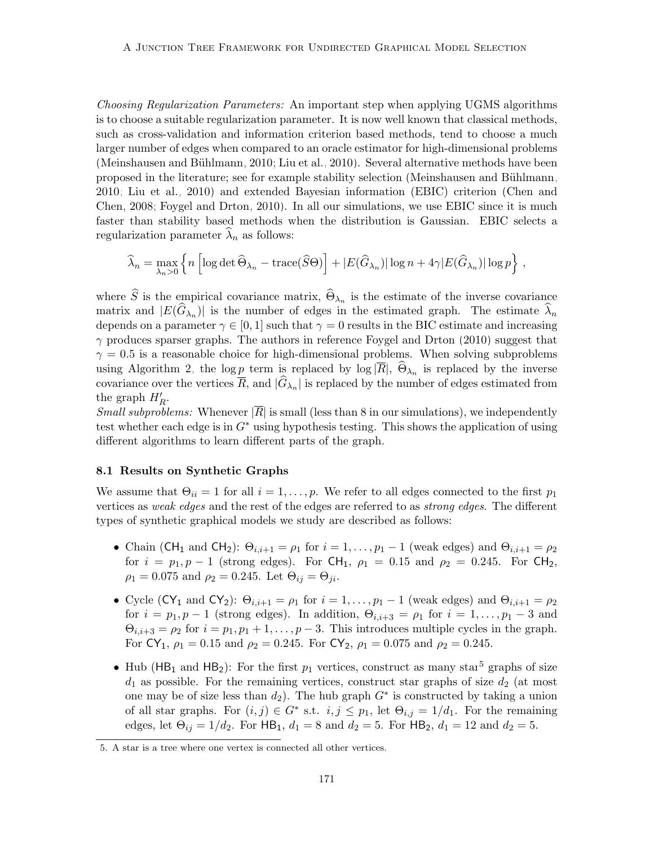Choosing Regularization Parameters: An important step when applying UGMS algorithms is to choose a suitable regularization parameter. It is now well known that classical methods, such as cross-validation and information criterion based methods, tend to choose a much larger number of edges when compared to an oracle estimator for high-dimensional problems (Meinshausen and Bühlmann, 2010; [Liu et al., 2010\)](#page-42-12). Several alternative methods have been proposed in the literature; see for example stability selection [\(Meinshausen and B¨uhlmann,](#page-42-11) [2010;](#page-42-11) [Liu et al., 2010\)](#page-42-12) and extended Bayesian information (EBIC) criterion [\(Chen and](#page-40-9) [Chen, 2008;](#page-40-9) [Foygel and Drton, 2010\)](#page-40-10). In all our simulations, we use EBIC since it is much faster than stability based methods when the distribution is Gaussian. EBIC selects a regularization parameter  $\widehat{\lambda}_n$  as follows:

$$
\widehat{\lambda}_n = \max_{\lambda_n > 0} \left\{ n \left[ \log \det \widehat{\Theta}_{\lambda_n} - \text{trace}(\widehat{S}\Theta) \right] + |E(\widehat{G}_{\lambda_n})| \log n + 4\gamma |E(\widehat{G}_{\lambda_n})| \log p \right\},\,
$$

where S is the empirical covariance matrix,  $\Theta_{\lambda_n}$  is the estimate of the inverse covariance matrix and  $|E(G_{\lambda_n})|$  is the number of edges in the estimated graph. The estimate  $\lambda_n$ depends on a parameter  $\gamma \in [0, 1]$  such that  $\gamma = 0$  results in the BIC estimate and increasing  $\gamma$  produces sparser graphs. The authors in reference [Foygel and Drton](#page-40-10) [\(2010\)](#page-40-10) suggest that  $\gamma = 0.5$  is a reasonable choice for high-dimensional problems. When solving subproblems using Algorithm [2,](#page-11-1) the log  $\underline{p}$  term is replaced by log  $|R|$ ,  $\Theta_{\lambda_n}$  is replaced by the inverse covariance over the vertices R, and  $|G_{\lambda_n}|$  is replaced by the number of edges estimated from the graph  $H'_R$ .

*Small subproblems:* Whenever  $|\overline{R}|$  is small (less than 8 in our simulations), we independently test whether each edge is in  $G^*$  using hypothesis testing. This shows the application of using different algorithms to learn different parts of the graph.

#### 8.1 Results on Synthetic Graphs

We assume that  $\Theta_{ii} = 1$  for all  $i = 1, \ldots, p$ . We refer to all edges connected to the first  $p_1$ vertices as weak edges and the rest of the edges are referred to as strong edges. The different types of synthetic graphical models we study are described as follows:

- Chain (CH<sub>1</sub> and CH<sub>2</sub>):  $\Theta_{i,i+1} = \rho_1$  for  $i = 1, \ldots, p_1 1$  (weak edges) and  $\Theta_{i,i+1} = \rho_2$ for  $i = p_1, p - 1$  (strong edges). For CH<sub>1</sub>,  $\rho_1 = 0.15$  and  $\rho_2 = 0.245$ . For CH<sub>2</sub>,  $\rho_1 = 0.075$  and  $\rho_2 = 0.245$ . Let  $\Theta_{ij} = \Theta_{ji}$ .
- Cycle (CY<sub>1</sub> and CY<sub>2</sub>):  $\Theta_{i,i+1} = \rho_1$  for  $i = 1, \ldots, p_1 1$  (weak edges) and  $\Theta_{i,i+1} = \rho_2$ for  $i = p_1, p - 1$  (strong edges). In addition,  $\Theta_{i,i+3} = \rho_1$  for  $i = 1, \ldots, p_1 - 3$  and  $\Theta_{i,i+3} = \rho_2$  for  $i = p_1, p_1 + 1, \ldots, p-3$ . This introduces multiple cycles in the graph. For  $CY_1$ ,  $\rho_1 = 0.15$  and  $\rho_2 = 0.245$ . For  $CY_2$ ,  $\rho_1 = 0.075$  and  $\rho_2 = 0.245$ .
- Hub ( $HB_1$  and  $HB_2$ ): For the first  $p_1$  vertices, construct as many star<sup>[5](#page-24-0)</sup> graphs of size  $d_1$  as possible. For the remaining vertices, construct star graphs of size  $d_2$  (at most one may be of size less than  $d_2$ ). The hub graph  $G^*$  is constructed by taking a union of all star graphs. For  $(i, j) \in G^*$  s.t.  $i, j \leq p_1$ , let  $\Theta_{i,j} = 1/d_1$ . For the remaining edges, let  $\Theta_{ij} = 1/d_2$ . For HB<sub>1</sub>,  $d_1 = 8$  and  $d_2 = 5$ . For HB<sub>2</sub>,  $d_1 = 12$  and  $d_2 = 5$ .

<span id="page-24-0"></span><sup>5.</sup> A star is a tree where one vertex is connected all other vertices.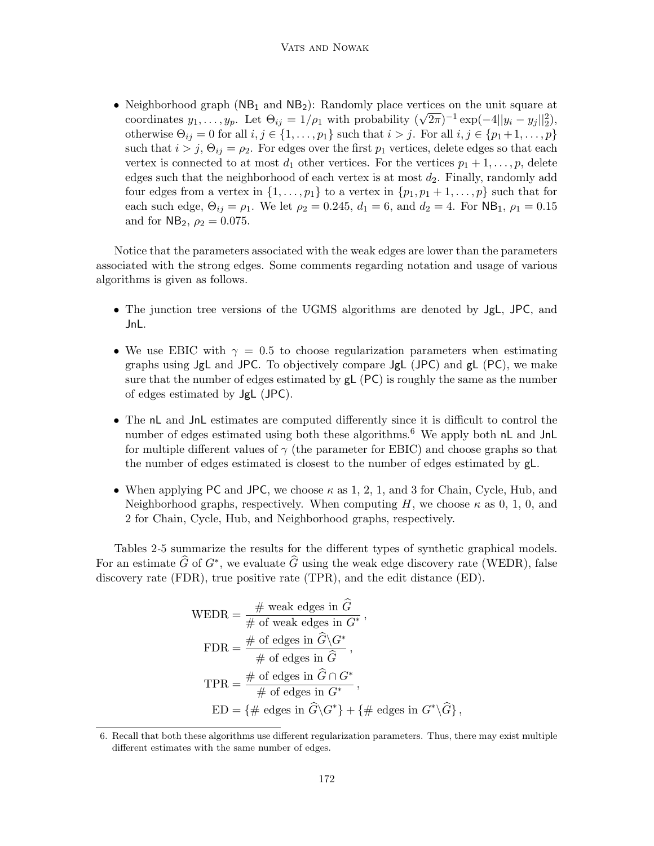• Neighborhood graph  $(NB_1 \text{ and } NB_2)$ : Randomly place vertices on the unit square at coordinates  $y_1, \ldots, y_p$ . Let  $\Theta_{ij} = 1/\rho_1$  with probability  $(\sqrt{2\pi})^{-1} \exp(-4||y_i - y_j||_2^2)$ , otherwise  $\Theta_{ij} = 0$  for all  $i, j \in \{1, \ldots, p_1\}$  such that  $i > j$ . For all  $i, j \in \{p_1 + 1, \ldots, p\}$ such that  $i > j$ ,  $\Theta_{ij} = \rho_2$ . For edges over the first  $p_1$  vertices, delete edges so that each vertex is connected to at most  $d_1$  other vertices. For the vertices  $p_1 + 1, \ldots, p$ , delete edges such that the neighborhood of each vertex is at most  $d_2$ . Finally, randomly add four edges from a vertex in  $\{1, \ldots, p_1\}$  to a vertex in  $\{p_1, p_1 + 1, \ldots, p\}$  such that for each such edge,  $\Theta_{ij} = \rho_1$ . We let  $\rho_2 = 0.245$ ,  $d_1 = 6$ , and  $d_2 = 4$ . For NB<sub>1</sub>,  $\rho_1 = 0.15$ and for  $NB_2, \rho_2 = 0.075$ .

Notice that the parameters associated with the weak edges are lower than the parameters associated with the strong edges. Some comments regarding notation and usage of various algorithms is given as follows.

- The junction tree versions of the UGMS algorithms are denoted by JgL, JPC, and JnL.
- We use EBIC with  $\gamma = 0.5$  to choose regularization parameters when estimating graphs using JgL and JPC. To objectively compare JgL (JPC) and gL (PC), we make sure that the number of edges estimated by gL (PC) is roughly the same as the number of edges estimated by JgL (JPC).
- The nL and JnL estimates are computed differently since it is difficult to control the number of edges estimated using both these algorithms.<sup>[6](#page-25-0)</sup> We apply both  $nL$  and JnL for multiple different values of  $\gamma$  (the parameter for EBIC) and choose graphs so that the number of edges estimated is closest to the number of edges estimated by gL.
- When applying PC and JPC, we choose  $\kappa$  as 1, 2, 1, and 3 for Chain, Cycle, Hub, and Neighborhood graphs, respectively. When computing H, we choose  $\kappa$  as 0, 1, 0, and 2 for Chain, Cycle, Hub, and Neighborhood graphs, respectively.

Tables [2-](#page-26-0)[5](#page-28-0) summarize the results for the different types of synthetic graphical models. For an estimate  $\widehat{G}$  of  $G^*$ , we evaluate  $\widehat{G}$  using the weak edge discovery rate (WEDR), false discovery rate (FDR), true positive rate (TPR), and the edit distance (ED).

$$
\text{WEDR} = \frac{\# \text{ weak edges in } \hat{G}}{\# \text{ of weak edges in } G^*},
$$
\n
$$
\text{FDR} = \frac{\# \text{ of edges in } \hat{G} \backslash G^*}{\# \text{ of edges in } \hat{G}},
$$
\n
$$
\text{TPR} = \frac{\# \text{ of edges in } \hat{G} \cap G^*}{\# \text{ of edges in } G^*},
$$
\n
$$
\text{ED} = \{ \# \text{ edges in } \hat{G} \backslash G^* \} + \{ \# \text{ edges in } G^* \backslash \hat{G} \},
$$

<span id="page-25-0"></span><sup>6.</sup> Recall that both these algorithms use different regularization parameters. Thus, there may exist multiple different estimates with the same number of edges.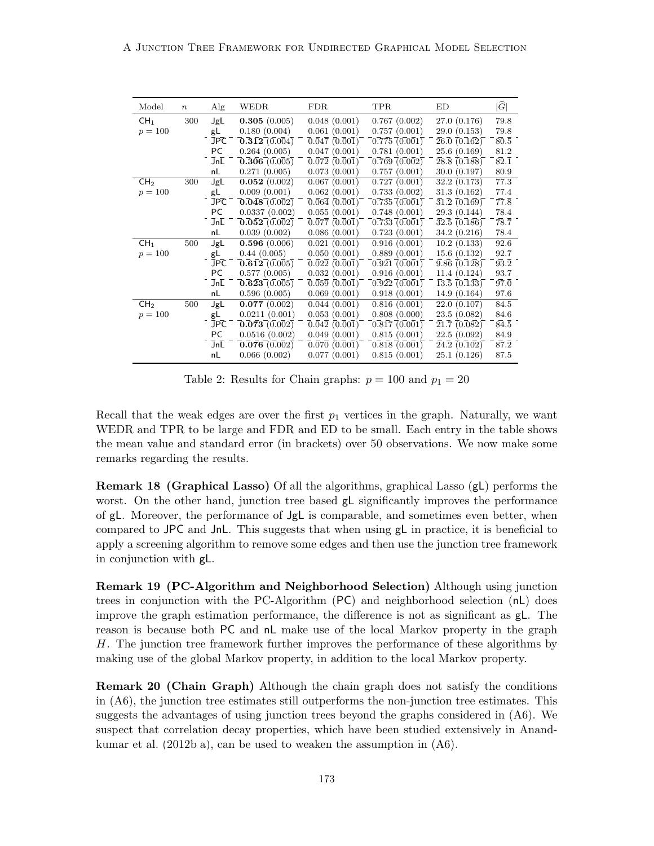| Model           | $\boldsymbol{n}$ | $\rm{Alg}$ | <b>WEDR</b>                                          | <b>FDR</b>                                                    | TPR                                       | ED                                      | $ \widehat{G} $                  |
|-----------------|------------------|------------|------------------------------------------------------|---------------------------------------------------------------|-------------------------------------------|-----------------------------------------|----------------------------------|
| CH <sub>1</sub> | 300              | JgL        | 0.305(0.005)                                         | 0.048(0.001)                                                  | 0.767(0.002)                              | 27.0(0.176)                             | 79.8                             |
| $p = 100$       |                  | gL         | 0.180(0.004)                                         | 0.061(0.001)                                                  | 0.757(0.001)                              | 29.0(0.153)                             | 79.8                             |
|                 |                  | <b>JPC</b> | $\overline{0.312}$ $\overline{(0.004)}$              | 0.047(0.001)                                                  | 0.775(0.001)                              | $26.\overline{0}$ $(0.\overline{162})$  | $80.\overline{5}$                |
|                 |                  | PC         | 0.264(0.005)                                         | 0.047(0.001)                                                  | 0.781(0.001)                              | 25.6(0.169)                             | 81.2                             |
|                 |                  | JnL        | $\overline{0.306}$ $\overline{(0.005)}$              | $0.\overline{0}7\overline{2}$ $(0.\overline{0}0\overline{1})$ | $\bar{0.769}$ $\bar{0.002}$ $\bar{0.002}$ | $\bar{28.8}$ (0.188)                    | $8\overline{2}.\overline{1}$     |
|                 |                  | nL         | 0.271(0.005)                                         | 0.073(0.001)                                                  | 0.757(0.001)                              | 30.0(0.197)                             | 80.9                             |
| CH <sub>2</sub> | 300              | JgL        | 0.052(0.002)                                         | 0.067(0.001)                                                  | 0.727(0.001)                              | 32.2(0.173)                             | 77.3                             |
| $p = 100$       |                  | gL         | 0.009(0.001)                                         | 0.062(0.001)                                                  | 0.733(0.002)                              | 31.3(0.162)                             | 77.4                             |
|                 |                  | <b>JPC</b> | $\mathbf{0.048} \, \mathbf{0.002}$                   | $\overline{0.064}$ $(\overline{0.001})$                       | $\overline{0.735}$ $\overline{(0.001)}$   | $\bar{31.2}$ (0.169)                    | $7\overline{7}.\overline{8}$     |
|                 |                  | PC         | 0.0337(0.002)                                        | 0.055(0.001)                                                  | 0.748(0.001)                              | 29.3(0.144)                             | 78.4                             |
|                 |                  | JnE        | $\overline{0.052}$ $\overline{(0.002)}$              | $\overline{0.077}$ $(0.\overline{0}01)$                       | 0.733(0.001)                              | $\overline{32.5}$ (0.186)               | $\overline{78.7}$                |
|                 |                  | nL         | 0.039(0.002)                                         | 0.086(0.001)                                                  | 0.723(0.001)                              | 34.2(0.216)                             | 78.4                             |
| CH <sub>1</sub> | 500              | JgL        | 0.596(0.006)                                         | 0.021(0.001)                                                  | 0.916(0.001)                              | 10.2(0.133)                             | 92.6                             |
| $p = 100$       |                  | gL         | 0.44(0.005)                                          | 0.050(0.001)                                                  | 0.889(0.001)                              | 15.6(0.132)                             | 92.7                             |
|                 |                  | <b>JPC</b> | $\overline{0.612} (0.005)$                           | $\overline{0.022}$ $(0.\overline{0}01)$                       | $0.921\,(0.001)$                          | $\overline{9.86}$ $\overline{(0.128)}$  | $9\overline{3}\cdot\overline{2}$ |
|                 |                  | PC         | 0.577(0.005)                                         | 0.032(0.001)                                                  | 0.916(0.001)                              | 11.4(0.124)                             | 93.7                             |
|                 |                  | JnL        | $\mathbf{\overline{0.623} \overline{0.005}}$         | $\overline{0.059}$ $(\overline{0.001})$                       | $\overline{0.922}$ $\overline{0.001}$     | $\overline{13.5} \, \overline{(0.133)}$ | $97.\overline{0}$                |
|                 |                  | nL         | 0.596(0.005)                                         | 0.069(0.001)                                                  | 0.918(0.001)                              | 14.9(0.164)                             | 97.6                             |
| CH <sub>2</sub> | 500              | JgL        | 0.077(0.002)                                         | 0.044(0.001)                                                  | 0.816(0.001)                              | 22.0(0.107)                             | 84.5                             |
| $p = 100$       |                  | gL         | 0.0211(0.001)                                        | 0.053(0.001)                                                  | 0.808(0.000)                              | 23.5(0.082)                             | 84.6                             |
|                 |                  | <b>JPC</b> | $\mathbf{\overline{0.073}}\mathbf{\overline{0.002}}$ | $\overline{0.042}$ $(\overline{0.001})$                       | $\overline{0.817}$ $\overline{0.001}$     | $\bar{21.7}$ (0.082)                    | $8\overline{4}.\overline{5}$     |
|                 |                  | PC         | 0.0516(0.002)                                        | 0.049(0.001)                                                  | 0.815(0.001)                              | 22.5(0.092)                             | 84.9                             |
|                 |                  | JnL        | $\overline{0.076}$ $\overline{(0.002)}$              | $\overline{0.070}$ $(\overline{0.001})$                       | 0.818(0.001)                              | $\overline{24.2}$ (0.102)               | $8\overline{7}.\overline{2}$     |
|                 |                  | nL         | 0.066(0.002)                                         | 0.077(0.001)                                                  | 0.815(0.001)                              | 25.1(0.126)                             | 87.5                             |

<span id="page-26-0"></span>Table 2: Results for Chain graphs:  $p = 100$  and  $p_1 = 20$ 

Recall that the weak edges are over the first  $p_1$  vertices in the graph. Naturally, we want WEDR and TPR to be large and FDR and ED to be small. Each entry in the table shows the mean value and standard error (in brackets) over 50 observations. We now make some remarks regarding the results.

Remark 18 (Graphical Lasso) Of all the algorithms, graphical Lasso (gL) performs the worst. On the other hand, junction tree based  $gL$  significantly improves the performance of gL. Moreover, the performance of JgL is comparable, and sometimes even better, when compared to JPC and JnL. This suggests that when using gL in practice, it is beneficial to apply a screening algorithm to remove some edges and then use the junction tree framework in conjunction with gL.

Remark 19 (PC-Algorithm and Neighborhood Selection) Although using junction trees in conjunction with the PC-Algorithm (PC) and neighborhood selection (nL) does improve the graph estimation performance, the difference is not as significant as gL. The reason is because both PC and nL make use of the local Markov property in the graph H. The junction tree framework further improves the performance of these algorithms by making use of the global Markov property, in addition to the local Markov property.

Remark 20 (Chain Graph) Although the chain graph does not satisfy the conditions in (A6), the junction tree estimates still outperforms the non-junction tree estimates. This suggests the advantages of using junction trees beyond the graphs considered in (A6). We suspect that correlation decay properties, which have been studied extensively in [Anand](#page-39-3)[kumar et al.](#page-39-3)  $(2012b,a)$  $(2012b,a)$ , can be used to weaken the assumption in  $(46)$ .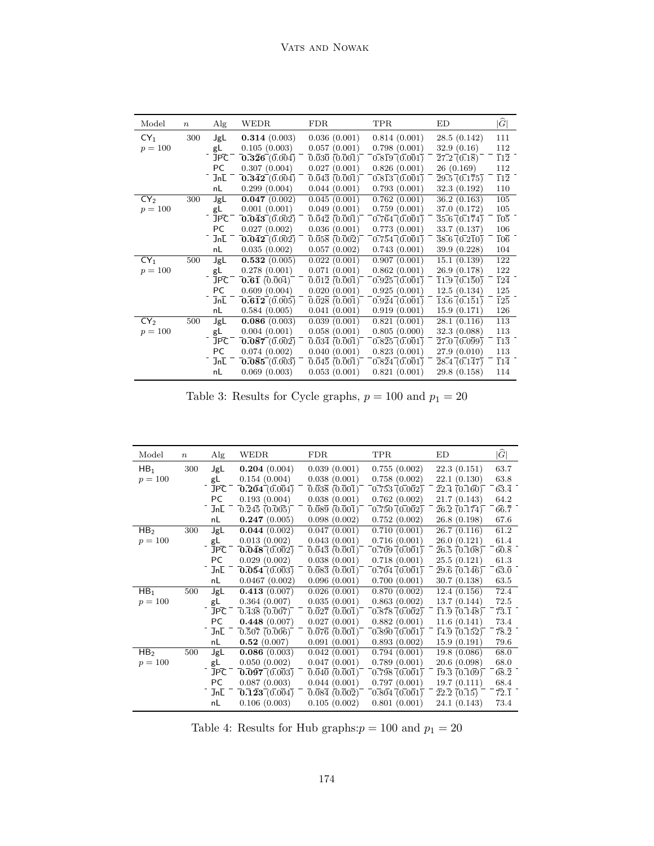| Model           | $\boldsymbol{n}$ | Alg        | <b>WEDR</b>                                     | <b>FDR</b>                                                                          | TPR                                     | ED                                     | $ \widehat{G} $             |
|-----------------|------------------|------------|-------------------------------------------------|-------------------------------------------------------------------------------------|-----------------------------------------|----------------------------------------|-----------------------------|
| CY <sub>1</sub> | 300              | JgL        | 0.314(0.003)                                    | 0.036(0.001)                                                                        | 0.814(0.001)                            | 28.5(0.142)                            | 111                         |
| $p = 100$       |                  | gL         | 0.105(0.003)                                    | 0.057(0.001)                                                                        | 0.798(0.001)                            | 32.9(0.16)                             | 112                         |
|                 |                  | JPC        | $\overline{0.326}$ $\overline{(0.004)}$         | 0.030(0.001)                                                                        | $0.8\overline{1}9(0.001)$               | $\overline{2}7.2\overline{0.18}$       | $\bar{1}1\bar{2}$           |
|                 |                  | PC         | 0.307(0.004)                                    | 0.027(0.001)                                                                        | 0.826(0.001)                            | 26(0.169)                              | 112                         |
|                 |                  | JnL        | $\overline{0.342} (0.004)$                      | $\overline{0.043}$ $(0.001)$                                                        | 0.813(0.001)                            | $\overline{29.5}$ $\overline{(0.175)}$ | $\overline{1}1\overline{2}$ |
|                 |                  | nL         | 0.299(0.004)                                    | 0.044(0.001)                                                                        | 0.793(0.001)                            | 32.3(0.192)                            | 110                         |
| CY <sub>2</sub> | 300              | JgL        | 0.047(0.002)                                    | 0.045(0.001)                                                                        | 0.762(0.001)                            | 36.2(0.163)                            | 105                         |
| $p = 100$       |                  | gL         | 0.001(0.001)                                    | 0.049(0.001)                                                                        | 0.759(0.001)                            | 37.0 (0.172)                           | 105                         |
|                 |                  | JPC        | $\overline{0.043}^{-} (\overline{0.002})$       | $\overline{0}.\overline{0}4\overline{2}$ $\overline{(0.\overline{0}0\overline{1})}$ | 0.764(0.001)                            | 35.6(0.174)                            | $\bar{1}0\bar{5}$           |
|                 |                  | PC         | 0.027(0.002)                                    | 0.036(0.001)                                                                        | 0.773(0.001)                            | 33.7(0.137)                            | 106                         |
|                 |                  | JnL        | $\overline{0.042}$ $\overline{(0.002)}$         | 0.058(0.002)                                                                        | 0.754(0.001)                            | $38.6 \overline{0.210}$                | $\bar{1}0\bar{6}$           |
|                 |                  | nL         | 0.035(0.002)                                    | 0.057(0.002)                                                                        | 0.743(0.001)                            | 39.9 (0.228)                           | 104                         |
| $CY_1$          | 500              | JgL        | 0.532(0.005)                                    | 0.022(0.001)                                                                        | 0.907(0.001)                            | 15.1(0.139)                            | 122                         |
| $p = 100$       |                  | gL         | 0.278(0.001)                                    | 0.071(0.001)                                                                        | 0.862(0.001)                            | 26.9(0.178)                            | 122                         |
|                 |                  | JPC        | $\overline{\textbf{0.61}}$ $\overline{(0.004)}$ | $\overline{0.012}$ $(\overline{0.001})$                                             | 0.925(0.001)                            | 11.9 (0.150)                           | $\bar{1}2\bar{4}$           |
|                 |                  | PC         | 0.609(0.004)                                    | 0.020(0.001)                                                                        | 0.925(0.001)                            | 12.5(0.134)                            | 125                         |
|                 |                  | JnL        | 0.612(0.005)                                    | $\overline{0.028}$ $(0.001)$                                                        | 0.924(0.001)                            | 13.6(0.151)                            | $\overline{1}2\overline{5}$ |
|                 |                  | nL         | 0.584(0.005)                                    | 0.041(0.001)                                                                        | 0.919(0.001)                            | 15.9(0.171)                            | 126                         |
| CY <sub>2</sub> | 500              | JgL        | 0.086(0.003)                                    | 0.039(0.001)                                                                        | 0.821(0.001)                            | 28.1(0.116)                            | 113                         |
| $p = 100$       |                  | gL         | 0.004(0.001)                                    | 0.058(0.001)                                                                        | 0.805(0.000)                            | 32.3(0.088)                            | 113                         |
|                 |                  | <b>JPC</b> | $\overline{0.087}$ $\overline{(0.002)}$         | $\bar{0.034}$ (0.001)                                                               | $\overline{0.825}$ $\overline{(0.001)}$ | $\overline{27.0}$ (0.099)              | $\overline{1}1\overline{3}$ |
|                 |                  | PC         | 0.074(0.002)                                    | 0.040(0.001)                                                                        | 0.823(0.001)                            | 27.9(0.010)                            | 113                         |
|                 |                  | JnL        | $\overline{0.085}$ (0.003)                      | $\overline{0.045}$ $(\overline{0.001})$                                             | 0.824(0.001)                            | $\overline{28.4}$ (0.147)              | $\bar{1}1\bar{4}$           |
|                 |                  | nL         | 0.069(0.003)                                    | 0.053(0.001)                                                                        | 0.821(0.001)                            | 29.8(0.158)                            | 114                         |

Table 3: Results for Cycle graphs,  $p = 100$  and  $p_1 = 20\,$ 

| Model           | $\boldsymbol{n}$ | Alg              | WEDR                                    | <b>FDR</b>                                                                          | <b>TPR</b>                                 | ED                                                | $ \widehat{G} $              |
|-----------------|------------------|------------------|-----------------------------------------|-------------------------------------------------------------------------------------|--------------------------------------------|---------------------------------------------------|------------------------------|
| HB <sub>1</sub> | 300              | JgL              | 0.204(0.004)                            | 0.039(0.001)                                                                        | 0.755(0.002)                               | 22.3(0.151)                                       | 63.7                         |
| $p = 100$       |                  | gL               | 0.154(0.004)                            | 0.038(0.001)                                                                        | 0.758(0.002)                               | 22.1(0.130)                                       | 63.8                         |
|                 |                  | JPC              | 0.204(0.004)                            | $\overline{0.038}$ $\overline{(0.001)}$                                             | $\overline{0.753}$ $\overline{(0.002)}$    | $\overline{22.4}$ (0.160)                         | $6\overline{3.4}$            |
|                 |                  | PC               | 0.193(0.004)                            | 0.038(0.001)                                                                        | 0.762(0.002)                               | 21.7(0.143)                                       | 64.2                         |
|                 |                  | JnL              | $\overline{0.245}$ $\overline{(0.005)}$ | $\overline{0}.\overline{0}8\overline{9}$ $(\overline{0}.\overline{0}0\overline{1})$ | $\overline{0.750}$ $\overline{(0.002)}$    | $\bar{26.2}$ (0.174)                              | $6\overline{6}.7$            |
|                 |                  | nL               | 0.247(0.005)                            | 0.098(0.002)                                                                        | 0.752(0.002)                               | 26.8(0.198)                                       | 67.6                         |
| HB <sub>2</sub> | 300              | JgL              | 0.044(0.002)                            | 0.047(0.001)                                                                        | 0.710(0.001)                               | 26.7(0.116)                                       | 61.2                         |
| $p = 100$       |                  | gL               | 0.013(0.002)                            | 0.043(0.001)                                                                        | 0.716(0.001)                               | 26.0(0.121)                                       | 61.4                         |
|                 |                  | JPC              | $\mathbf{0.048} \, \mathbf{0.002}$      | $\overline{0.043}$ $(\overline{0.001})$                                             | $\bar{0.709}$ $\bar{0.001}$ $\bar{0.001}$  | $\bar{26.5}$ (0.108)                              | $6\overline{0}.\overline{8}$ |
|                 |                  | PC               | 0.029(0.002)                            | 0.038(0.001)                                                                        | 0.718(0.001)                               | 25.5(0.121)                                       | 61.3                         |
|                 |                  | $Jn\overline{L}$ | 0.054(0.003)                            | $\overline{0.083}$ $\overline{(0.001)}$                                             | 0.704(0.001)                               | $\overline{29.6}$ $\overline{(0.146)}$            | $6\overline{3}.\overline{0}$ |
|                 |                  | nL               | 0.0467(0.002)                           | 0.096(0.001)                                                                        | 0.700(0.001)                               | 30.7(0.138)                                       | 63.5                         |
| HB <sub>1</sub> | 500              | JgL              | 0.413(0.007)                            | 0.026(0.001)                                                                        | 0.870(0.002)                               | 12.4(0.156)                                       | 72.4                         |
| $p = 100$       |                  | gL               | 0.364(0.007)                            | 0.035(0.001)                                                                        | 0.863(0.002)                               | 13.7(0.144)                                       | 72.5                         |
|                 |                  | <b>JPC</b>       | 0.438(0.007)                            | $\overline{0.027}$ $\overline{(0.001)}$                                             | 0.878(0.002)                               | 11.9(0.148)                                       | $\overline{73.1}$            |
|                 |                  | PC               | 0.448(0.007)                            | 0.027(0.001)                                                                        | 0.882(0.001)                               | 11.6(0.141)                                       | 73.4                         |
|                 |                  | JnL              | $\overline{0.507}$ $\overline{(0.006)}$ | $\overline{0}.\overline{0}7\overline{6}$ $(\overline{0}.\overline{0}0\overline{1})$ | $\overline{0.890}$ $\overline{0.001}$      | $\overline{1}3.\overline{9} \ \overline{(0.152)}$ | $\bar{78.2}$                 |
|                 |                  | nL               | 0.52(0.007)                             | 0.091(0.001)                                                                        | 0.893(0.002)                               | 15.9(0.191)                                       | 79.6                         |
| HB <sub>2</sub> | 500              | JgL              | 0.086(0.003)                            | 0.042(0.001)                                                                        | 0.794(0.001)                               | 19.8 (0.086)                                      | 68.0                         |
| $p = 100$       |                  | gL               | 0.050(0.002)                            | 0.047(0.001)                                                                        | 0.789(0.001)                               | 20.6(0.098)                                       | 68.0                         |
|                 |                  | JPC              | $\mathbf{0.097} \,(0.003)$              | $\overline{0}.\overline{0}4\overline{0}$ $(\overline{0}.\overline{0}0\overline{1})$ | $\left[0.798\, \right. \left(0.001\right)$ | $\overline{19.3}$ $\overline{(0.109)}$            | $68.\overline{2}$            |
|                 |                  | PC               | 0.087(0.003)                            | 0.044(0.001)                                                                        | 0.797(0.001)                               | 19.7(0.111)                                       | 68.4                         |
|                 |                  | JnL              | $\overline{0.123}$ $\overline{0.004}$   | $\overline{0.084}$ $\overline{(0.002)}$                                             | $0.804\ (0.001)$                           | $\bar{2}2.\bar{2}$ (0.15)                         | $\overline{72.1}$            |
|                 |                  | nL               | 0.106(0.003)                            | 0.105(0.002)                                                                        | 0.801(0.001)                               | 24.1(0.143)                                       | 73.4                         |

Table 4: Results for Hub graphs:  $p=100$  and  $p_1=20$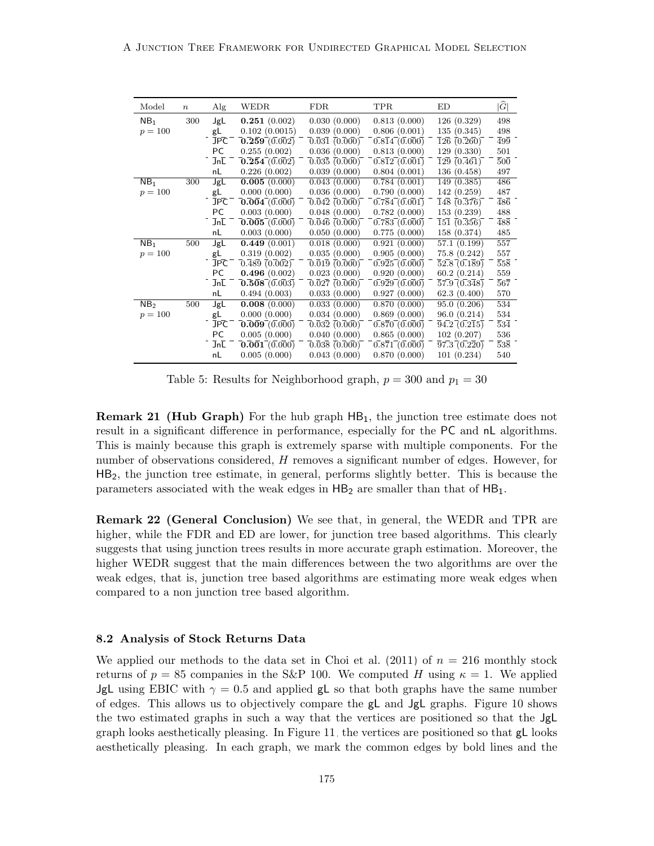| Model           | $\boldsymbol{n}$ | Alg              | WEDR                                                     | <b>FDR</b>                              | <b>TPR</b>   | ED                                     | $ \widehat{G} $             |
|-----------------|------------------|------------------|----------------------------------------------------------|-----------------------------------------|--------------|----------------------------------------|-----------------------------|
| NB <sub>1</sub> | 300              | JgL              | 0.251(0.002)                                             | 0.030(0.000)                            | 0.813(0.000) | 126(0.329)                             | 498                         |
| $p = 100$       |                  | gL               | 0.102(0.0015)                                            | 0.039(0.000)                            | 0.806(0.001) | 135(0.345)                             | 498                         |
|                 |                  | JPC              | $\overline{0.259}$ $\overline{(0.002)}$                  | $\overline{0.031}$ $\overline{(0.000)}$ | 0.814(0.000) | $\overline{126}$ $\overline{(0.260)}$  | $\overline{4}9\overline{9}$ |
|                 |                  | PC               | 0.255(0.002)                                             | 0.036(0.000)                            | 0.813(0.000) | 129(0.330)                             | 501                         |
|                 |                  | $Jn\overline{L}$ | $\mathbf{\overline{0.254}} \, \mathbf{\overline{0.002}}$ | $\overline{0.035}$ $\overline{(0.000)}$ | 0.812(0.001) | $\bar{1}2\bar{9}$ (0.461)              | $50\overline{0}$            |
|                 |                  | nL               | 0.226(0.002)                                             | 0.039(0.000)                            | 0.804(0.001) | 136 (0.458)                            | 497                         |
| NB <sub>1</sub> | 300              | JgL              | 0.005(0.000)                                             | 0.043(0.000)                            | 0.784(0.001) | 149 (0.385)                            | 486                         |
| $p = 100$       |                  | gL               | 0.000(0.000)                                             | 0.036(0.000)                            | 0.790(0.000) | 142(0.259)                             | 487                         |
|                 |                  | JPC              | $\overline{0.004}$ $\overline{(0.000)}$                  | $\overline{0.042}$ $\overline{(0.000)}$ | 0.784(0.001) | $\bar{1}4\bar{8}$ (0.376)              | $\bar{4}8\bar{6}$           |
|                 |                  | PC               | 0.003(0.000)                                             | 0.048(0.000)                            | 0.782(0.000) | 153(0.239)                             | 488                         |
|                 |                  | JnL              | $\overline{0.005}$ $\overline{(0.000)}$                  | $\overline{0.046}$ $\overline{(0.000)}$ | 0.783(0.000) | $\overline{151}$ $\overline{(0.356)}$  | $\overline{488}$            |
|                 |                  | nL               | 0.003(0.000)                                             | 0.050(0.000)                            | 0.775(0.000) | 158 (0.374)                            | 485                         |
| NB <sub>1</sub> | 500              | JgL              | 0.449(0.001)                                             | 0.018(0.000)                            | 0.921(0.000) | 57.1 (0.199)                           | 557                         |
| $p = 100$       |                  | gL               | 0.319(0.002)                                             | 0.035(0.000)                            | 0.905(0.000) | 75.8(0.242)                            | 557                         |
|                 |                  | <b>JPC</b>       | $\overline{0.489}$ $\overline{(0.002)}$                  | $\overline{0.019}$ $\overline{(0.000)}$ | 0.925(0.000) | $\overline{52.8}$ $\overline{(0.189)}$ | $\overline{558}$            |
|                 |                  | PC               | 0.496(0.002)                                             | 0.023(0.000)                            | 0.920(0.000) | 60.2(0.214)                            | 559                         |
|                 |                  | JnL              | 0.508(0.003)                                             | $\overline{0.027}$ $\overline{(0.000)}$ | 0.929(0.000) | $\overline{57.9}$ $\overline{(0.348)}$ | $\bar{5}6\bar{7}$           |
|                 |                  | nL               | 0.494(0.003)                                             | 0.033(0.000)                            | 0.927(0.000) | 62.3(0.400)                            | 570                         |
| NB <sub>2</sub> | 500              | JgL              | 0.008(0.000)                                             | 0.033(0.000)                            | 0.870(0.000) | 95.0(0.206)                            | 534                         |
| $p = 100$       |                  | gL               | 0.000(0.000)                                             | 0.034(0.000)                            | 0.869(0.000) | 96.0(0.214)                            | 534                         |
|                 |                  | JPC              | 0.009(0.000)                                             | $\overline{0.032}$ $\overline{(0.000)}$ | 0.870(0.000) | $\overline{94.2} \, \overline{0.215}$  | $\bar{5}3\bar{4}$           |
|                 |                  | PC               | 0.005(0.000)                                             | 0.040(0.000)                            | 0.865(0.000) | 102(0.207)                             | 536                         |
|                 |                  | JnL              | $\overline{0.001}$ (0.000)                               | $\overline{0.038}$ $\overline{(0.000)}$ | 0.871(0.000) | 97.3(0.220)                            | 538                         |
|                 |                  | nL               | 0.005(0.000)                                             | 0.043(0.000)                            | 0.870(0.000) | 101(0.234)                             | 540                         |

<span id="page-28-0"></span>Table 5: Results for Neighborhood graph,  $p = 300$  and  $p_1 = 30$ 

**Remark 21 (Hub Graph)** For the hub graph  $HB_1$ , the junction tree estimate does not result in a significant difference in performance, especially for the PC and nL algorithms. This is mainly because this graph is extremely sparse with multiple components. For the number of observations considered, H removes a significant number of edges. However, for HB2, the junction tree estimate, in general, performs slightly better. This is because the parameters associated with the weak edges in  $HB_2$  are smaller than that of  $HB_1$ .

Remark 22 (General Conclusion) We see that, in general, the WEDR and TPR are higher, while the FDR and ED are lower, for junction tree based algorithms. This clearly suggests that using junction trees results in more accurate graph estimation. Moreover, the higher WEDR suggest that the main differences between the two algorithms are over the weak edges, that is, junction tree based algorithms are estimating more weak edges when compared to a non junction tree based algorithm.

#### 8.2 Analysis of Stock Returns Data

We applied our methods to the data set in [Choi et al.](#page-40-11) [\(2011\)](#page-40-11) of  $n = 216$  monthly stock returns of  $p = 85$  companies in the S&P 100. We computed H using  $\kappa = 1$ . We applied **JgL** using EBIC with  $\gamma = 0.5$  and applied gL so that both graphs have the same number of edges. This allows us to objectively compare the gL and JgL graphs. Figure [10](#page-29-0) shows the two estimated graphs in such a way that the vertices are positioned so that the JgL graph looks aesthetically pleasing. In Figure [11,](#page-30-0) the vertices are positioned so that gL looks aesthetically pleasing. In each graph, we mark the common edges by bold lines and the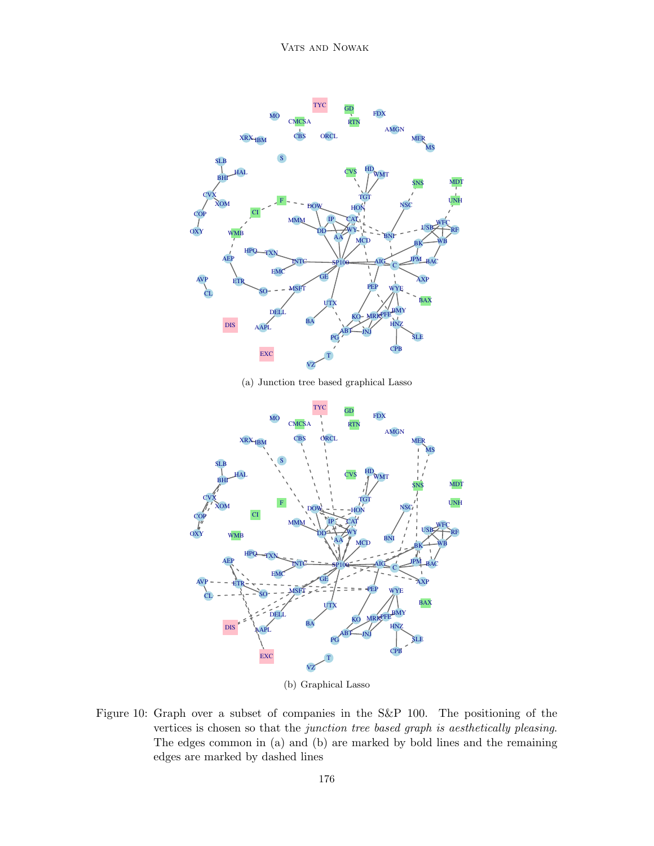



(b) Graphical Lasso

<span id="page-29-0"></span>Figure 10: Graph over a subset of companies in the S&P 100. The positioning of the vertices is chosen so that the junction tree based graph is aesthetically pleasing. The edges common in (a) and (b) are marked by bold lines and the remaining edges are marked by dashed lines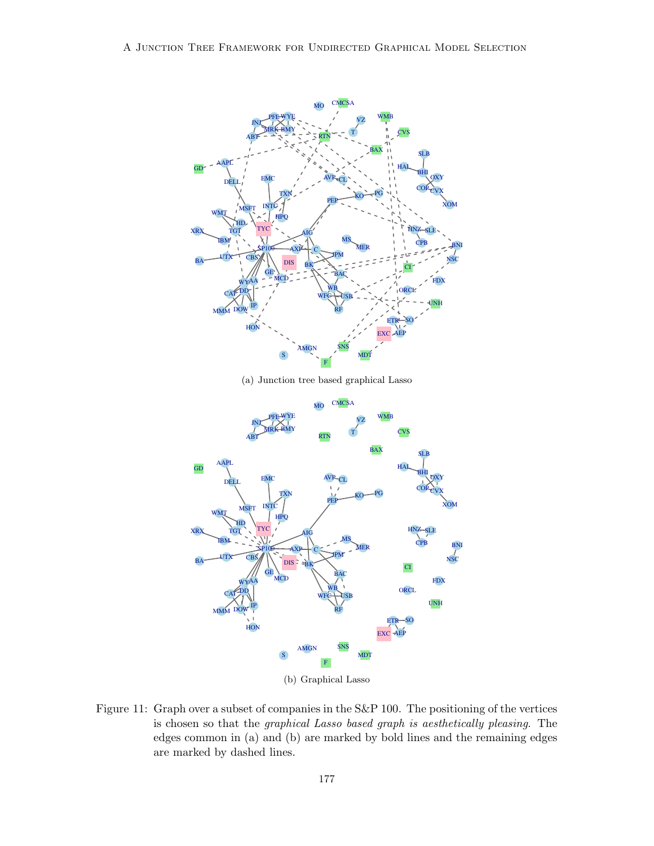



(b) Graphical Lasso

<span id="page-30-0"></span>Figure 11: Graph over a subset of companies in the S&P 100. The positioning of the vertices is chosen so that the graphical Lasso based graph is aesthetically pleasing. The edges common in (a) and (b) are marked by bold lines and the remaining edges are marked by dashed lines.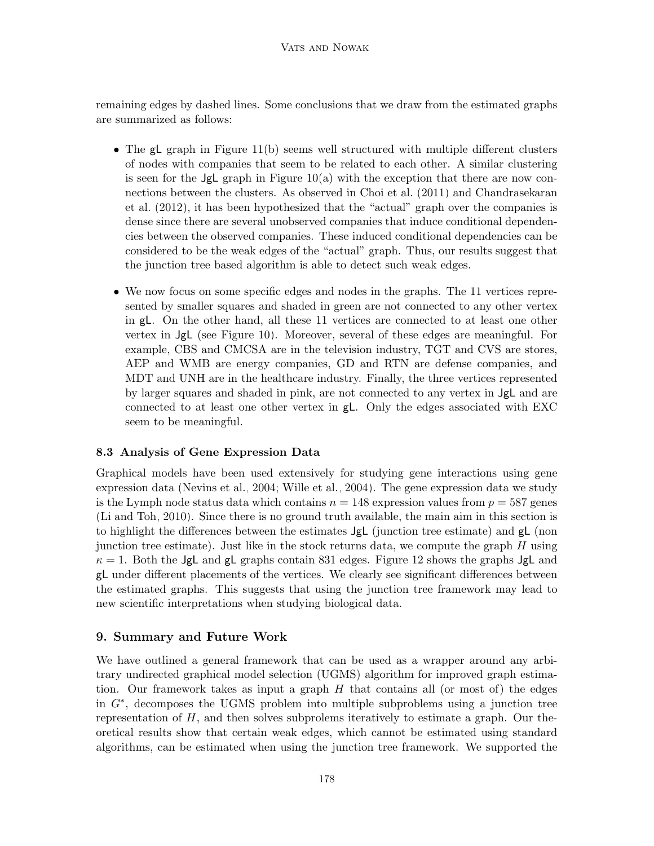remaining edges by dashed lines. Some conclusions that we draw from the estimated graphs are summarized as follows:

- The gL graph in Figure [11\(](#page-30-0)b) seems well structured with multiple different clusters of nodes with companies that seem to be related to each other. A similar clustering is seen for the  $JgL$  graph in Figure [10\(](#page-29-0)a) with the exception that there are now connections between the clusters. As observed in [Choi et al.](#page-40-11) [\(2011\)](#page-40-11) and [Chandrasekaran](#page-40-12) [et al.](#page-40-12) [\(2012\)](#page-40-12), it has been hypothesized that the "actual" graph over the companies is dense since there are several unobserved companies that induce conditional dependencies between the observed companies. These induced conditional dependencies can be considered to be the weak edges of the "actual" graph. Thus, our results suggest that the junction tree based algorithm is able to detect such weak edges.
- We now focus on some specific edges and nodes in the graphs. The 11 vertices represented by smaller squares and shaded in green are not connected to any other vertex in gL. On the other hand, all these 11 vertices are connected to at least one other vertex in JgL (see Figure [10\)](#page-29-0). Moreover, several of these edges are meaningful. For example, CBS and CMCSA are in the television industry, TGT and CVS are stores, AEP and WMB are energy companies, GD and RTN are defense companies, and MDT and UNH are in the healthcare industry. Finally, the three vertices represented by larger squares and shaded in pink, are not connected to any vertex in JgL and are connected to at least one other vertex in gL. Only the edges associated with EXC seem to be meaningful.

## 8.3 Analysis of Gene Expression Data

Graphical models have been used extensively for studying gene interactions using gene expression data [\(Nevins et al., 2004;](#page-42-13) [Wille et al., 2004\)](#page-43-10). The gene expression data we study is the Lymph node status data which contains  $n = 148$  expression values from  $p = 587$  genes [\(Li and Toh, 2010\)](#page-41-13). Since there is no ground truth available, the main aim in this section is to highlight the differences between the estimates JgL (junction tree estimate) and gL (non junction tree estimate). Just like in the stock returns data, we compute the graph  $H$  using  $\kappa = 1$ . Both the JgL and gL graphs contain 831 edges. Figure [12](#page-32-0) shows the graphs JgL and gL under different placements of the vertices. We clearly see significant differences between the estimated graphs. This suggests that using the junction tree framework may lead to new scientific interpretations when studying biological data.

### <span id="page-31-0"></span>9. Summary and Future Work

We have outlined a general framework that can be used as a wrapper around any arbitrary undirected graphical model selection (UGMS) algorithm for improved graph estimation. Our framework takes as input a graph  $H$  that contains all (or most of) the edges in G<sup>∗</sup> , decomposes the UGMS problem into multiple subproblems using a junction tree representation of  $H$ , and then solves subprolems iteratively to estimate a graph. Our theoretical results show that certain weak edges, which cannot be estimated using standard algorithms, can be estimated when using the junction tree framework. We supported the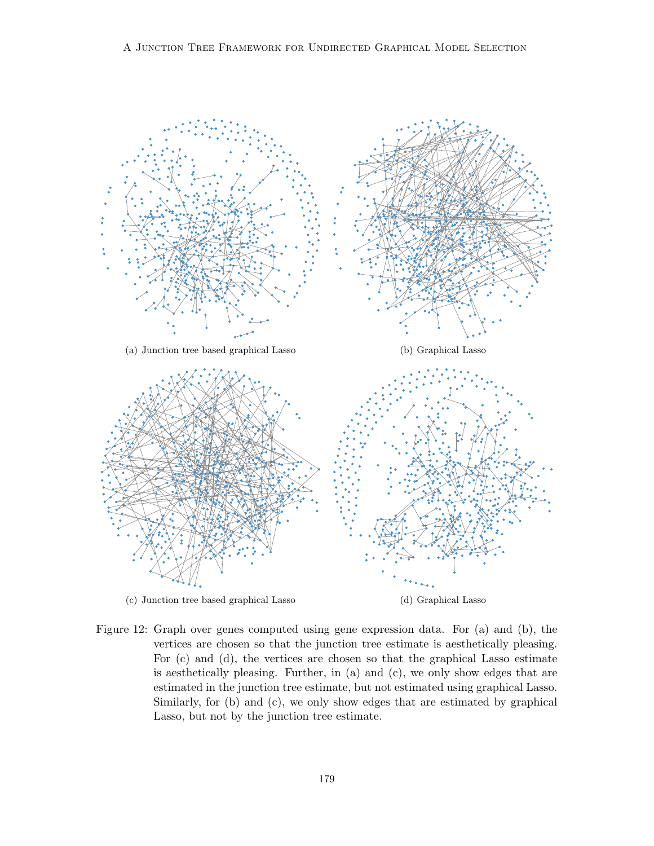

<span id="page-32-0"></span>Figure 12: Graph over genes computed using gene expression data. For (a) and (b), the vertices are chosen so that the junction tree estimate is aesthetically pleasing. For (c) and (d), the vertices are chosen so that the graphical Lasso estimate is aesthetically pleasing. Further, in (a) and (c), we only show edges that are estimated in the junction tree estimate, but not estimated using graphical Lasso. Similarly, for (b) and (c), we only show edges that are estimated by graphical Lasso, but not by the junction tree estimate.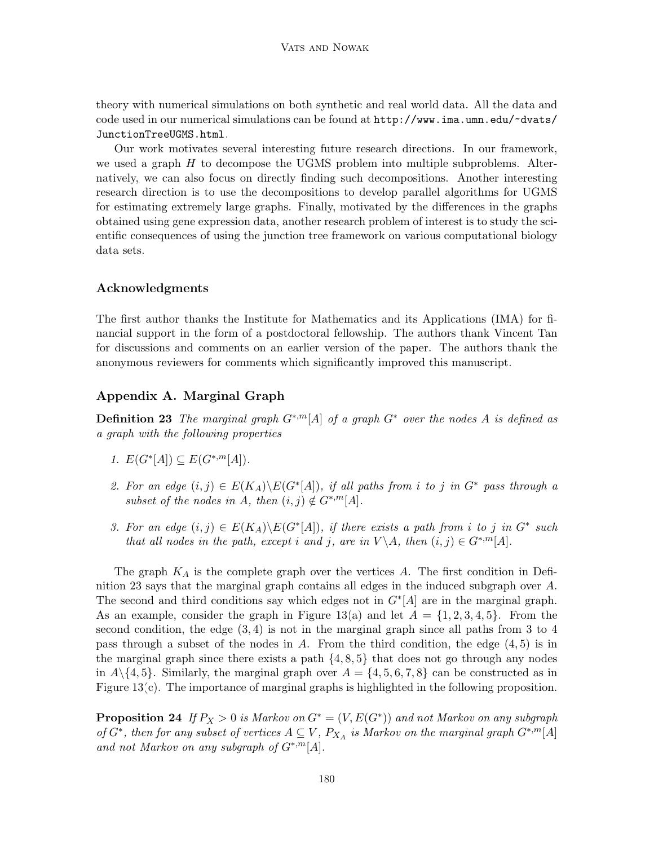theory with numerical simulations on both synthetic and real world data. All the data and code used in our numerical simulations can be found at [http://www.ima.umn.edu/~dvats/](http://www.ima.umn.edu/~dvats/JunctionTreeUGMS.html) [JunctionTreeUGMS.html](http://www.ima.umn.edu/~dvats/JunctionTreeUGMS.html).

Our work motivates several interesting future research directions. In our framework, we used a graph  $H$  to decompose the UGMS problem into multiple subproblems. Alternatively, we can also focus on directly finding such decompositions. Another interesting research direction is to use the decompositions to develop parallel algorithms for UGMS for estimating extremely large graphs. Finally, motivated by the differences in the graphs obtained using gene expression data, another research problem of interest is to study the scientific consequences of using the junction tree framework on various computational biology data sets.

## Acknowledgments

The first author thanks the Institute for Mathematics and its Applications (IMA) for financial support in the form of a postdoctoral fellowship. The authors thank Vincent Tan for discussions and comments on an earlier version of the paper. The authors thank the anonymous reviewers for comments which significantly improved this manuscript.

## Appendix A. Marginal Graph

<span id="page-33-0"></span>**Definition 23** The marginal graph  $G^{*,m}[A]$  of a graph  $G^*$  over the nodes A is defined as a graph with the following properties

- 1.  $E(G^*[A]) \subseteq E(G^{*,m}[A]).$
- 2. For an edge  $(i, j) \in E(K_A) \backslash E(G^*[A]),$  if all paths from i to j in  $G^*$  pass through a subset of the nodes in A, then  $(i, j) \notin G^{*,m}[A]$ .
- 3. For an edge  $(i, j) \in E(K_A) \backslash E(G^*[A]),$  if there exists a path from i to j in  $G^*$  such that all nodes in the path, except i and j, are in  $V \setminus A$ , then  $(i, j) \in G^{*,m}[A]$ .

The graph  $K_A$  is the complete graph over the vertices A. The first condition in Definition [23](#page-33-0) says that the marginal graph contains all edges in the induced subgraph over A. The second and third conditions say which edges not in  $G^*[A]$  are in the marginal graph. As an example, consider the graph in Figure [13\(](#page-34-0)a) and let  $A = \{1, 2, 3, 4, 5\}$ . From the second condition, the edge  $(3, 4)$  is not in the marginal graph since all paths from 3 to 4 pass through a subset of the nodes in A. From the third condition, the edge  $(4, 5)$  is in the marginal graph since there exists a path  $\{4, 8, 5\}$  that does not go through any nodes in  $A\setminus\{4, 5\}$ . Similarly, the marginal graph over  $A = \{4, 5, 6, 7, 8\}$  can be constructed as in Figure [13\(](#page-34-0)c). The importance of marginal graphs is highlighted in the following proposition.

<span id="page-33-1"></span>**Proposition 24** If  $P_X > 0$  is Markov on  $G^* = (V, E(G^*))$  and not Markov on any subgraph of  $G^*$ , then for any subset of vertices  $A \subseteq V$ ,  $P_{X_A}$  is Markov on the marginal graph  $G^{*,m}[A]$ and not Markov on any subgraph of  $G^{*,m}[A]$ .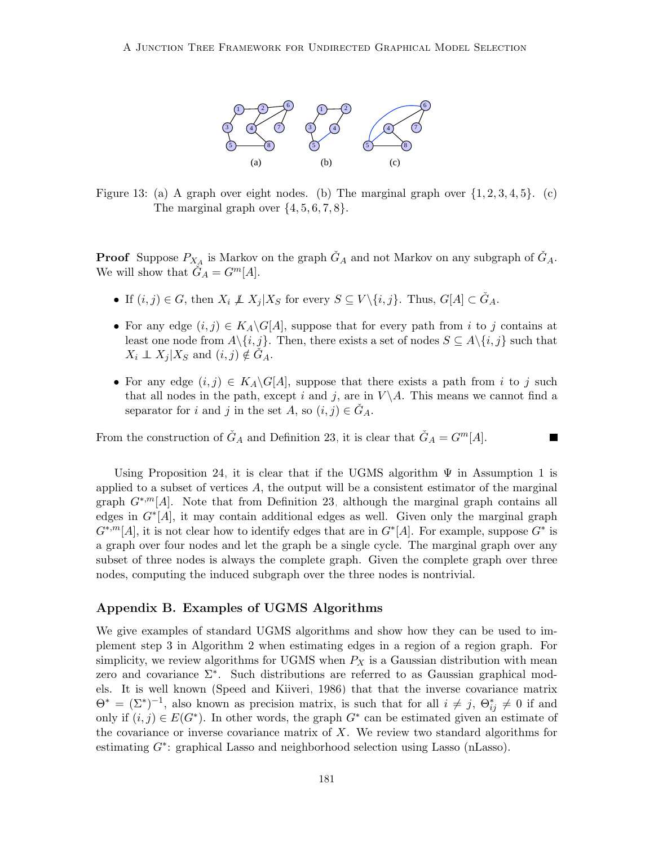

<span id="page-34-0"></span>Figure 13: (a) A graph over eight nodes. (b) The marginal graph over  $\{1, 2, 3, 4, 5\}$ . (c) The marginal graph over  $\{4, 5, 6, 7, 8\}$ .

**Proof** Suppose  $P_{X_A}$  is Markov on the graph  $\check{G}_A$  and not Markov on any subgraph of  $\check{G}_A$ . We will show that  $\check{G}_A = G^m[A]$ .

- If  $(i, j) \in G$ , then  $X_i \not\perp X_j | X_S$  for every  $S \subseteq V \setminus \{i, j\}$ . Thus,  $G[A] \subset \check{G}_A$ .
- For any edge  $(i, j) \in K_A \backslash G[A]$ , suppose that for every path from i to j contains at least one node from  $A\setminus\{i,j\}$ . Then, there exists a set of nodes  $S \subseteq A\setminus\{i,j\}$  such that  $X_i \perp\!\!\!\perp X_j | X_S \text{ and } (i, j) \notin G_A.$
- For any edge  $(i, j) \in K_A \backslash G[A]$ , suppose that there exists a path from i to j such that all nodes in the path, except i and j, are in  $V \backslash A$ . This means we cannot find a separator for i and j in the set A, so  $(i, j) \in \check{G}_A$ .

 $\overline{\phantom{a}}$ 

From the construction of  $\tilde{G}_A$  and Definition [23,](#page-33-0) it is clear that  $\tilde{G}_A = G^m[A]$ .

applied to a subset of vertices  $A$ , the output will be a consistent estimator of the marginal Using Proposition [24,](#page-33-1) it is clear that if the UGMS algorithm  $\Psi$  in Assumption [1](#page-7-1) is graph  $G^{*,m}[A]$ . Note that from Definition [23,](#page-33-0) although the marginal graph contains all edges in  $G<sup>*</sup>[A]$ , it may contain additional edges as well. Given only the marginal graph  $G^{*,m}[A]$ , it is not clear how to identify edges that are in  $G^*[A]$ . For example, suppose  $G^*$  is a graph over four nodes and let the graph be a single cycle. The marginal graph over any subset of three nodes is always the complete graph. Given the complete graph over three nodes, computing the induced subgraph over the three nodes is nontrivial.

### Appendix B. Examples of UGMS Algorithms

We give examples of standard UGMS algorithms and show how they can be used to implement step 3 in Algorithm [2](#page-11-1) when estimating edges in a region of a region graph. For simplicity, we review algorithms for UGMS when  $P_X$  is a Gaussian distribution with mean zero and covariance Σ<sup>∗</sup> . Such distributions are referred to as Gaussian graphical models. It is well known [\(Speed and Kiiveri, 1986\)](#page-43-7) that that the inverse covariance matrix  $\Theta^* = (\Sigma^*)^{-1}$ , also known as precision matrix, is such that for all  $i \neq j$ ,  $\Theta_{ij}^* \neq 0$  if and only if  $(i, j) \in E(G^*)$ . In other words, the graph  $G^*$  can be estimated given an estimate of the covariance or inverse covariance matrix of  $X$ . We review two standard algorithms for estimating G<sup>\*</sup>: graphical Lasso and neighborhood selection using Lasso (nLasso).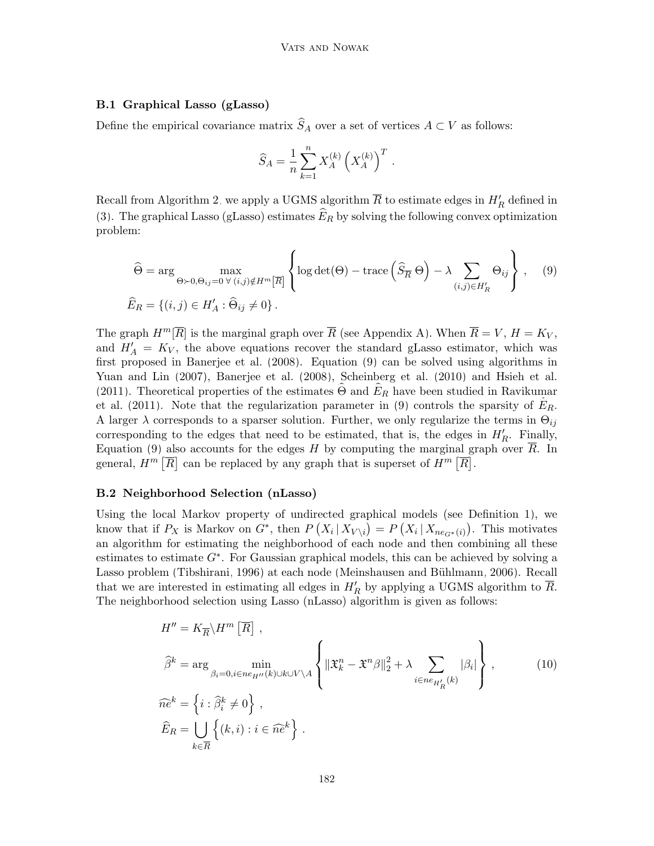### B.1 Graphical Lasso (gLasso)

Define the empirical covariance matrix  $\widehat{S}_A$  over a set of vertices  $A \subset V$  as follows:

$$
\widehat{S}_A = \frac{1}{n} \sum_{k=1}^n X_A^{(k)} \left( X_A^{(k)} \right)^T
$$

<span id="page-35-0"></span>.

Recall from Algorithm [2,](#page-11-1) we apply a UGMS algorithm  $\overline{R}$  to estimate edges in  $H'_R$  defined in [\(3\)](#page-10-3). The graphical Lasso (gLasso) estimates  $\widehat{E}_R$  by solving the following convex optimization problem:

$$
\widehat{\Theta} = \arg \max_{\Theta \succ 0, \Theta_{ij} = 0 \forall (i,j) \notin H^m[\overline{R}]} \left\{ \log \det(\Theta) - \text{trace} \left( \widehat{S}_{\overline{R}} \Theta \right) - \lambda \sum_{(i,j) \in H'_R} \Theta_{ij} \right\}, \quad (9)
$$
  

$$
\widehat{E}_R = \{ (i,j) \in H'_A : \widehat{\Theta}_{ij} \neq 0 \}.
$$

The graph  $H^m[\overline{R}]$  is the marginal graph over  $\overline{R}$  (see Appendix [A\)](#page-0-0). When  $\overline{R} = V$ ,  $H = K_V$ , and  $H'_A = K_V$ , the above equations recover the standard gLasso estimator, which was first proposed in [Banerjee et al.](#page-40-2) [\(2008\)](#page-40-2). Equation [\(9\)](#page-35-0) can be solved using algorithms in [Yuan and Lin](#page-44-7) [\(2007\)](#page-44-7), [Banerjee et al.](#page-40-2) [\(2008\)](#page-40-2), [Scheinberg et al.](#page-43-11) [\(2010\)](#page-43-11) and [Hsieh et al.](#page-41-14) [\(2011\)](#page-41-14). Theoretical properties of the estimates  $\Theta$  and  $\hat{E}_R$  have been studied in [Ravikumar](#page-43-12) [et al.](#page-43-12) [\(2011\)](#page-43-12). Note that the regularization parameter in [\(9\)](#page-35-0) controls the sparsity of  $E_R$ . A larger  $\lambda$  corresponds to a sparser solution. Further, we only regularize the terms in  $\Theta_{ij}$ corresponding to the edges that need to be estimated, that is, the edges in  $H_R'$ . Finally, Equation [\(9\)](#page-35-0) also accounts for the edges H by computing the marginal graph over  $\overline{R}$ . In general,  $H^m[\overline{R}]$  can be replaced by any graph that is superset of  $H^m[\overline{R}]$ .

### B.2 Neighborhood Selection (nLasso)

Using the local Markov property of undirected graphical models (see Definition [1\)](#page-6-0), we know that if  $P_X$  is Markov on  $G^*$ , then  $P(X_i | X_{V \setminus i}) = P(X_i | X_{ne_{G^*}(i)})$ . This motivates an algorithm for estimating the neighborhood of each node and then combining all these estimates to estimate  $G^*$ . For Gaussian graphical models, this can be achieved by solving a Lasso problem [\(Tibshirani, 1996\)](#page-43-13) at each node (Meinshausen and Bühlmann, 2006). Recall that we are interested in estimating all edges in  $H'_R$  by applying a UGMS algorithm to  $\overline{R}$ . The neighborhood selection using Lasso (nLasso) algorithm is given as follows:

<span id="page-35-1"></span>
$$
H'' = K_{\overline{R}} \backslash H^{m} \left[ \overline{R} \right],
$$
  
\n
$$
\hat{\beta}^{k} = \arg \min_{\beta_{i} = 0, i \in ne_{H''}(k) \cup k \cup V \backslash A} \left\{ \| \mathfrak{X}_{k}^{n} - \mathfrak{X}^{n} \beta \|_{2}^{2} + \lambda \sum_{i \in ne_{H'_{R}}(k)} |\beta_{i}| \right\},
$$
  
\n
$$
\widehat{ne}^{k} = \left\{ i : \widehat{\beta}_{i}^{k} \neq 0 \right\},
$$
  
\n
$$
\widehat{E}_{R} = \bigcup_{k \in \overline{R}} \left\{ (k, i) : i \in \widehat{ne}^{k} \right\}.
$$
\n(10)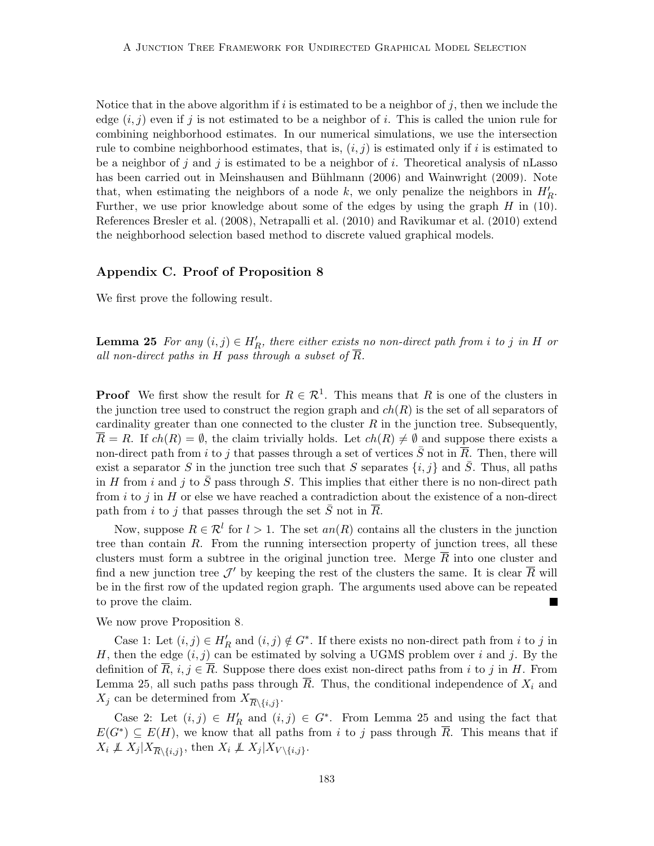Notice that in the above algorithm if i is estimated to be a neighbor of j, then we include the edge  $(i, j)$  even if j is not estimated to be a neighbor of i. This is called the union rule for combining neighborhood estimates. In our numerical simulations, we use the intersection rule to combine neighborhood estimates, that is,  $(i, j)$  is estimated only if i is estimated to be a neighbor of j and j is estimated to be a neighbor of i. Theoretical analysis of nLasso has been carried out in Meinshausen and Bühlmann [\(2006\)](#page-42-0) and [Wainwright](#page-43-14) [\(2009\)](#page-43-14). Note that, when estimating the neighbors of a node k, we only penalize the neighbors in  $H_R'$ . Further, we use prior knowledge about some of the edges by using the graph  $H$  in [\(10\)](#page-35-1). References [Bresler et al.](#page-40-4) [\(2008\)](#page-40-4), [Netrapalli et al.](#page-42-4) [\(2010\)](#page-42-4) and [Ravikumar et al.](#page-43-3) [\(2010\)](#page-43-3) extend the neighborhood selection based method to discrete valued graphical models.

### Appendix C. Proof of Proposition [8](#page-10-5)

<span id="page-36-0"></span>We first prove the following result.

**Lemma 25** For any  $(i, j) \in H_R'$ , there either exists no non-direct path from i to j in H or all non-direct paths in H pass through a subset of  $\overline{R}$ .

**Proof** We first show the result for  $R \in \mathcal{R}^1$ . This means that R is one of the clusters in the junction tree used to construct the region graph and  $ch(R)$  is the set of all separators of cardinality greater than one connected to the cluster  $R$  in the junction tree. Subsequently,  $R = R$ . If  $ch(R) = \emptyset$ , the claim trivially holds. Let  $ch(R) \neq \emptyset$  and suppose there exists a non-direct path from i to j that passes through a set of vertices  $\bar{S}$  not in  $\bar{R}$ . Then, there will exist a separator S in the junction tree such that S separates  $\{i, j\}$  and  $\overline{S}$ . Thus, all paths in H from i and j to  $\bar{S}$  pass through S. This implies that either there is no non-direct path from  $i$  to  $j$  in  $H$  or else we have reached a contradiction about the existence of a non-direct path from i to j that passes through the set  $\bar{S}$  not in  $\bar{R}$ .

Now, suppose  $R \in \mathcal{R}^l$  for  $l > 1$ . The set  $an(R)$  contains all the clusters in the junction tree than contain R. From the running intersection property of junction trees, all these clusters must form a subtree in the original junction tree. Merge  $\overline{R}$  into one cluster and find a new junction tree  $\mathcal{J}'$  by keeping the rest of the clusters the same. It is clear  $\overline{R}$  will be in the first row of the updated region graph. The arguments used above can be repeated to prove the claim. **The State** 

We now prove Proposition [8.](#page-10-5)

Case 1: Let  $(i, j) \in H_R'$  and  $(i, j) \notin G^*$ . If there exists no non-direct path from i to j in H, then the edge  $(i, j)$  can be estimated by solving a UGMS problem over i and j. By the definition of  $\overline{R}$ ,  $i, j \in \overline{R}$ . Suppose there does exist non-direct paths from i to j in H. From Lemma [25,](#page-36-0) all such paths pass through  $\overline{R}$ . Thus, the conditional independence of  $X_i$  and  $X_j$  can be determined from  $X_{\overline{R}\setminus\{i,j\}}$ .

Case 2: Let  $(i, j) \in H'_R$  and  $(i, j) \in G^*$ . From Lemma [25](#page-36-0) and using the fact that  $E(G^*) \subseteq E(H)$ , we know that all paths from i to j pass through  $\overline{R}$ . This means that if  $X_i \not\perp X_j | X_{\overline{R} \setminus \{i,j\}},$  then  $X_i \not\perp X_j | X_{V \setminus \{i,j\}}.$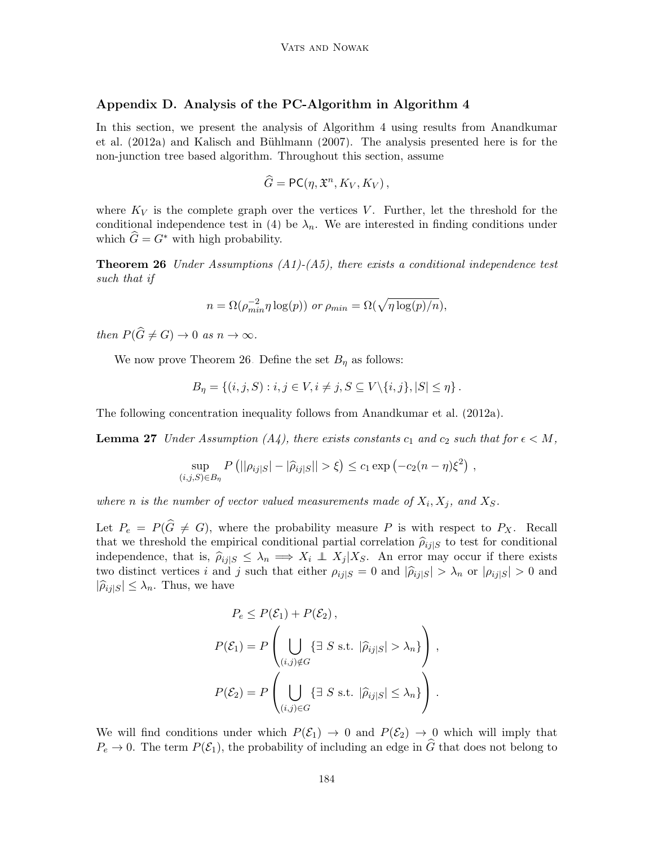## Appendix D. Analysis of the PC-Algorithm in Algorithm [4](#page-16-1)

In this section, we present the analysis of Algorithm [4](#page-16-1) using results from [Anandkumar](#page-39-2) [et al.](#page-39-2) [\(2012a\)](#page-39-2) and Kalisch and Bühlmann [\(2007\)](#page-41-3). The analysis presented here is for the non-junction tree based algorithm. Throughout this section, assume

<span id="page-37-0"></span>
$$
\widehat{G} = \mathsf{PC}(\eta, \mathfrak{X}^n, K_V, K_V),
$$

where  $K_V$  is the complete graph over the vertices V. Further, let the threshold for the conditional independence test in [\(4\)](#page-17-1) be  $\lambda_n$ . We are interested in finding conditions under which  $\hat{G} = G^*$  with high probability.

**Theorem 26** Under Assumptions  $(A1)-(A5)$ , there exists a conditional independence test such that if

$$
n = \Omega(\rho_{min}^{-2} \eta \log(p)) \text{ or } \rho_{min} = \Omega(\sqrt{\eta \log(p)/n}),
$$

then  $P(\widehat{G} \neq G) \to 0$  as  $n \to \infty$ .

We now prove Theorem [26.](#page-37-0) Define the set  $B_{\eta}$  as follows:

$$
B_{\eta} = \left\{ (i, j, S) : i, j \in V, i \neq j, S \subseteq V \setminus \{i, j\}, |S| \leq \eta \right\}.
$$

The following concentration inequality follows from [Anandkumar et al.](#page-39-2) [\(2012a\)](#page-39-2).

**Lemma 27** Under Assumption (A4), there exists constants  $c_1$  and  $c_2$  such that for  $\epsilon < M$ ,

<span id="page-37-1"></span>
$$
\sup_{(i,j,S)\in B_{\eta}} P(||\rho_{ij|S}|-|\hat{\rho}_{ij|S}||>\xi) \le c_1 \exp(-c_2(n-\eta)\xi^2) ,
$$

where n is the number of vector valued measurements made of  $X_i, X_j$ , and  $X_S$ .

Let  $P_e = P(\hat{G} \neq G)$ , where the probability measure P is with respect to  $P_X$ . Recall that we threshold the empirical conditional partial correlation  $\hat{\rho}_{ij|S}$  to test for conditional independence, that is,  $\hat{\rho}_{ij|S} \leq \lambda_n \implies X_i \perp X_j | X_S$ . An error may occur if there exists two distinct vertices i and j such that either  $\rho_{ij|S} = 0$  and  $|\hat{\rho}_{ij|S}| > \lambda_n$  or  $|\rho_{ij|S}| > 0$  and  $|\widehat{\rho}_{ij|S}| \leq \lambda_n$ . Thus, we have

$$
P_e \le P(\mathcal{E}_1) + P(\mathcal{E}_2),
$$
  
\n
$$
P(\mathcal{E}_1) = P\left(\bigcup_{(i,j)\notin G} \{\exists S \text{ s.t. } |\hat{\rho}_{ij}|S| > \lambda_n\}\right),
$$
  
\n
$$
P(\mathcal{E}_2) = P\left(\bigcup_{(i,j)\in G} \{\exists S \text{ s.t. } |\hat{\rho}_{ij}|S| \le \lambda_n\}\right).
$$

We will find conditions under which  $P(\mathcal{E}_1) \to 0$  and  $P(\mathcal{E}_2) \to 0$  which will imply that  $P_e \to 0$ . The term  $P(\mathcal{E}_1)$ , the probability of including an edge in  $\widehat{G}$  that does not belong to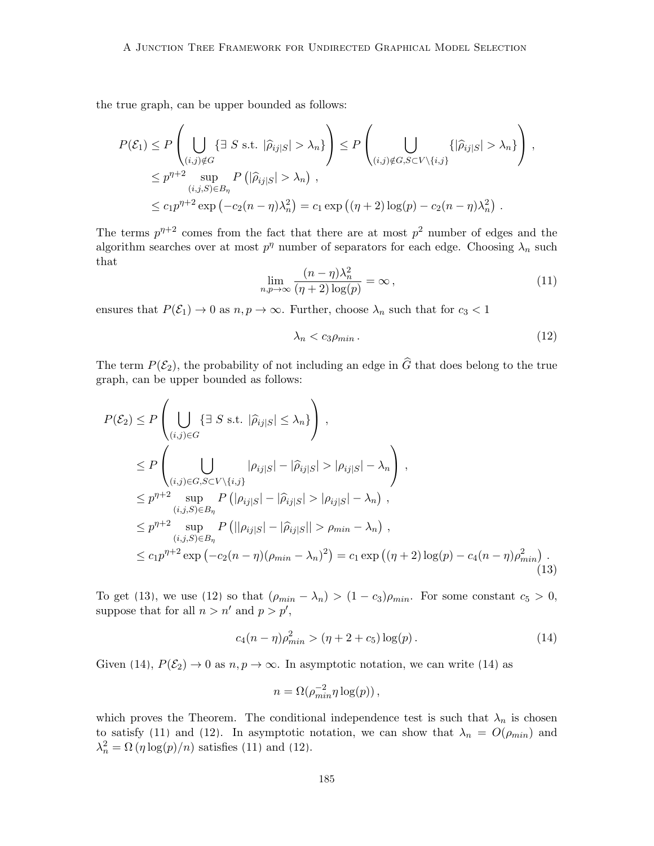the true graph, can be upper bounded as follows:

$$
P(\mathcal{E}_1) \le P\left(\bigcup_{\substack{(i,j)\notin G\\(i,j)\notin G}}\{\exists S \text{ s.t. } |\widehat{\rho}_{ij}|S| > \lambda_n\}\right) \le P\left(\bigcup_{\substack{(i,j)\notin G, S\subset V\backslash\{i,j\}\\(i,j)\notin G, S\subset V\backslash\{i,j\}}} \{|\widehat{\rho}_{ij}|S| > \lambda_n\}\right),
$$
  

$$
\le c_1 p^{\eta+2} \exp\left(-c_2(n-\eta)\lambda_n^2\right) = c_1 \exp\left((\eta+2)\log(p)-c_2(n-\eta)\lambda_n^2\right).
$$

The terms  $p^{\eta+2}$  comes from the fact that there are at most  $p^2$  number of edges and the algorithm searches over at most  $p^{\eta}$  number of separators for each edge. Choosing  $\lambda_n$  such that

$$
\lim_{n,p \to \infty} \frac{(n-\eta)\lambda_n^2}{(\eta+2)\log(p)} = \infty, \tag{11}
$$

ensures that  $P(\mathcal{E}_1) \to 0$  as  $n, p \to \infty$ . Further, choose  $\lambda_n$  such that for  $c_3 < 1$ 

<span id="page-38-1"></span>
$$
\lambda_n < c_3 \rho_{\min} \tag{12}
$$

The term  $P(\mathcal{E}_2)$ , the probability of not including an edge in  $\widehat{G}$  that does belong to the true graph, can be upper bounded as follows:

$$
P(\mathcal{E}_{2}) \leq P\left(\bigcup_{(i,j)\in G}\left\{\exists S \text{ s.t. } |\widehat{\rho}_{ij}|_{S}| \leq \lambda_{n}\right\}\right),
$$
  
\n
$$
\leq P\left(\bigcup_{(i,j)\in G, S\subset V\backslash\{i,j\}} |\rho_{ij}|_{S}| - |\widehat{\rho}_{ij}|_{S}| > |\rho_{ij}|_{S}| - \lambda_{n}\right),
$$
  
\n
$$
\leq p^{\eta+2} \sup_{(i,j,S)\in B_{\eta}} P\left(|\rho_{ij}|_{S}| - |\widehat{\rho}_{ij}|_{S}| > |\rho_{ij}|_{S}| - \lambda_{n}\right),
$$
  
\n
$$
\leq p^{\eta+2} \sup_{(i,j,S)\in B_{\eta}} P\left(||\rho_{ij}|_{S}| - |\widehat{\rho}_{ij}|_{S}|| > \rho_{min} - \lambda_{n}\right),
$$
  
\n
$$
\leq c_{1}p^{\eta+2} \exp\left(-c_{2}(n-\eta)(\rho_{min} - \lambda_{n})^{2}\right) = c_{1} \exp\left((\eta+2)\log(p) - c_{4}(n-\eta)\rho_{min}^{2}\right).
$$
\n(13)

To get [\(13\)](#page-38-0), we use [\(12\)](#page-38-1) so that  $(\rho_{min} - \lambda_n) > (1 - c_3)\rho_{min}$ . For some constant  $c_5 > 0$ , suppose that for all  $n > n'$  and  $p > p'$ ,

<span id="page-38-2"></span>
$$
c_4(n-\eta)\rho_{min}^2 > (\eta + 2 + c_5)\log(p). \tag{14}
$$

Given [\(14\)](#page-38-2),  $P(\mathcal{E}_2) \to 0$  as  $n, p \to \infty$ . In asymptotic notation, we can write (14) as

<span id="page-38-0"></span>
$$
n = \Omega(\rho_{min}^{-2} \eta \log(p)),
$$

which proves the Theorem. The conditional independence test is such that  $\lambda_n$  is chosen to satisfy [\(11\)](#page-37-1) and [\(12\)](#page-38-1). In asymptotic notation, we can show that  $\lambda_n = O(\rho_{min})$  and  $\lambda_n^2 = \Omega(\eta \log(p)/n)$  satisfies [\(11\)](#page-37-1) and [\(12\)](#page-38-1).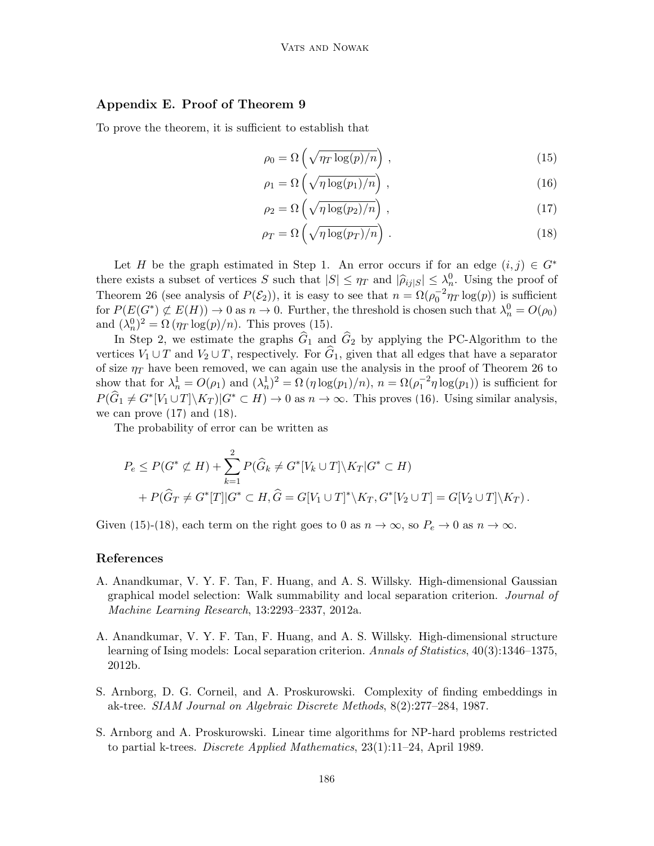# Appendix E. Proof of Theorem [9](#page-20-0)

To prove the theorem, it is sufficient to establish that

<span id="page-39-5"></span><span id="page-39-4"></span>
$$
\rho_0 = \Omega\left(\sqrt{\eta_T \log(p)/n}\right),\tag{15}
$$

<span id="page-39-6"></span>
$$
\rho_1 = \Omega\left(\sqrt{\eta \log(p_1)/n}\right),\tag{16}
$$

$$
\rho_2 = \Omega\left(\sqrt{\eta \log(p_2)/n}\right),\tag{17}
$$

<span id="page-39-7"></span>
$$
\rho_T = \Omega\left(\sqrt{\eta \log(p_T)/n}\right). \tag{18}
$$

Let H be the graph estimated in Step 1. An error occurs if for an edge  $(i, j) \in G^*$ there exists a subset of vertices S such that  $|S| \leq \eta_T$  and  $|\hat{\rho}_{ij}| \leq \lambda_n^0$ . Using the proof of Theorem [26](#page-37-0) (see analysis of  $P(\mathcal{E}_2)$ ), it is easy to see that  $n = \Omega(\rho_0^{-2}\eta_T \log(p))$  is sufficient for  $P(E(G^*) \not\subset E(H)) \to 0$  as  $n \to 0$ . Further, the threshold is chosen such that  $\lambda_n^0 = O(\rho_0)$ and  $(\lambda_n^0)^2 = \Omega(\eta_T \log(p)/n)$ . This proves [\(15\)](#page-39-4).

In Step 2, we estimate the graphs  $\hat{G}_1$  and  $\hat{G}_2$  by applying the PC-Algorithm to the vertices  $V_1 \cup T$  and  $V_2 \cup T$ , respectively. For  $\hat{G}_1$ , given that all edges that have a separator of size  $\eta_T$  have been removed, we can again use the analysis in the proof of Theorem [26](#page-37-0) to show that for  $\lambda_n^1 = O(\rho_1)$  and  $(\lambda_n^1)^2 = \Omega(\eta \log(p_1)/n)$ ,  $n = \Omega(\rho_1^{-2}\eta \log(p_1))$  is sufficient for  $P(\widehat{G}_1 \neq G^*[V_1 \cup T] \setminus K_T) | G^* \subset H) \to 0$  as  $n \to \infty$ . This proves [\(16\)](#page-39-5). Using similar analysis, we can prove  $(17)$  and  $(18)$ .

The probability of error can be written as

$$
P_e \le P(G^* \not\subset H) + \sum_{k=1}^2 P(\hat{G}_k \neq G^*[V_k \cup T] \setminus K_T | G^* \subset H)
$$
  
+  $P(\hat{G}_T \neq G^*[T] | G^* \subset H, \hat{G} = G[V_1 \cup T]^* \setminus K_T, G^*[V_2 \cup T] = G[V_2 \cup T] \setminus K_T).$ 

Given [\(15\)](#page-39-4)-[\(18\)](#page-39-7), each term on the right goes to 0 as  $n \to \infty$ , so  $P_e \to 0$  as  $n \to \infty$ .

### References

- <span id="page-39-2"></span>A. Anandkumar, V. Y. F. Tan, F. Huang, and A. S. Willsky. High-dimensional Gaussian graphical model selection: Walk summability and local separation criterion. Journal of Machine Learning Research, 13:2293–2337, 2012a.
- <span id="page-39-3"></span>A. Anandkumar, V. Y. F. Tan, F. Huang, and A. S. Willsky. High-dimensional structure learning of Ising models: Local separation criterion. Annals of Statistics, 40(3):1346–1375, 2012b.
- <span id="page-39-1"></span>S. Arnborg, D. G. Corneil, and A. Proskurowski. Complexity of finding embeddings in ak-tree. SIAM Journal on Algebraic Discrete Methods, 8(2):277–284, 1987.
- <span id="page-39-0"></span>S. Arnborg and A. Proskurowski. Linear time algorithms for NP-hard problems restricted to partial k-trees. Discrete Applied Mathematics, 23(1):11–24, April 1989.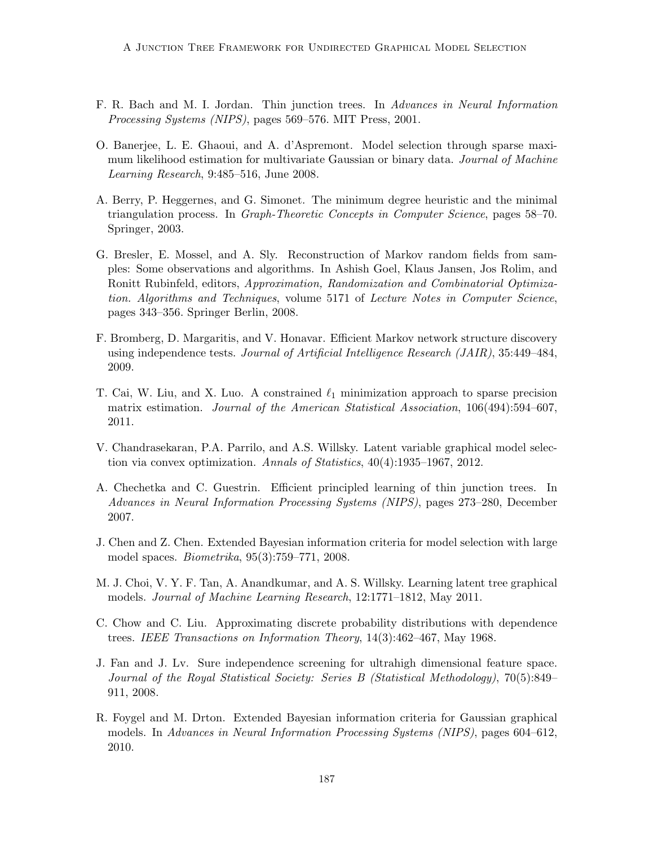- <span id="page-40-7"></span>F. R. Bach and M. I. Jordan. Thin junction trees. In Advances in Neural Information Processing Systems (NIPS), pages 569–576. MIT Press, 2001.
- <span id="page-40-2"></span>O. Banerjee, L. E. Ghaoui, and A. d'Aspremont. Model selection through sparse maximum likelihood estimation for multivariate Gaussian or binary data. Journal of Machine Learning Research, 9:485–516, June 2008.
- <span id="page-40-1"></span>A. Berry, P. Heggernes, and G. Simonet. The minimum degree heuristic and the minimal triangulation process. In Graph-Theoretic Concepts in Computer Science, pages 58–70. Springer, 2003.
- <span id="page-40-4"></span>G. Bresler, E. Mossel, and A. Sly. Reconstruction of Markov random fields from samples: Some observations and algorithms. In Ashish Goel, Klaus Jansen, Jos Rolim, and Ronitt Rubinfeld, editors, Approximation, Randomization and Combinatorial Optimization. Algorithms and Techniques, volume 5171 of Lecture Notes in Computer Science, pages 343–356. Springer Berlin, 2008.
- <span id="page-40-5"></span>F. Bromberg, D. Margaritis, and V. Honavar. Efficient Markov network structure discovery using independence tests. Journal of Artificial Intelligence Research (JAIR), 35:449–484, 2009.
- <span id="page-40-3"></span>T. Cai, W. Liu, and X. Luo. A constrained  $\ell_1$  minimization approach to sparse precision matrix estimation. Journal of the American Statistical Association, 106(494):594–607, 2011.
- <span id="page-40-12"></span>V. Chandrasekaran, P.A. Parrilo, and A.S. Willsky. Latent variable graphical model selection via convex optimization. Annals of Statistics,  $40(4):1935-1967$ , 2012.
- <span id="page-40-8"></span>A. Chechetka and C. Guestrin. Efficient principled learning of thin junction trees. In Advances in Neural Information Processing Systems (NIPS), pages 273–280, December 2007.
- <span id="page-40-9"></span>J. Chen and Z. Chen. Extended Bayesian information criteria for model selection with large model spaces. Biometrika, 95(3):759–771, 2008.
- <span id="page-40-11"></span>M. J. Choi, V. Y. F. Tan, A. Anandkumar, and A. S. Willsky. Learning latent tree graphical models. Journal of Machine Learning Research, 12:1771–1812, May 2011.
- <span id="page-40-6"></span>C. Chow and C. Liu. Approximating discrete probability distributions with dependence trees. IEEE Transactions on Information Theory, 14(3):462–467, May 1968.
- <span id="page-40-0"></span>J. Fan and J. Lv. Sure independence screening for ultrahigh dimensional feature space. Journal of the Royal Statistical Society: Series B (Statistical Methodology), 70(5):849– 911, 2008.
- <span id="page-40-10"></span>R. Foygel and M. Drton. Extended Bayesian information criteria for Gaussian graphical models. In Advances in Neural Information Processing Systems (NIPS), pages 604–612, 2010.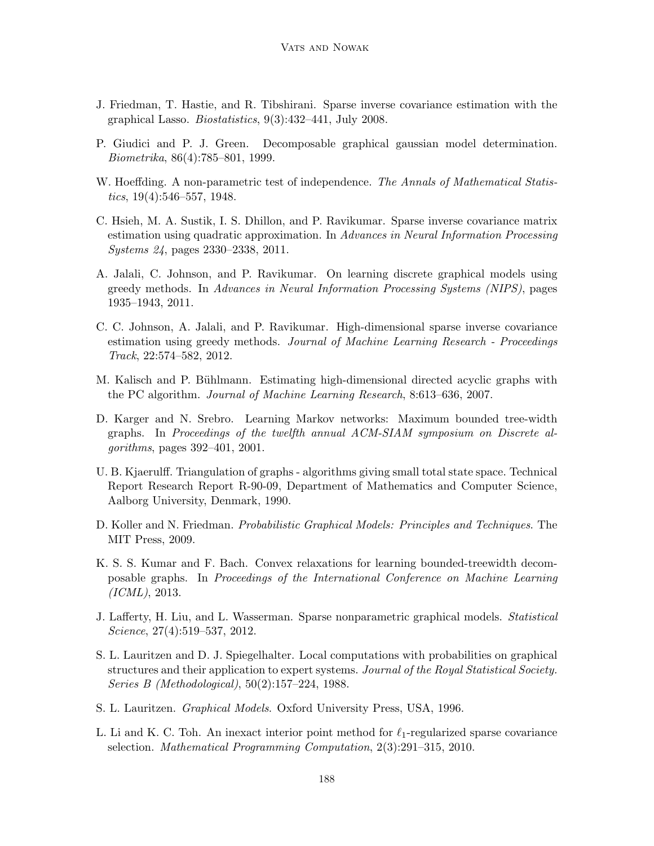- <span id="page-41-4"></span>J. Friedman, T. Hastie, and R. Tibshirani. Sparse inverse covariance estimation with the graphical Lasso. Biostatistics, 9(3):432–441, July 2008.
- <span id="page-41-11"></span>P. Giudici and P. J. Green. Decomposable graphical gaussian model determination. Biometrika, 86(4):785–801, 1999.
- <span id="page-41-12"></span>W. Hoeffding. A non-parametric test of independence. The Annals of Mathematical Statistics,  $19(4):546-557$ ,  $1948$ .
- <span id="page-41-14"></span>C. Hsieh, M. A. Sustik, I. S. Dhillon, and P. Ravikumar. Sparse inverse covariance matrix estimation using quadratic approximation. In Advances in Neural Information Processing Systems 24, pages 2330–2338, 2011.
- <span id="page-41-6"></span>A. Jalali, C. Johnson, and P. Ravikumar. On learning discrete graphical models using greedy methods. In Advances in Neural Information Processing Systems (NIPS), pages 1935–1943, 2011.
- <span id="page-41-7"></span>C. C. Johnson, A. Jalali, and P. Ravikumar. High-dimensional sparse inverse covariance estimation using greedy methods. Journal of Machine Learning Research - Proceedings Track, 22:574–582, 2012.
- <span id="page-41-3"></span>M. Kalisch and P. Bühlmann. Estimating high-dimensional directed acyclic graphs with the PC algorithm. Journal of Machine Learning Research, 8:613–636, 2007.
- <span id="page-41-9"></span>D. Karger and N. Srebro. Learning Markov networks: Maximum bounded tree-width graphs. In Proceedings of the twelfth annual ACM-SIAM symposium on Discrete algorithms, pages 392–401, 2001.
- <span id="page-41-2"></span>U. B. Kjaerulff. Triangulation of graphs - algorithms giving small total state space. Technical Report Research Report R-90-09, Department of Mathematics and Computer Science, Aalborg University, Denmark, 1990.
- <span id="page-41-1"></span>D. Koller and N. Friedman. *Probabilistic Graphical Models: Principles and Techniques*. The MIT Press, 2009.
- <span id="page-41-10"></span>K. S. S. Kumar and F. Bach. Convex relaxations for learning bounded-treewidth decomposable graphs. In Proceedings of the International Conference on Machine Learning (ICML), 2013.
- <span id="page-41-5"></span>J. Lafferty, H. Liu, and L. Wasserman. Sparse nonparametric graphical models. Statistical Science, 27(4):519–537, 2012.
- <span id="page-41-8"></span>S. L. Lauritzen and D. J. Spiegelhalter. Local computations with probabilities on graphical structures and their application to expert systems. Journal of the Royal Statistical Society. Series B (Methodological), 50(2):157–224, 1988.
- <span id="page-41-0"></span>S. L. Lauritzen. Graphical Models. Oxford University Press, USA, 1996.
- <span id="page-41-13"></span>L. Li and K. C. Toh. An inexact interior point method for  $\ell_1$ -regularized sparse covariance selection. Mathematical Programming Computation, 2(3):291–315, 2010.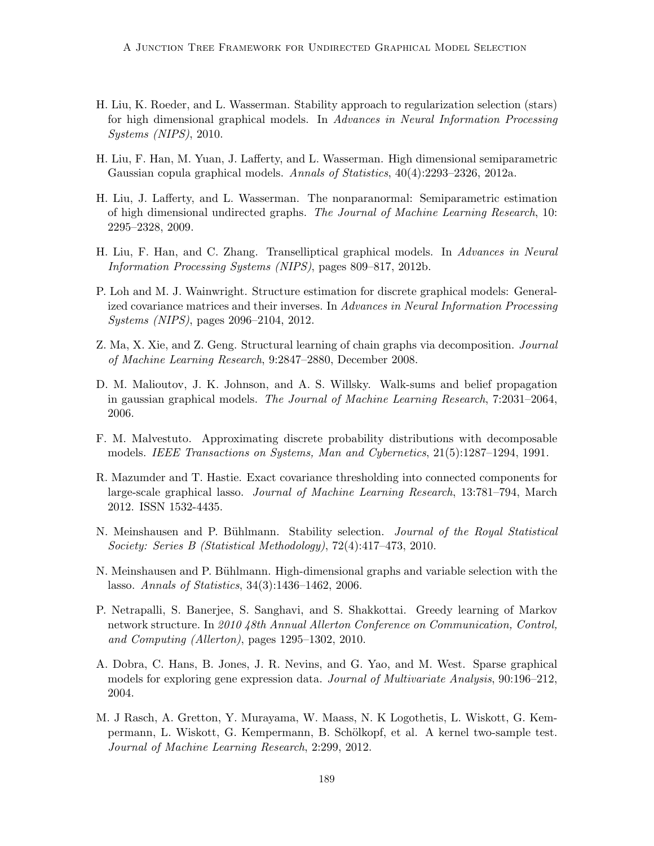- <span id="page-42-12"></span>H. Liu, K. Roeder, and L. Wasserman. Stability approach to regularization selection (stars) for high dimensional graphical models. In Advances in Neural Information Processing Systems (NIPS), 2010.
- <span id="page-42-2"></span>H. Liu, F. Han, M. Yuan, J. Lafferty, and L. Wasserman. High dimensional semiparametric Gaussian copula graphical models. Annals of Statistics, 40(4):2293–2326, 2012a.
- <span id="page-42-1"></span>H. Liu, J. Lafferty, and L. Wasserman. The nonparanormal: Semiparametric estimation of high dimensional undirected graphs. The Journal of Machine Learning Research, 10: 2295–2328, 2009.
- <span id="page-42-3"></span>H. Liu, F. Han, and C. Zhang. Transelliptical graphical models. In Advances in Neural Information Processing Systems (NIPS), pages 809–817, 2012b.
- <span id="page-42-8"></span>P. Loh and M. J. Wainwright. Structure estimation for discrete graphical models: Generalized covariance matrices and their inverses. In Advances in Neural Information Processing Systems (NIPS), pages 2096–2104, 2012.
- <span id="page-42-6"></span>Z. Ma, X. Xie, and Z. Geng. Structural learning of chain graphs via decomposition. Journal of Machine Learning Research, 9:2847–2880, December 2008.
- <span id="page-42-10"></span>D. M. Malioutov, J. K. Johnson, and A. S. Willsky. Walk-sums and belief propagation in gaussian graphical models. The Journal of Machine Learning Research, 7:2031–2064, 2006.
- <span id="page-42-5"></span>F. M. Malvestuto. Approximating discrete probability distributions with decomposable models. IEEE Transactions on Systems, Man and Cybernetics, 21(5):1287–1294, 1991.
- <span id="page-42-7"></span>R. Mazumder and T. Hastie. Exact covariance thresholding into connected components for large-scale graphical lasso. Journal of Machine Learning Research, 13:781–794, March 2012. ISSN 1532-4435.
- <span id="page-42-11"></span>N. Meinshausen and P. Bühlmann. Stability selection. *Journal of the Royal Statistical* Society: Series B (Statistical Methodology), 72(4):417–473, 2010.
- <span id="page-42-0"></span>N. Meinshausen and P. Bühlmann. High-dimensional graphs and variable selection with the lasso. Annals of Statistics, 34(3):1436–1462, 2006.
- <span id="page-42-4"></span>P. Netrapalli, S. Banerjee, S. Sanghavi, and S. Shakkottai. Greedy learning of Markov network structure. In 2010 48th Annual Allerton Conference on Communication, Control, and Computing (Allerton), pages 1295–1302, 2010.
- <span id="page-42-13"></span>A. Dobra, C. Hans, B. Jones, J. R. Nevins, and G. Yao, and M. West. Sparse graphical models for exploring gene expression data. Journal of Multivariate Analysis, 90:196–212, 2004.
- <span id="page-42-9"></span>M. J Rasch, A. Gretton, Y. Murayama, W. Maass, N. K Logothetis, L. Wiskott, G. Kempermann, L. Wiskott, G. Kempermann, B. Schölkopf, et al. A kernel two-sample test. Journal of Machine Learning Research, 2:299, 2012.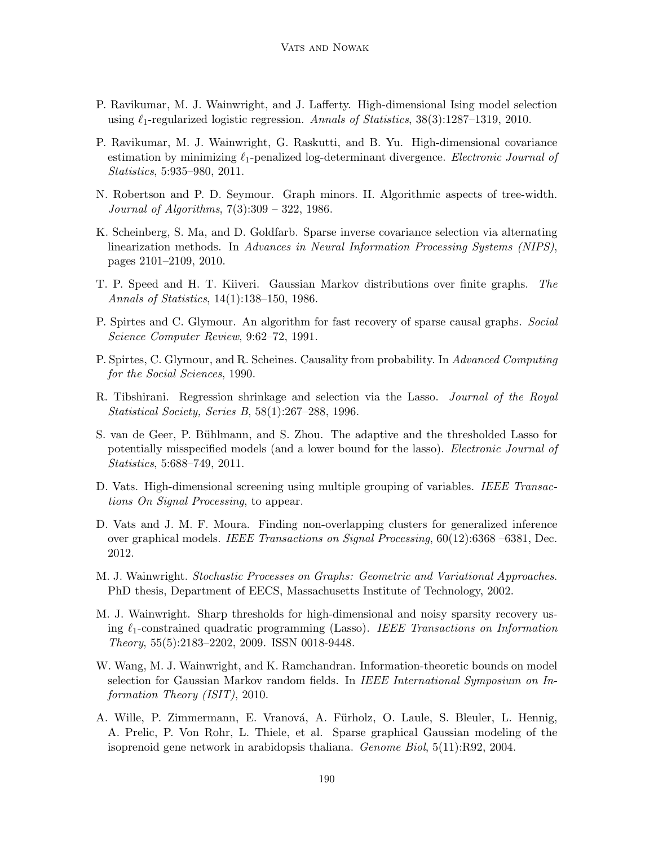- <span id="page-43-3"></span>P. Ravikumar, M. J. Wainwright, and J. Lafferty. High-dimensional Ising model selection using  $\ell_1$ -regularized logistic regression. Annals of Statistics, 38(3):1287–1319, 2010.
- <span id="page-43-12"></span>P. Ravikumar, M. J. Wainwright, G. Raskutti, and B. Yu. High-dimensional covariance estimation by minimizing  $\ell_1$ -penalized log-determinant divergence. Electronic Journal of Statistics, 5:935–980, 2011.
- <span id="page-43-1"></span>N. Robertson and P. D. Seymour. Graph minors. II. Algorithmic aspects of tree-width. Journal of Algorithms, 7(3):309 – 322, 1986.
- <span id="page-43-11"></span>K. Scheinberg, S. Ma, and D. Goldfarb. Sparse inverse covariance selection via alternating linearization methods. In Advances in Neural Information Processing Systems (NIPS), pages 2101–2109, 2010.
- <span id="page-43-7"></span>T. P. Speed and H. T. Kiiveri. Gaussian Markov distributions over finite graphs. The Annals of Statistics, 14(1):138–150, 1986.
- <span id="page-43-2"></span>P. Spirtes and C. Glymour. An algorithm for fast recovery of sparse causal graphs. Social Science Computer Review, 9:62–72, 1991.
- <span id="page-43-6"></span>P. Spirtes, C. Glymour, and R. Scheines. Causality from probability. In Advanced Computing for the Social Sciences, 1990.
- <span id="page-43-13"></span>R. Tibshirani. Regression shrinkage and selection via the Lasso. Journal of the Royal Statistical Society, Series B, 58(1):267–288, 1996.
- <span id="page-43-9"></span>S. van de Geer, P. Bühlmann, and S. Zhou. The adaptive and the thresholded Lasso for potentially misspecified models (and a lower bound for the lasso). Electronic Journal of Statistics, 5:688–749, 2011.
- <span id="page-43-0"></span>D. Vats. High-dimensional screening using multiple grouping of variables. IEEE Transactions On Signal Processing, to appear.
- <span id="page-43-5"></span>D. Vats and J. M. F. Moura. Finding non-overlapping clusters for generalized inference over graphical models. IEEE Transactions on Signal Processing, 60(12):6368 –6381, Dec. 2012.
- <span id="page-43-4"></span>M. J. Wainwright. Stochastic Processes on Graphs: Geometric and Variational Approaches. PhD thesis, Department of EECS, Massachusetts Institute of Technology, 2002.
- <span id="page-43-14"></span>M. J. Wainwright. Sharp thresholds for high-dimensional and noisy sparsity recovery using  $\ell_1$ -constrained quadratic programming (Lasso). IEEE Transactions on Information Theory, 55(5):2183–2202, 2009. ISSN 0018-9448.
- <span id="page-43-8"></span>W. Wang, M. J. Wainwright, and K. Ramchandran. Information-theoretic bounds on model selection for Gaussian Markov random fields. In IEEE International Symposium on Information Theory (ISIT), 2010.
- <span id="page-43-10"></span>A. Wille, P. Zimmermann, E. Vranová, A. Fürholz, O. Laule, S. Bleuler, L. Hennig, A. Prelic, P. Von Rohr, L. Thiele, et al. Sparse graphical Gaussian modeling of the isoprenoid gene network in arabidopsis thaliana. Genome Biol, 5(11):R92, 2004.